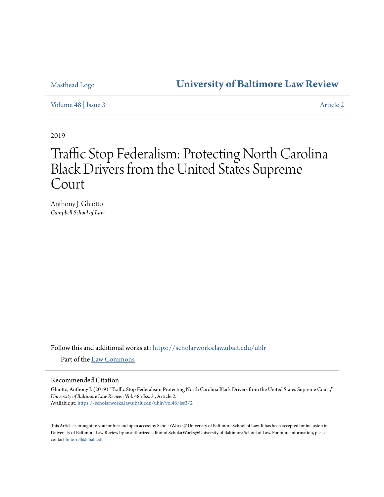# Masthead Logo **[University of Baltimore Law Review](https://scholarworks.law.ubalt.edu/ublr?utm_source=scholarworks.law.ubalt.edu%2Fublr%2Fvol48%2Fiss3%2F2&utm_medium=PDF&utm_campaign=PDFCoverPages)**

[Volume 48](https://scholarworks.law.ubalt.edu/ublr/vol48?utm_source=scholarworks.law.ubalt.edu%2Fublr%2Fvol48%2Fiss3%2F2&utm_medium=PDF&utm_campaign=PDFCoverPages) | [Issue 3](https://scholarworks.law.ubalt.edu/ublr/vol48/iss3?utm_source=scholarworks.law.ubalt.edu%2Fublr%2Fvol48%2Fiss3%2F2&utm_medium=PDF&utm_campaign=PDFCoverPages) [Article 2](https://scholarworks.law.ubalt.edu/ublr/vol48/iss3/2?utm_source=scholarworks.law.ubalt.edu%2Fublr%2Fvol48%2Fiss3%2F2&utm_medium=PDF&utm_campaign=PDFCoverPages)

2019

# Traffic Stop Federalism: Protecting North Carolina Black Drivers from the United States Supreme Court

Anthony J. Ghiotto *Campbell School of Law*

Follow this and additional works at: [https://scholarworks.law.ubalt.edu/ublr](https://scholarworks.law.ubalt.edu/ublr?utm_source=scholarworks.law.ubalt.edu%2Fublr%2Fvol48%2Fiss3%2F2&utm_medium=PDF&utm_campaign=PDFCoverPages)

Part of the [Law Commons](http://network.bepress.com/hgg/discipline/578?utm_source=scholarworks.law.ubalt.edu%2Fublr%2Fvol48%2Fiss3%2F2&utm_medium=PDF&utm_campaign=PDFCoverPages)

### Recommended Citation

Ghiotto, Anthony J. (2019) "Traffic Stop Federalism: Protecting North Carolina Black Drivers from the United States Supreme Court," *University of Baltimore Law Review*: Vol. 48 : Iss. 3 , Article 2. Available at: [https://scholarworks.law.ubalt.edu/ublr/vol48/iss3/2](https://scholarworks.law.ubalt.edu/ublr/vol48/iss3/2?utm_source=scholarworks.law.ubalt.edu%2Fublr%2Fvol48%2Fiss3%2F2&utm_medium=PDF&utm_campaign=PDFCoverPages)

This Article is brought to you for free and open access by ScholarWorks@University of Baltimore School of Law. It has been accepted for inclusion in University of Baltimore Law Review by an authorized editor of ScholarWorks@University of Baltimore School of Law. For more information, please contact [hmorrell@ubalt.edu](mailto:hmorrell@ubalt.edu).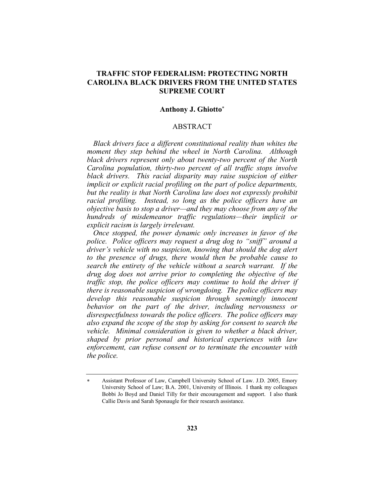# **TRAFFIC STOP FEDERALISM: PROTECTING NORTH CAROLINA BLACK DRIVERS FROM THE UNITED STATES SUPREME COURT**

#### **Anthony J. Ghiotto**\*

#### ABSTRACT

*Black drivers face a different constitutional reality than whites the moment they step behind the wheel in North Carolina. Although black drivers represent only about twenty-two percent of the North Carolina population, thirty-two percent of all traffic stops involve black drivers. This racial disparity may raise suspicion of either implicit or explicit racial profiling on the part of police departments, but the reality is that North Carolina law does not expressly prohibit racial profiling. Instead, so long as the police officers have an objective basis to stop a driver—and they may choose from any of the hundreds of misdemeanor traffic regulations—their implicit or explicit racism is largely irrelevant.*

*Once stopped, the power dynamic only increases in favor of the police. Police officers may request a drug dog to "sniff" around a driver's vehicle with no suspicion, knowing that should the dog alert to the presence of drugs, there would then be probable cause to search the entirety of the vehicle without a search warrant. If the drug dog does not arrive prior to completing the objective of the traffic stop, the police officers may continue to hold the driver if there is reasonable suspicion of wrongdoing. The police officers may develop this reasonable suspicion through seemingly innocent behavior on the part of the driver, including nervousness or disrespectfulness towards the police officers. The police officers may also expand the scope of the stop by asking for consent to search the vehicle. Minimal consideration is given to whether a black driver, shaped by prior personal and historical experiences with law enforcement, can refuse consent or to terminate the encounter with the police.* 

Assistant Professor of Law, Campbell University School of Law. J.D. 2005, Emory University School of Law; B.A. 2001, University of Illinois. I thank my colleagues Bobbi Jo Boyd and Daniel Tilly for their encouragement and support. I also thank Callie Davis and Sarah Sponaugle for their research assistance.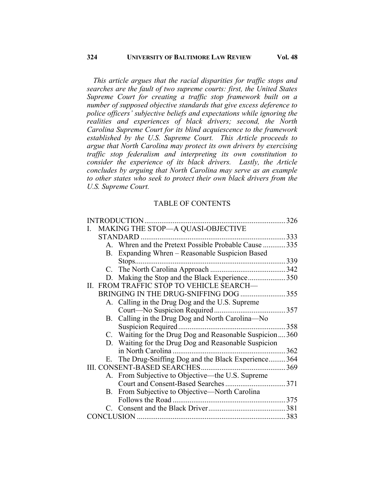*This article argues that the racial disparities for traffic stops and searches are the fault of two supreme courts: first, the United States Supreme Court for creating a traffic stop framework built on a number of supposed objective standards that give excess deference to police officers' subjective beliefs and expectations while ignoring the realities and experiences of black drivers; second, the North Carolina Supreme Court for its blind acquiescence to the framework established by the U.S. Supreme Court. This Article proceeds to argue that North Carolina may protect its own drivers by exercising traffic stop federalism and interpreting its own constitution to consider the experience of its black drivers. Lastly, the Article concludes by arguing that North Carolina may serve as an example to other states who seek to protect their own black drivers from the U.S. Supreme Court.*

# TABLE OF CONTENTS

|                                          |    | I. MAKING THE STOP-A QUASI-OBJECTIVE                    |  |
|------------------------------------------|----|---------------------------------------------------------|--|
|                                          |    | STANDARD                                                |  |
|                                          |    | A. Whren and the Pretext Possible Probable Cause 335    |  |
|                                          | В. | Expanding Whren – Reasonable Suspicion Based            |  |
|                                          |    |                                                         |  |
|                                          |    |                                                         |  |
|                                          |    | D. Making the Stop and the Black Experience350          |  |
| II. FROM TRAFFIC STOP TO VEHICLE SEARCH- |    |                                                         |  |
|                                          |    | BRINGING IN THE DRUG-SNIFFING DOG 355                   |  |
|                                          |    | A. Calling in the Drug Dog and the U.S. Supreme         |  |
|                                          |    |                                                         |  |
|                                          |    | B. Calling in the Drug Dog and North Carolina—No        |  |
|                                          |    |                                                         |  |
|                                          |    | C. Waiting for the Drug Dog and Reasonable Suspicion360 |  |
|                                          |    | D. Waiting for the Drug Dog and Reasonable Suspicion    |  |
|                                          |    |                                                         |  |
|                                          |    | E. The Drug-Sniffing Dog and the Black Experience 364   |  |
|                                          |    |                                                         |  |
|                                          |    | A. From Subjective to Objective—the U.S. Supreme        |  |
|                                          |    |                                                         |  |
|                                          |    | B. From Subjective to Objective—North Carolina          |  |
|                                          |    |                                                         |  |
|                                          |    |                                                         |  |
|                                          |    |                                                         |  |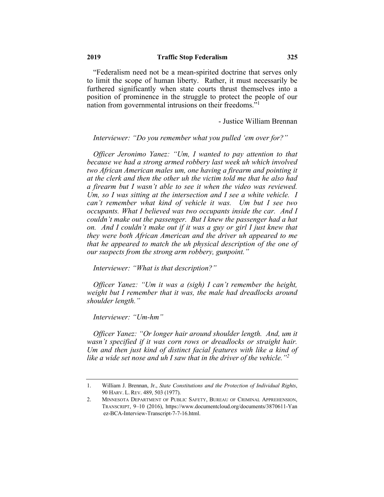"Federalism need not be a mean-spirited doctrine that serves only to limit the scope of human liberty. Rather, it must necessarily be furthered significantly when state courts thrust themselves into a position of prominence in the struggle to protect the people of our nation from governmental intrusions on their freedoms."1

- Justice William Brennan

*Interviewer: "Do you remember what you pulled 'em over for?"*

*Officer Jeronimo Yanez: "Um, I wanted to pay attention to that because we had a strong armed robbery last week uh which involved two African American males um, one having a firearm and pointing it at the clerk and then the other uh the victim told me that he also had a firearm but I wasn't able to see it when the video was reviewed. Um, so I was sitting at the intersection and I see a white vehicle. I can't remember what kind of vehicle it was. Um but I see two occupants. What I believed was two occupants inside the car. And I couldn't make out the passenger. But I knew the passenger had a hat on. And I couldn't make out if it was a guy or girl I just knew that they were both African American and the driver uh appeared to me that he appeared to match the uh physical description of the one of our suspects from the strong arm robbery, gunpoint."*

*Interviewer: "What is that description?"*

*Officer Yanez: "Um it was a (sigh) I can't remember the height, weight but I remember that it was, the male had dreadlocks around shoulder length."*

*Interviewer: "Um-hm"*

*Officer Yanez: "Or longer hair around shoulder length. And, um it wasn't specified if it was corn rows or dreadlocks or straight hair. Um and then just kind of distinct facial features with like a kind of like a wide set nose and uh I saw that in the driver of the vehicle."2*

<sup>1.</sup> William J. Brennan, Jr., *State Constitutions and the Protection of Individual Rights*, 90 HARV. L. REV. 489, 503 (1977).

<sup>2.</sup> MINNESOTA DEPARTMENT OF PUBLIC SAFETY, BUREAU OF CRIMINAL APPREHENSION, TRANSCRIPT, 9–10 (2016), https://www.documentcloud.org/documents/3870611-Yan ez-BCA-Interview-Transcript-7-7-16.html.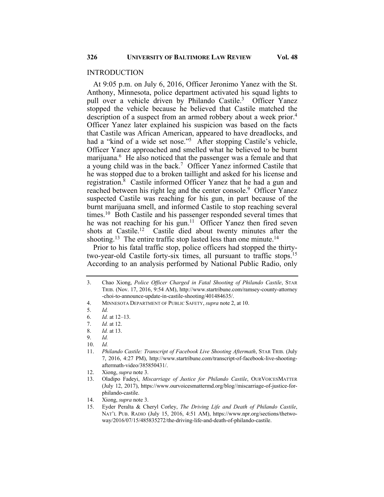At 9:05 p.m. on July 6, 2016, Officer Jeronimo Yanez with the St. Anthony, Minnesota, police department activated his squad lights to pull over a vehicle driven by Philando Castile.<sup>3</sup> Officer Yanez stopped the vehicle because he believed that Castile matched the description of a suspect from an armed robbery about a week prior.<sup>4</sup> Officer Yanez later explained his suspicion was based on the facts that Castile was African American, appeared to have dreadlocks, and had a "kind of a wide set nose."<sup>5</sup> After stopping Castile's vehicle, Officer Yanez approached and smelled what he believed to be burnt marijuana.<sup>6</sup> He also noticed that the passenger was a female and that a young child was in the back.<sup>7</sup> Officer Yanez informed Castile that he was stopped due to a broken taillight and asked for his license and registration.8 Castile informed Officer Yanez that he had a gun and reached between his right leg and the center console.<sup>9</sup> Officer Yanez suspected Castile was reaching for his gun, in part because of the burnt marijuana smell, and informed Castile to stop reaching several times.<sup>10</sup> Both Castile and his passenger responded several times that he was not reaching for his gun.<sup>11</sup> Officer Yanez then fired seven shots at Castile.<sup>12</sup> Castile died about twenty minutes after the shooting.<sup>13</sup> The entire traffic stop lasted less than one minute.<sup>14</sup>

Prior to his fatal traffic stop, police officers had stopped the thirtytwo-year-old Castile forty-six times, all pursuant to traffic stops.15 According to an analysis performed by National Public Radio, only

<sup>3.</sup> Chao Xiong, *Police Officer Charged in Fatal Shooting of Philando Castile*, STAR TRIB. (Nov. 17, 2016, 9:54 AM), http://www.startribune.com/ramsey-county-attorney -choi-to-announce-update-in-castile-shooting/401484635/.

<sup>4.</sup> MINNESOTA DEPARTMENT OF PUBLIC SAFETY, *supra* note 2, at 10.

<sup>5.</sup> *Id.*

<sup>6.</sup> *Id.* at 12–13.

<sup>7.</sup> *Id.* at 12.

<sup>8.</sup> *Id.* at 13.

<sup>9.</sup> *Id.*

<sup>10.</sup> *Id.*

<sup>11.</sup> *Philando Castile: Transcript of Facebook Live Shooting Aftermath*, STAR TRIB. (July 7, 2016, 4:27 PM), http://www.startribune.com/transcript-of-facebook-live-shootingaftermath-video/385850431/.

<sup>12.</sup> Xiong, *supra* note 3.

<sup>13.</sup> Oladipo Fadeyi, *Miscarriage of Justice for Philando Castile*, OURVOICESMATTER (July 12, 2017), https://www.ourvoicesmattermd.org/blog//miscarriage-of-justice-forphilando-castile.

<sup>14.</sup> Xiong, *supra* note 3.

<sup>15.</sup> Eyder Peralta & Cheryl Corley, *The Driving Life and Death of Philando Castile*, NAT'L PUB. RADIO (July 15, 2016, 4:51 AM), https://www.npr.org/sections/thetwoway/2016/07/15/485835272/the-driving-life-and-death-of-philando-castile.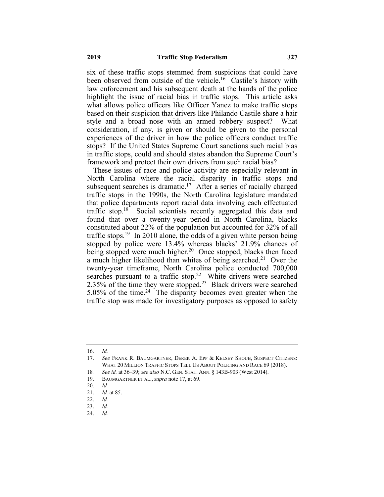six of these traffic stops stemmed from suspicions that could have been observed from outside of the vehicle.<sup>16</sup> Castile's history with law enforcement and his subsequent death at the hands of the police highlight the issue of racial bias in traffic stops. This article asks what allows police officers like Officer Yanez to make traffic stops based on their suspicion that drivers like Philando Castile share a hair style and a broad nose with an armed robbery suspect? What consideration, if any, is given or should be given to the personal experiences of the driver in how the police officers conduct traffic stops? If the United States Supreme Court sanctions such racial bias in traffic stops, could and should states abandon the Supreme Court's framework and protect their own drivers from such racial bias?

These issues of race and police activity are especially relevant in North Carolina where the racial disparity in traffic stops and subsequent searches is dramatic.<sup>17</sup> After a series of racially charged traffic stops in the 1990s, the North Carolina legislature mandated that police departments report racial data involving each effectuated traffic stop.<sup>18</sup> Social scientists recently aggregated this data and found that over a twenty-year period in North Carolina, blacks constituted about 22% of the population but accounted for 32% of all traffic stops.<sup>19</sup> In 2010 alone, the odds of a given white person being stopped by police were 13.4% whereas blacks' 21.9% chances of being stopped were much higher.<sup>20</sup> Once stopped, blacks then faced a much higher likelihood than whites of being searched.<sup>21</sup> Over the twenty-year timeframe, North Carolina police conducted 700,000 searches pursuant to a traffic stop.<sup>22</sup> White drivers were searched 2.35% of the time they were stopped.<sup>23</sup> Black drivers were searched 5.05% of the time.<sup>24</sup> The disparity becomes even greater when the traffic stop was made for investigatory purposes as opposed to safety

<sup>16.</sup> *Id.*

<sup>17.</sup> *See* FRANK R. BAUMGARTNER, DEREK A. EPP & KELSEY SHOUB, SUSPECT CITIZENS: WHAT 20 MILLION TRAFFIC STOPS TELL US ABOUT POLICING AND RACE 69 (2018).

<sup>18</sup>*. See id.* at 36–39; *see also* N.C. GEN. STAT. ANN. § 143B-903 (West 2014).

<sup>19.</sup> BAUMGARTNER ET AL.,*supra* note 17, at 69.

<sup>20.</sup> *Id.*

<sup>21.</sup> *Id.* at 85.

<sup>22.</sup> *Id.*

<sup>23.</sup> *Id.*

<sup>24.</sup> *Id.*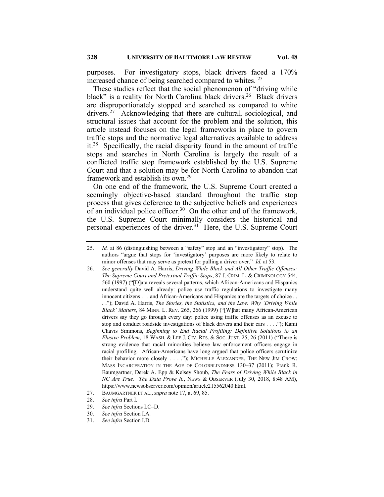purposes. For investigatory stops, black drivers faced a 170% increased chance of being searched compared to whites. 25

These studies reflect that the social phenomenon of "driving while black" is a reality for North Carolina black drivers.<sup>26</sup> Black drivers are disproportionately stopped and searched as compared to white drivers.<sup>27</sup> Acknowledging that there are cultural, sociological, and structural issues that account for the problem and the solution, this article instead focuses on the legal frameworks in place to govern traffic stops and the normative legal alternatives available to address it.<sup>28</sup> Specifically, the racial disparity found in the amount of traffic stops and searches in North Carolina is largely the result of a conflicted traffic stop framework established by the U.S. Supreme Court and that a solution may be for North Carolina to abandon that framework and establish its own.29

On one end of the framework, the U.S. Supreme Court created a seemingly objective-based standard throughout the traffic stop process that gives deference to the subjective beliefs and experiences of an individual police officer.<sup>30</sup> On the other end of the framework, the U.S. Supreme Court minimally considers the historical and personal experiences of the driver.31 Here, the U.S. Supreme Court

<sup>25.</sup> *Id.* at 86 (distinguishing between a "safety" stop and an "investigatory" stop). The authors "argue that stops for 'investigatory' purposes are more likely to relate to minor offenses that may serve as pretext for pulling a driver over." *Id.* at 53.

<sup>26.</sup> *See generally* David A. Harris, *Driving While Black and All Other Traffic Offenses: The Supreme Court and Pretextual Traffic Stops*, 87 J. CRIM. L. & CRIMINOLOGY 544, 560 (1997) ("[D]ata reveals several patterns, which African-Americans and Hispanics understand quite well already: police use traffic regulations to investigate many innocent citizens . . . and African-Americans and Hispanics are the targets of choice . . . ."); David A. Harris, *The Stories, the Statistics, and the Law: Why 'Driving While Black' Matters*, 84 MINN. L. REV. 265, 266 (1999) ("[W]hat many African-American drivers say they go through every day: police using traffic offenses as an excuse to stop and conduct roadside investigations of black drivers and their cars . . . ."); Kami Chavis Simmons, *Beginning to End Racial Profiling: Definitive Solutions to an Elusive Problem*, 18 WASH. & LEE J. CIV. RTS. & SOC. JUST. 25, 26 (2011) ("There is strong evidence that racial minorities believe law enforcement officers engage in racial profiling. African-Americans have long argued that police officers scrutinize their behavior more closely . . . ."); MICHELLE ALEXANDER, THE NEW JIM CROW: MASS INCARCERATION IN THE AGE OF COLORBLINDNESS 130–37 (2011); Frank R. Baumgartner, Derek A. Epp & Kelsey Shoub, *The Fears of Driving While Black in NC Are True. The Data Prove It.*, NEWS & OBSERVER (July 30, 2018, 8:48 AM), https://www.newsobserver.com/opinion/article215562040.html.

<sup>27.</sup> BAUMGARTNER ET AL.,*supra* note 17, at 69, 85.

<sup>28.</sup> *See infra* Part I.

<sup>29.</sup> *See infra* Sections I.C–D.

<sup>30.</sup> *See infra* Section I.A.

<sup>31.</sup> *See infra* Section I.D.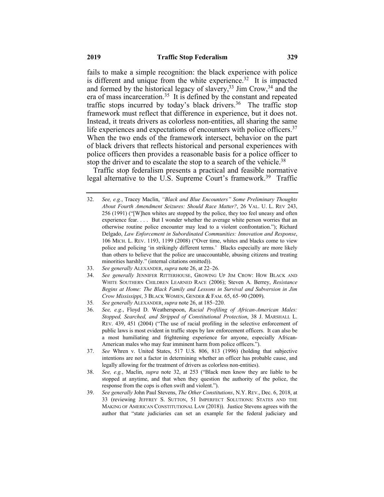fails to make a simple recognition: the black experience with police is different and unique from the white experience.<sup>32</sup> It is impacted and formed by the historical legacy of slavery,  $33 \text{ Jim Crow}, 34$  and the era of mass incarceration.<sup>35</sup> It is defined by the constant and repeated traffic stops incurred by today's black drivers.<sup>36</sup> The traffic stop framework must reflect that difference in experience, but it does not. Instead, it treats drivers as colorless non-entities, all sharing the same life experiences and expectations of encounters with police officers.<sup>37</sup> When the two ends of the framework intersect, behavior on the part of black drivers that reflects historical and personal experiences with police officers then provides a reasonable basis for a police officer to stop the driver and to escalate the stop to a search of the vehicle.<sup>38</sup>

Traffic stop federalism presents a practical and feasible normative legal alternative to the U.S. Supreme Court's framework.<sup>39</sup> Traffic

- 33. *See generally* ALEXANDER, *supra* note 26, at 22–26.
- 34. *See generally* JENNIFER RITTERHOUSE, GROWING UP JIM CROW: HOW BLACK AND WHITE SOUTHERN CHILDREN LEARNED RACE (2006); Steven A. Berrey, *Resistance Begins at Home: The Black Family and Lessons in Survival and Subversion in Jim Crow Mississippi*, 3 BLACK WOMEN, GENDER & FAM. 65, 65–90 (2009).
- 35*. See generally* ALEXANDER, *supra* note 26, at 185–220.
- 36. *See, e.g.*, Floyd D. Weatherspoon, *Racial Profiling of African-American Males: Stopped, Searched, and Stripped of Constitutional Protection*, 38 J. MARSHALL L. REV. 439, 451 (2004) ("The use of racial profiling in the selective enforcement of public laws is most evident in traffic stops by law enforcement officers. It can also be a most humiliating and frightening experience for anyone, especially African-American males who may fear imminent harm from police officers.").
- 37. *See* Whren v. United States, 517 U.S. 806, 813 (1996) (holding that subjective intentions are not a factor in determining whether an officer has probable cause, and legally allowing for the treatment of drivers as colorless non-entities).
- 38. *See, e.g.*, Maclin, *supra* note 32, at 253 ("Black men know they are liable to be stopped at anytime, and that when they question the authority of the police, the response from the cops is often swift and violent.").
- 39. *See generally* John Paul Stevens, *The Other Constitutions*, N.Y. REV., Dec. 6, 2018, at 33 (reviewing JEFFREY S. SUTTON, 51 IMPERFECT SOLUTIONS: STATES AND THE MAKING OF AMERICAN CONSTITUTIONAL LAW (2018)). Justice Stevens agrees with the author that "state judiciaries can set an example for the federal judiciary and

<sup>32.</sup> *See, e.g.*, Tracey Maclin, *"Black and Blue Encounters" Some Preliminary Thoughts About Fourth Amendment Seizures: Should Race Matter?*, 26 VAL. U. L. REV 243, 256 (1991) ("[W]hen whites are stopped by the police, they too feel uneasy and often experience fear. . . . But I wonder whether the average white person worries that an otherwise routine police encounter may lead to a violent confrontation."); Richard Delgado, *Law Enforcement in Subordinated Communities: Innovation and Response*, 106 MICH. L. REV. 1193, 1199 (2008) ("Over time, whites and blacks come to view police and policing 'in strikingly different terms.' Blacks especially are more likely than others to believe that the police are unaccountable, abusing citizens and treating minorities harshly." (internal citations omitted)).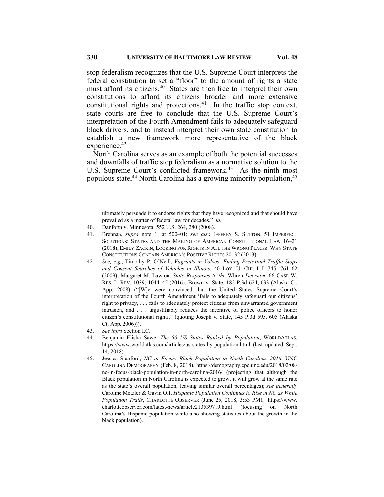stop federalism recognizes that the U.S. Supreme Court interprets the federal constitution to set a "floor" to the amount of rights a state must afford its citizens.<sup>40</sup> States are then free to interpret their own constitutions to afford its citizens broader and more extensive constitutional rights and protections.<sup>41</sup> In the traffic stop context, state courts are free to conclude that the U.S. Supreme Court's interpretation of the Fourth Amendment fails to adequately safeguard black drivers, and to instead interpret their own state constitution to establish a new framework more representative of the black experience.<sup>42</sup>

North Carolina serves as an example of both the potential successes and downfalls of traffic stop federalism as a normative solution to the U.S. Supreme Court's conflicted framework.<sup>43</sup> As the ninth most populous state,<sup>44</sup> North Carolina has a growing minority population,<sup>45</sup>

ultimately persuade it to endorse rights that they have recognized and that should have prevailed as a matter of federal law for decades." *Id.*

- 40. Danforth v. Minnesota, 552 U.S. 264, 280 (2008).
- 41. Brennan, *supra* note 1, at 500–01; *see also* JEFFREY S. SUTTON, 51 IMPERFECT SOLUTIONS: STATES AND THE MAKING OF AMERICAN CONSTITUTIONAL LAW 16–21 (2018); EMILY ZACKIN, LOOKING FOR RIGHTS IN ALL THE WRONG PLACES: WHY STATE CONSTITUTIONS CONTAIN AMERICA'S POSITIVE RIGHTS 20–32 (2013).
- 42. *See, e.g.*, Timothy P. O'Neill, *Vagrants in Volvos: Ending Pretextual Traffic Stops and Consent Searches of Vehicles in Illinois*, 40 LOY. U. CHI. L.J. 745, 761–62 (2009); Margaret M. Lawton, *State Responses to the* Whren *Decision*, 66 CASE W. RES. L. REV. 1039, 1044–45 (2016); Brown v. State, 182 P.3d 624, 633 (Alaska Ct. App. 2008) ("[W]e were convinced that the United States Supreme Court's interpretation of the Fourth Amendment 'fails to adequately safeguard our citizens' right to privacy, . . . fails to adequately protect citizens from unwarranted government intrusion, and . . . unjustifiably reduces the incentive of police officers to honor citizen's constitutional rights." (quoting Joseph v. State, 145 P.3d 595, 605 (Alaska Ct. App. 2006))).
- 43. *See infra* Section I.C.
- 44. Benjamin Elisha Sawe, *The 50 US States Ranked by Population*, WORLDATLAS, https://www.worldatlas.com/articles/us-states-by-population.html (last updated Sept. 14, 2018).
- 45. Jessica Stanford, *NC in Focus: Black Population in North Carolina, 2016*, UNC CAROLINA DEMOGRAPHY (Feb. 8, 2018), https://demography.cpc.unc.edu/2018/02/08/ nc-in-focus-black-population-in-north-carolina-2016/ (projecting that although the Black population in North Carolina is expected to grow, it will grow at the same rate as the state's overall population, leaving similar overall percentages); *see generally* Caroline Metzler & Gavin Off, *Hispanic Population Continues to Rise in NC as White Population Trails*, CHARLOTTE OBSERVER (June 25, 2018, 3:53 PM), https://www. charlotteobserver.com/latest-news/article213539719.html (focusing on North Carolina's Hispanic population while also showing statistics about the growth in the black population).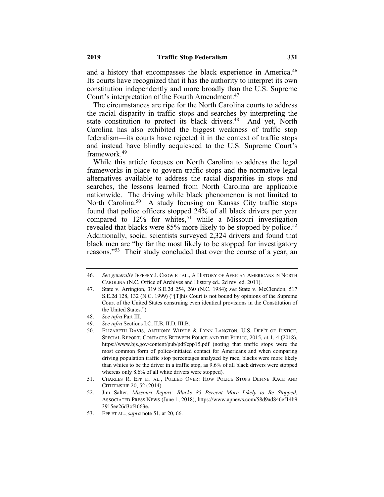and a history that encompasses the black experience in America.<sup>46</sup> Its courts have recognized that it has the authority to interpret its own constitution independently and more broadly than the U.S. Supreme Court's interpretation of the Fourth Amendment.<sup>47</sup>

The circumstances are ripe for the North Carolina courts to address the racial disparity in traffic stops and searches by interpreting the state constitution to protect its black drivers.<sup>48</sup> And yet, North Carolina has also exhibited the biggest weakness of traffic stop federalism—its courts have rejected it in the context of traffic stops and instead have blindly acquiesced to the U.S. Supreme Court's framework.49

While this article focuses on North Carolina to address the legal frameworks in place to govern traffic stops and the normative legal alternatives available to address the racial disparities in stops and searches, the lessons learned from North Carolina are applicable nationwide. The driving while black phenomenon is not limited to North Carolina.<sup>50</sup> A study focusing on Kansas City traffic stops found that police officers stopped 24% of all black drivers per year compared to  $12\%$  for whites,<sup>51</sup> while a Missouri investigation revealed that blacks were  $85\%$  more likely to be stopped by police.<sup>52</sup> Additionally, social scientists surveyed 2,324 drivers and found that black men are "by far the most likely to be stopped for investigatory reasons."<sup>53</sup> Their study concluded that over the course of a year, an

- 48. *See infra* Part III.
- 49. *See infra* Sections I.C, II.B, II.D, III.B.

<sup>46.</sup> *See generally* JEFFERY J. CROW ET AL., A HISTORY OF AFRICAN AMERICANS IN NORTH CAROLINA (N.C. Office of Archives and History ed., 2d rev. ed. 2011).

<sup>47.</sup> State v. Arrington, 319 S.E.2d 254, 260 (N.C. 1984); *see* State v. McClendon, 517 S.E.2d 128, 132 (N.C. 1999) ("[T]his Court is not bound by opinions of the Supreme Court of the United States construing even identical provisions in the Constitution of the United States.").

<sup>50.</sup> ELIZABETH DAVIS, ANTHONY WHYDE & LYNN LANGTON, U.S. DEP'T OF JUSTICE, SPECIAL REPORT: CONTACTS BETWEEN POLICE AND THE PUBLIC, 2015, at 1, 4 (2018), https://www.bjs.gov/content/pub/pdf/cpp15.pdf (noting that traffic stops were the most common form of police-initiated contact for Americans and when comparing driving population traffic stop percentages analyzed by race, blacks were more likely than whites to be the driver in a traffic stop, as 9.6% of all black drivers were stopped whereas only 8.6% of all white drivers were stopped).

<sup>51.</sup> CHARLES R. EPP ET AL., PULLED OVER: HOW POLICE STOPS DEFINE RACE AND CITIZENSHIP 20, 52 (2014).

<sup>52.</sup> Jim Salter, *Missouri Report: Blacks 85 Percent More Likely to Be Stopped*, ASSOCIATED PRESS NEWS (June 1, 2018), https://www.apnews.com/58d9ad846ef14b9 3915ee26d3cf4663e.

<sup>53.</sup> EPP ET AL., *supra* note 51, at 20, 66.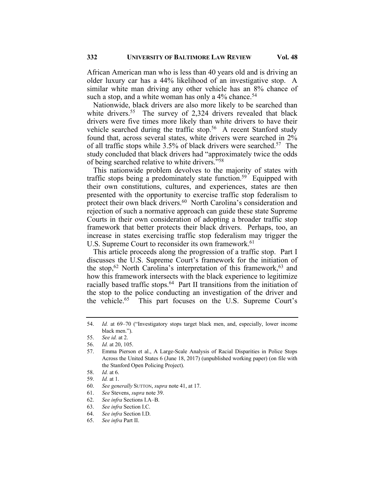African American man who is less than 40 years old and is driving an older luxury car has a 44% likelihood of an investigative stop. A similar white man driving any other vehicle has an 8% chance of such a stop, and a white woman has only a  $4\%$  chance.<sup>54</sup>

Nationwide, black drivers are also more likely to be searched than white drivers.<sup>55</sup> The survey of 2,324 drivers revealed that black drivers were five times more likely than white drivers to have their vehicle searched during the traffic stop.<sup>56</sup> A recent Stanford study found that, across several states, white drivers were searched in 2% of all traffic stops while  $3.5\%$  of black drivers were searched.<sup>57</sup> The study concluded that black drivers had "approximately twice the odds of being searched relative to white drivers."58

This nationwide problem devolves to the majority of states with traffic stops being a predominately state function.<sup>59</sup> Equipped with their own constitutions, cultures, and experiences, states are then presented with the opportunity to exercise traffic stop federalism to protect their own black drivers.<sup>60</sup> North Carolina's consideration and rejection of such a normative approach can guide these state Supreme Courts in their own consideration of adopting a broader traffic stop framework that better protects their black drivers. Perhaps, too, an increase in states exercising traffic stop federalism may trigger the U.S. Supreme Court to reconsider its own framework.<sup>61</sup>

This article proceeds along the progression of a traffic stop. Part I discusses the U.S. Supreme Court's framework for the initiation of the stop,<sup>62</sup> North Carolina's interpretation of this framework,<sup>63</sup> and how this framework intersects with the black experience to legitimize racially based traffic stops.<sup>64</sup> Part II transitions from the initiation of the stop to the police conducting an investigation of the driver and the vehicle.65 This part focuses on the U.S. Supreme Court's

<sup>54.</sup> *Id.* at 69–70 ("Investigatory stops target black men, and, especially, lower income black men.").

<sup>55.</sup> *See id.* at 2.

<sup>56.</sup> *Id.* at 20, 105.

<sup>57.</sup> Emma Pierson et al., A Large-Scale Analysis of Racial Disparities in Police Stops Across the United States 6 (June 18, 2017) (unpublished working paper) (on file with the Stanford Open Policing Project).

<sup>58.</sup> *Id.* at 6.

<sup>59.</sup> *Id.* at 1.

<sup>60.</sup> *See generally* SUTTON, *supra* note 41, at 17.

<sup>61.</sup> *See* Stevens, *supra* note 39.

<sup>62.</sup> *See infra* Sections I.A–B.

<sup>63.</sup> *See infra* Section I.C.

<sup>64.</sup> *See infra* Section I.D.

<sup>65.</sup> *See infra* Part II.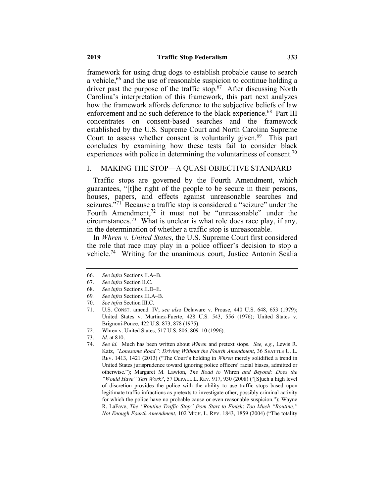framework for using drug dogs to establish probable cause to search a vehicle, <sup>66</sup> and the use of reasonable suspicion to continue holding a driver past the purpose of the traffic stop.<sup>67</sup> After discussing North Carolina's interpretation of this framework, this part next analyzes how the framework affords deference to the subjective beliefs of law enforcement and no such deference to the black experience.<sup>68</sup> Part III concentrates on consent-based searches and the framework established by the U.S. Supreme Court and North Carolina Supreme Court to assess whether consent is voluntarily given.<sup>69</sup> This part concludes by examining how these tests fail to consider black experiences with police in determining the voluntariness of consent.<sup>70</sup>

#### I. MAKING THE STOP—A QUASI-OBJECTIVE STANDARD

Traffic stops are governed by the Fourth Amendment, which guarantees, "[t]he right of the people to be secure in their persons, houses, papers, and effects against unreasonable searches and seizures. $\sqrt[3]{1}$  Because a traffic stop is considered a "seizure" under the Fourth Amendment, $72$  it must not be "unreasonable" under the circumstances.<sup>73</sup> What is unclear is what role does race play, if any, in the determination of whether a traffic stop is unreasonable.

In *Whren v. United States*, the U.S. Supreme Court first considered the role that race may play in a police officer's decision to stop a vehicle.74 Writing for the unanimous court, Justice Antonin Scalia

- 68. *See infra* Sections II.D–E.
- 69*. See infra* Sections III.A–B.
- 70. *See infra* Section III.C.
- 71. U.S. CONST. amend. IV; *see als*o Delaware v. Prouse, 440 U.S. 648, 653 (1979); United States v. Martinez-Fuerte, 428 U.S. 543, 556 (1976); United States v. Brignoni-Ponce, 422 U.S. 873, 878 (1975).
- 72. Whren v. United States, 517 U.S. 806, 809–10 (1996).
- 73. *Id.* at 810.

<sup>66.</sup> *See infra* Sections II.A–B.

<sup>67.</sup> *See infra* Section II.C.

<sup>74.</sup> *See id.* Much has been written about *Whren* and pretext stops. *See, e.g.*, Lewis R. Katz, *"Lonesome Road": Driving Without the Fourth Amendment*, 36 SEATTLE U. L. REV. 1413, 1421 (2013) ("The Court's holding in *Whren* merely solidified a trend in United States jurisprudence toward ignoring police officers' racial biases, admitted or otherwise."); Margaret M. Lawton, *The Road to* Whren *and Beyond: Does the "Would Have" Test Work?*, 57 DEPAUL L. REV. 917, 930 (2008) ("[S]uch a high level of discretion provides the police with the ability to use traffic stops based upon legitimate traffic infractions as pretexts to investigate other, possibly criminal activity for which the police have no probable cause or even reasonable suspicion."); Wayne R. LaFave, *The "Routine Traffic Stop" from Start to Finish*: *Too Much "Routine," Not Enough Fourth Amendment*, 102 MICH. L. REV. 1843, 1859 (2004) ("The totality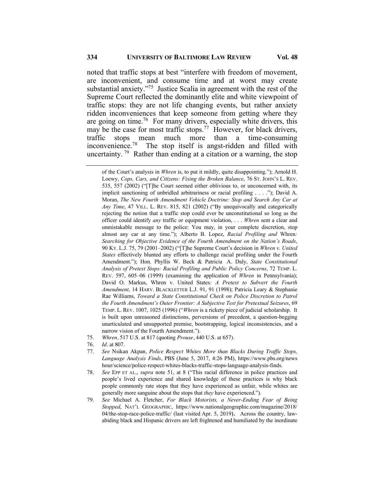noted that traffic stops at best "interfere with freedom of movement, are inconvenient, and consume time and at worst may create substantial anxiety."75 Justice Scalia in agreement with the rest of the Supreme Court reflected the dominantly elite and white viewpoint of traffic stops: they are not life changing events, but rather anxiety ridden inconveniences that keep someone from getting where they are going on time.<sup>76</sup> For many drivers, especially white drivers, this may be the case for most traffic stops.<sup>77</sup> However, for black drivers, traffic stops mean much more than a time-consuming inconvenience.<sup>78</sup> The stop itself is angst-ridden and filled with uncertainty. <sup>79</sup> Rather than ending at a citation or a warning, the stop

of the Court's analysis in *Whren* is, to put it mildly, quite disappointing."); Arnold H. Loewy, *Cops, Cars, and Citizens: Fixing the Broken Balance*, 76 ST. JOHN'S L. REV. 535, 557 (2002) ("[T]he Court seemed either oblivious to, or unconcerned with, its implicit sanctioning of unbridled arbitrariness or racial profiling . . . ."); David A. Moran, *The New Fourth Amendment Vehicle Doctrine: Stop and Search Any Car at Any Time*, 47 VILL. L. REV. 815, 821 (2002) ("By unequivocally and categorically rejecting the notion that a traffic stop could ever be unconstitutional so long as the officer could identify *any* traffic or equipment violation, . . . *Whren* sent a clear and unmistakable message to the police: You may, in your complete discretion, stop almost any car at any time."); Alberto B. Lopez, *Racial Profiling and* Whren*: Searching for Objective Evidence of the Fourth Amendment on the Nation's Roads*, 90 KY. L.J. 75, 79 (2001–2002) ("[T]he Supreme Court's decision in *Whren v. United States* effectively blunted any efforts to challenge racial profiling under the Fourth Amendment."); Hon. Phyllis W. Beck & Patricia A. Daly, *State Constitutional Analysis of Pretext Stops: Racial Profiling and Public Policy Concerns*, 72 TEMP. L. REV. 597, 605–06 (1999) (examining the application of *Whren* in Pennsylvania); David O. Markus, Whren v. United States*: A Pretext to Subvert the Fourth Amendment*, 14 HARV. BLACKLETTER L.J. 91, 91 (1998); Patricia Leary & Stephanie Rae Williams, *Toward a State Constitutional Check on Police Discretion to Patrol the Fourth Amendment's Outer Frontier: A Subjective Test for Pretextual Seizures*, 69 TEMP. L. REV. 1007, 1025 (1996) ("*Whren* is a rickety piece of judicial scholarship. It is built upon unreasoned distinctions, perversions of precedent, a question-begging unarticulated and unsupported premise, bootstrapping, logical inconsistencies, and a narrow vision of the Fourth Amendment.").

- 75. *Whren*, 517 U.S. at 817 (quoting *Prouse*, 440 U.S. at 657).
- 76. *Id.* at 807.
- 77. *See* Nsikan Akpan, *Police Respect Whites More than Blacks During Traffic Stops, Language Analysis Finds*, PBS (June 5, 2017, 4:26 PM), https://www.pbs.org/news hour/science/police-respect-whites-blacks-traffic-stops-language-analysis-finds.
- 78. *See* EPP ET AL., *supra* note 51, at 8 ("This racial difference in police practices and people's lived experience and shared knowledge of these practices is why black people commonly rate stops that they have experienced as unfair, while whites are generally more sanguine about the stops that *they* have experienced.").
- 79. *See* Michael A. Fletcher, *For Black Motorists, a Never-Ending Fear of Being Stopped*, NAT'L GEOGRAPHIC, https://www.nationalgeographic.com/magazine/2018/ 04/the-stop-race-police-traffic/ (last visited Apr. 5, 2019). Across the country, lawabiding black and Hispanic drivers are left frightened and humiliated by the inordinate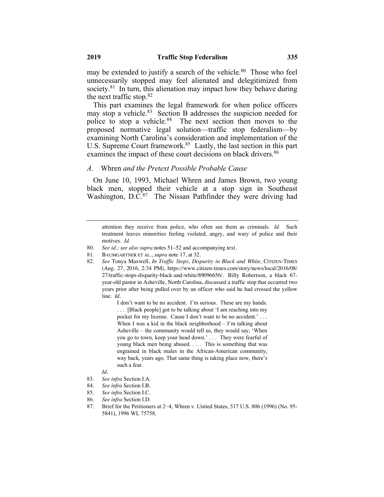may be extended to justify a search of the vehicle. $80$  Those who feel unnecessarily stopped may feel alienated and delegitimized from society. $81$  In turn, this alienation may impact how they behave during the next traffic stop. $82$ 

This part examines the legal framework for when police officers may stop a vehicle.<sup>83</sup> Section B addresses the suspicion needed for police to stop a vehicle.<sup>84</sup> The next section then moves to the proposed normative legal solution—traffic stop federalism—by examining North Carolina's consideration and implementation of the U.S. Supreme Court framework.<sup>85</sup> Lastly, the last section in this part examines the impact of these court decisions on black drivers.<sup>86</sup>

#### *A.* Whren *and the Pretext Possible Probable Cause*

On June 10, 1993, Michael Whren and James Brown, two young black men, stopped their vehicle at a stop sign in Southeast Washington, D.C.<sup>87</sup> The Nissan Pathfinder they were driving had

attention they receive from police, who often see them as criminals. *Id.* Such treatment leaves minorities feeling violated, angry, and wary of police and their motives. *Id.*

- 81. BAUMGARTNER ET AL., *supra* note 17, at 32.
- 82. *See* Tonya Maxwell, *In Traffic Stops, Disparity in Black and White,* CITIZEN-TIMES (Aug. 27, 2016, 2:34 PM), https://www.citizen-times.com/story/news/local/2016/08/ 27/traffic-stops-disparity-black-and-white/89096656/. Billy Robertson, a black 67 year-old pastor in Asheville, North Carolina, discussed a traffic stop that occurred two years prior after being pulled over by an officer who said he had crossed the yellow line. *Id.*

I don't want to be no accident. I'm serious. These are my hands. . . . [Black people] got to be talking about 'I am reaching into my pocket for my license. Cause I don't want to be no accident.' . . . When I was a kid in the black neighborhood – I'm talking about Asheville – the community would tell us, they would say, 'When you go to town, keep your head down.' . . . They were fearful of young black men being abused. . . . This is something that was engrained in black males in the African-American community, way back, years ago. That same thing is taking place now, there's such a fear.

- *Id.*
- 83. *See infra* Section I.A.
- 84. *See infra* Section I.B.
- 85. *See infra* Section I.C.
- 86. *See infra* Section I.D.
- 87. Brief for the Petitioners at 2−4, Whren v. United States, 517 U.S. 806 (1996) (No. 95- 5841), 1996 WL 75758.

<sup>80.</sup> *See id.; see also supra* notes 51–52 and accompanying text.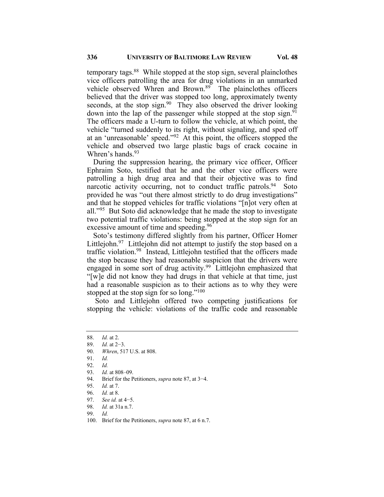temporary tags.<sup>88</sup> While stopped at the stop sign, several plainclothes vice officers patrolling the area for drug violations in an unmarked vehicle observed Whren and Brown.<sup>89</sup> The plainclothes officers believed that the driver was stopped too long, approximately twenty seconds, at the stop sign.<sup>90</sup> They also observed the driver looking down into the lap of the passenger while stopped at the stop sign.<sup>91</sup> The officers made a U-turn to follow the vehicle, at which point, the vehicle "turned suddenly to its right, without signaling, and sped off at an 'unreasonable' speed."92 At this point, the officers stopped the vehicle and observed two large plastic bags of crack cocaine in Whren's hands.<sup>93</sup>

During the suppression hearing, the primary vice officer, Officer Ephraim Soto, testified that he and the other vice officers were patrolling a high drug area and that their objective was to find narcotic activity occurring, not to conduct traffic patrols.<sup>94</sup> Soto provided he was "out there almost strictly to do drug investigations" and that he stopped vehicles for traffic violations "[n]ot very often at all."<sup>95</sup> But Soto did acknowledge that he made the stop to investigate two potential traffic violations: being stopped at the stop sign for an excessive amount of time and speeding.<sup>96</sup>

Soto's testimony differed slightly from his partner, Officer Homer Littlejohn.<sup>97</sup> Littlejohn did not attempt to justify the stop based on a traffic violation.<sup>98</sup> Instead, Littlejohn testified that the officers made the stop because they had reasonable suspicion that the drivers were engaged in some sort of drug activity.<sup>99</sup> Littlejohn emphasized that "[w]e did not know they had drugs in that vehicle at that time, just had a reasonable suspicion as to their actions as to why they were stopped at the stop sign for so long."<sup>100</sup>

Soto and Littlejohn offered two competing justifications for stopping the vehicle: violations of the traffic code and reasonable

- 94. Brief for the Petitioners, *supra* note 87, at 3−4.
- 95. *Id.* at 7.
- 96. *Id.* at 8.
- 97. *See id.* at 4−5.
- 98. *Id.* at 31a n.7.
- 99. *Id.*
- 100. Brief for the Petitioners, *supra* note 87, at 6 n.7.

<sup>88.</sup> *Id.* at 2.

<sup>89.</sup> *Id.* at 2−3.

<sup>90.</sup> *Whren*, 517 U.S. at 808.

<sup>91.</sup> *Id.*

<sup>92.</sup> *Id.*

<sup>93.</sup> *Id.* at 808–09.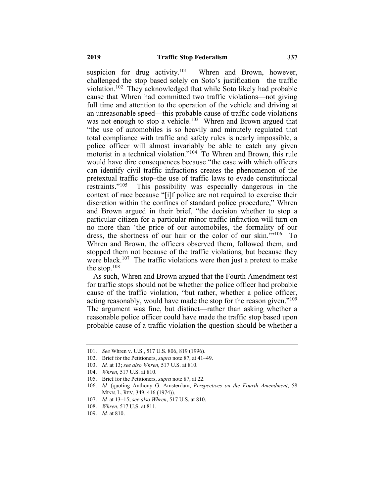suspicion for drug activity.<sup>101</sup> Whren and Brown, however, challenged the stop based solely on Soto's justification—the traffic violation.102 They acknowledged that while Soto likely had probable cause that Whren had committed two traffic violations—not giving full time and attention to the operation of the vehicle and driving at an unreasonable speed—this probable cause of traffic code violations was not enough to stop a vehicle.<sup>103</sup> Whren and Brown argued that "the use of automobiles is so heavily and minutely regulated that total compliance with traffic and safety rules is nearly impossible, a police officer will almost invariably be able to catch any given motorist in a technical violation."<sup>104</sup> To Whren and Brown, this rule would have dire consequences because "the ease with which officers can identify civil traffic infractions creates the phenomenon of the pretextual traffic stop–the use of traffic laws to evade constitutional<br>restraints."<sup>105</sup> This possibility was especially dangerous in the This possibility was especially dangerous in the context of race because "[i]f police are not required to exercise their discretion within the confines of standard police procedure," Whren and Brown argued in their brief, "the decision whether to stop a particular citizen for a particular minor traffic infraction will turn on no more than 'the price of our automobiles, the formality of our dress, the shortness of our hair or the color of our skin.'"106 To Whren and Brown, the officers observed them, followed them, and stopped them not because of the traffic violations, but because they were black.<sup>107</sup> The traffic violations were then just a pretext to make the stop. $108$ 

As such, Whren and Brown argued that the Fourth Amendment test for traffic stops should not be whether the police officer had probable cause of the traffic violation, "but rather, whether a police officer, acting reasonably, would have made the stop for the reason given."<sup>109</sup> The argument was fine, but distinct—rather than asking whether a reasonable police officer could have made the traffic stop based upon probable cause of a traffic violation the question should be whether a

<sup>101.</sup> *See* Whren v. U.S., 517 U.S. 806, 819 (1996).

<sup>102.</sup> Brief for the Petitioners, *supra* note 87, at 41–49.

<sup>103.</sup> *Id.* at 13; *see also Whren*, 517 U.S. at 810.

<sup>104.</sup> *Whren*, 517 U.S. at 810.

<sup>105.</sup> Brief for the Petitioners, *supra* note 87, at 22.

<sup>106.</sup> *Id.* (quoting Anthony G. Amsterdam, *Perspectives on the Fourth Amendment*, 58 MINN. L. REV. 349, 416 (1974)).

<sup>107.</sup> *Id.* at 13–15; *see also Whren*, 517 U.S. at 810.

<sup>108.</sup> *Whren*, 517 U.S. at 811.

<sup>109.</sup> *Id.* at 810.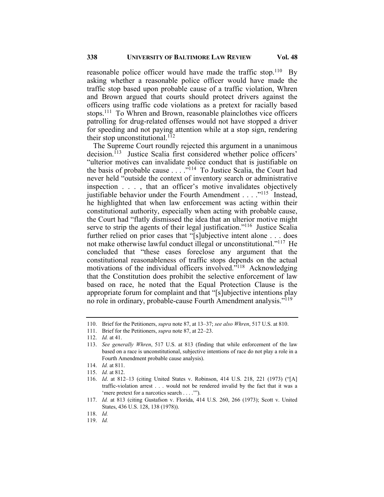reasonable police officer would have made the traffic stop.<sup>110</sup> By asking whether a reasonable police officer would have made the traffic stop based upon probable cause of a traffic violation, Whren and Brown argued that courts should protect drivers against the officers using traffic code violations as a pretext for racially based stops.111 To Whren and Brown, reasonable plainclothes vice officers patrolling for drug-related offenses would not have stopped a driver for speeding and not paying attention while at a stop sign, rendering their stop unconstitutional.<sup>112</sup>

The Supreme Court roundly rejected this argument in a unanimous decision.<sup>113</sup> Justice Scalia first considered whether police officers' "ulterior motives can invalidate police conduct that is justifiable on the basis of probable cause  $\ldots$   $\frac{1}{114}$  To Justice Scalia, the Court had never held "outside the context of inventory search or administrative inspection . . . , that an officer's motive invalidates objectively justifiable behavior under the Fourth Amendment . . . . "<sup>115</sup> Instead, he highlighted that when law enforcement was acting within their constitutional authority, especially when acting with probable cause, the Court had "flatly dismissed the idea that an ulterior motive might serve to strip the agents of their legal justification."<sup>116</sup> Justice Scalia further relied on prior cases that "[s]ubjective intent alone . . . does not make otherwise lawful conduct illegal or unconstitutional."<sup>117</sup> He concluded that "these cases foreclose any argument that the constitutional reasonableness of traffic stops depends on the actual motivations of the individual officers involved."118 Acknowledging that the Constitution does prohibit the selective enforcement of law based on race, he noted that the Equal Protection Clause is the appropriate forum for complaint and that "[s]ubjective intentions play no role in ordinary, probable-cause Fourth Amendment analysis."<sup>119</sup>

<sup>110.</sup> Brief for the Petitioners, *supra* note 87, at 13–37; *see also Whren*, 517 U.S. at 810.

<sup>111.</sup> Brief for the Petitioners, *supra* note 87, at 22–23.

<sup>112.</sup> *Id.* at 41.

<sup>113.</sup> *See generally Whren*, 517 U.S. at 813 (finding that while enforcement of the law based on a race is unconstitutional, subjective intentions of race do not play a role in a Fourth Amendment probable cause analysis).

<sup>114.</sup> *Id.* at 811.

<sup>115.</sup> *Id.* at 812.

<sup>116.</sup> *Id*. at 812–13 (citing United States v. Robinson, 414 U.S. 218, 221 (1973) ("[A] traffic-violation arrest . . . would not be rendered invalid by the fact that it was a 'mere pretext for a narcotics search . . . .'").

<sup>117.</sup> *Id.* at 813 (citing Gustafson v. Florida, 414 U.S. 260, 266 (1973); Scott v. United States, 436 U.S. 128, 138 (1978)).

<sup>118.</sup> *Id.*

<sup>119.</sup> *Id.*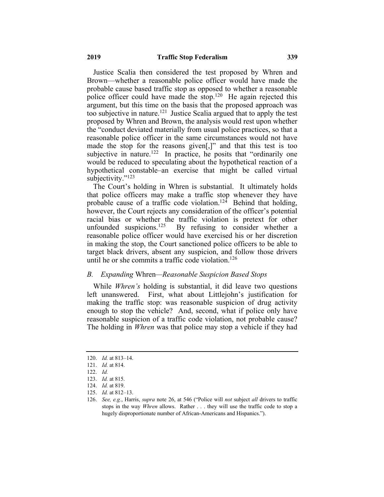Justice Scalia then considered the test proposed by Whren and Brown—whether a reasonable police officer would have made the probable cause based traffic stop as opposed to whether a reasonable police officer could have made the stop.<sup>120</sup> He again rejected this argument, but this time on the basis that the proposed approach was too subjective in nature.121 Justice Scalia argued that to apply the test proposed by Whren and Brown, the analysis would rest upon whether the "conduct deviated materially from usual police practices, so that a reasonable police officer in the same circumstances would not have made the stop for the reasons given[,]" and that this test is too subjective in nature.<sup>122</sup> In practice, he posits that "ordinarily one would be reduced to speculating about the hypothetical reaction of a hypothetical constable–an exercise that might be called virtual subjectivity."<sup>123</sup>

The Court's holding in Whren is substantial. It ultimately holds that police officers may make a traffic stop whenever they have probable cause of a traffic code violation.<sup>124</sup> Behind that holding, however, the Court rejects any consideration of the officer's potential racial bias or whether the traffic violation is pretext for other unfounded suspicions.<sup>125</sup> By refusing to consider whether a reasonable police officer would have exercised his or her discretion in making the stop, the Court sanctioned police officers to be able to target black drivers, absent any suspicion, and follow those drivers until he or she commits a traffic code violation.<sup>126</sup>

#### *B. Expanding* Whren*—Reasonable Suspicion Based Stops*

While *Whren's* holding is substantial, it did leave two questions left unanswered. First, what about Littlejohn's justification for making the traffic stop: was reasonable suspicion of drug activity enough to stop the vehicle? And, second, what if police only have reasonable suspicion of a traffic code violation, not probable cause? The holding in *Whren* was that police may stop a vehicle if they had

125. *Id.* at 812–13.

<sup>120.</sup> *Id.* at 813–14.

<sup>121.</sup> *Id.* at 814.

<sup>122.</sup> *Id.*

<sup>123.</sup> *Id.* at 815.

<sup>124.</sup> *Id.* at 819.

<sup>126.</sup> *See, e.g.*, Harris, *supra* note 26, at 546 ("Police will *not* subject *all* drivers to traffic stops in the way *Whren* allows. Rather . . . they will use the traffic code to stop a hugely disproportionate number of African-Americans and Hispanics.").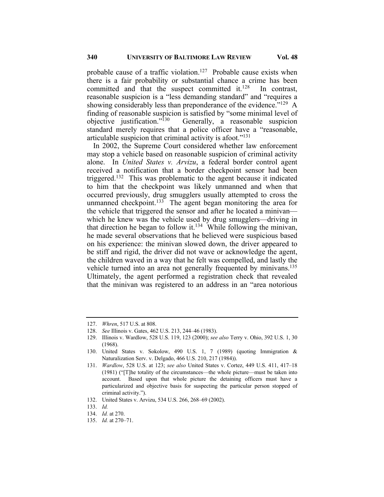probable cause of a traffic violation.<sup>127</sup> Probable cause exists when there is a fair probability or substantial chance a crime has been committed and that the suspect committed it. $128$  In contrast, reasonable suspicion is a "less demanding standard" and "requires a showing considerably less than preponderance of the evidence."<sup>129</sup> A finding of reasonable suspicion is satisfied by "some minimal level of objective justification."130 Generally, a reasonable suspicion standard merely requires that a police officer have a "reasonable, articulable suspicion that criminal activity is afoot."131

In 2002, the Supreme Court considered whether law enforcement may stop a vehicle based on reasonable suspicion of criminal activity alone. In *United States v. Arvizu*, a federal border control agent received a notification that a border checkpoint sensor had been triggered.<sup>132</sup> This was problematic to the agent because it indicated to him that the checkpoint was likely unmanned and when that occurred previously, drug smugglers usually attempted to cross the unmanned checkpoint.<sup>133</sup> The agent began monitoring the area for the vehicle that triggered the sensor and after he located a minivan which he knew was the vehicle used by drug smugglers—driving in that direction he began to follow it.<sup>134</sup> While following the minivan, he made several observations that he believed were suspicious based on his experience: the minivan slowed down, the driver appeared to be stiff and rigid, the driver did not wave or acknowledge the agent, the children waved in a way that he felt was compelled, and lastly the vehicle turned into an area not generally frequented by minivans.<sup>135</sup> Ultimately, the agent performed a registration check that revealed that the minivan was registered to an address in an "area notorious

<sup>127.</sup> *Whren*, 517 U.S. at 808.

<sup>128.</sup> *See* Illinois v. Gates, 462 U.S. 213, 244–46 (1983).

<sup>129.</sup> Illinois v. Wardlow, 528 U.S. 119, 123 (2000); *see also* Terry v. Ohio, 392 U.S. 1, 30 (1968).

<sup>130.</sup> United States v. Sokolow, 490 U.S. 1, 7 (1989) (quoting Immigration & Naturalization Serv. v. Delgado, 466 U.S. 210, 217 (1984)).

<sup>131.</sup> *Wardlow*, 528 U.S. at 123; *see also* United States v. Cortez, 449 U.S. 411, 417–18 (1981) ("[T]he totality of the circumstances—the whole picture—must be taken into account. Based upon that whole picture the detaining officers must have a particularized and objective basis for suspecting the particular person stopped of criminal activity.").

<sup>132.</sup> United States v. Arvizu, 534 U.S. 266, 268–69 (2002).

<sup>133.</sup> *Id.*

<sup>134.</sup> *Id.* at 270.

<sup>135.</sup> *Id.* at 270–71.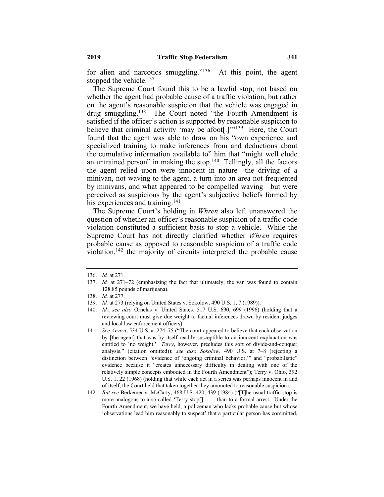for alien and narcotics smuggling." $136$  At this point, the agent stopped the vehicle. $137$ 

The Supreme Court found this to be a lawful stop, not based on whether the agent had probable cause of a traffic violation, but rather on the agent's reasonable suspicion that the vehicle was engaged in drug smuggling.138 The Court noted "the Fourth Amendment is satisfied if the officer's action is supported by reasonable suspicion to believe that criminal activity 'may be afoot[.] $\cdot$ <sup>139</sup> Here, the Court found that the agent was able to draw on his "own experience and specialized training to make inferences from and deductions about the cumulative information available to" him that "might well elude an untrained person" in making the stop.140 Tellingly, all the factors the agent relied upon were innocent in nature—the driving of a minivan, not waving to the agent, a turn into an area not frequented by minivans, and what appeared to be compelled waving—but were perceived as suspicious by the agent's subjective beliefs formed by his experiences and training.<sup>141</sup>

The Supreme Court's holding in *Whren* also left unanswered the question of whether an officer's reasonable suspicion of a traffic code violation constituted a sufficient basis to stop a vehicle. While the Supreme Court has not directly clarified whether *Whren* requires probable cause as opposed to reasonable suspicion of a traffic code violation, $142$  the majority of circuits interpreted the probable cause

<sup>136.</sup> *Id.* at 271.

<sup>137.</sup> *Id.* at 271–72 (emphasizing the fact that ultimately, the van was found to contain 128.85 pounds of marijuana).

<sup>138.</sup> *Id.* at 277.

<sup>139.</sup> *Id.* at 273 (relying on United States v. Sokolow, 490 U.S. 1, 7 (1989)).

<sup>140.</sup> *Id.*; *see also* Ornelas v. United States*,* 517 U.S. 690, 699 (1996) (holding that a reviewing court must give due weight to factual inferences drawn by resident judges and local law enforcement officers).

<sup>141.</sup> *See Arvizu*, 534 U.S. at 274–75 ("The court appeared to believe that each observation by [the agent] that was by itself readily susceptible to an innocent explanation was entitled to 'no weight.' *Terry*, however, precludes this sort of divide-and-conquer analysis." (citation omitted)); *see also Sokolow*, 490 U.S. at 7–8 (rejecting a distinction between "evidence of 'ongoing criminal behavior,'" and "probabilistic" evidence because it "creates unnecessary difficulty in dealing with one of the relatively simple concepts embodied in the Fourth Amendment"); Terry v. Ohio, 392 U.S. 1, 22 (1968) (holding that while each act in a series was perhaps innocent in and of itself, the Court held that taken together they amounted to reasonable suspicion).

<sup>142.</sup> *But see* Berkemer v. McCarty, 468 U.S. 420, 439 (1984) ("[T]he usual traffic stop is more analogous to a so-called 'Terry stop[]' . . . than to a formal arrest. Under the Fourth Amendment, we have held, a policeman who lacks probable cause but whose 'observations lead him reasonably to suspect' that a particular person has committed,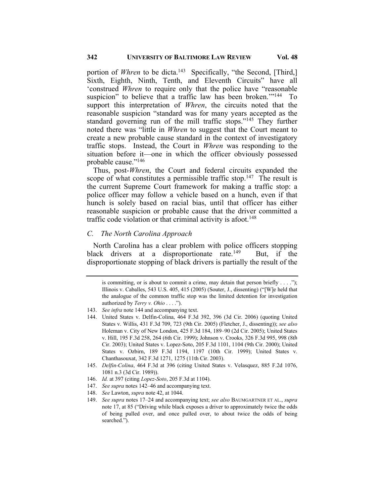portion of *Whren* to be dicta.<sup>143</sup> Specifically, "the Second, [Third,] Sixth, Eighth, Ninth, Tenth, and Eleventh Circuits" have all 'construed *Whren* to require only that the police have "reasonable suspicion" to believe that a traffic law has been broken."<sup>144</sup> To support this interpretation of *Whren*, the circuits noted that the reasonable suspicion "standard was for many years accepted as the standard governing run of the mill traffic stops."<sup>145</sup> They further noted there was "little in *Whren* to suggest that the Court meant to create a new probable cause standard in the context of investigatory traffic stops. Instead, the Court in *Whren* was responding to the situation before it—one in which the officer obviously possessed probable cause."<sup>146</sup>

Thus, post-*Whren*, the Court and federal circuits expanded the scope of what constitutes a permissible traffic stop.<sup>147</sup> The result is the current Supreme Court framework for making a traffic stop: a police officer may follow a vehicle based on a hunch, even if that hunch is solely based on racial bias, until that officer has either reasonable suspicion or probable cause that the driver committed a traffic code violation or that criminal activity is afoot.<sup>148</sup>

#### *C. The North Carolina Approach*

North Carolina has a clear problem with police officers stopping black drivers at a disproportionate rate.<sup>149</sup> But, if the disproportionate stopping of black drivers is partially the result of the

- 145. *Delfin-Colina*, 464 F.3d at 396 (citing United States v. Velasquez, 885 F.2d 1076, 1081 n.3 (3d Cir. 1989)).
- 146. *Id.* at 397 (citing *Lopez-Soto*, 205 F.3d at 1104).
- 147. *See supra* notes 142–46 and accompanying text.
- 148. *See* Lawton, *supra* note 42, at 1044.

is committing, or is about to commit a crime, may detain that person briefly  $\dots$ ."); Illinois v. Caballes, 543 U.S. 405, 415 (2005) (Souter, J., dissenting) ("[W]e held that the analogue of the common traffic stop was the limited detention for investigation authorized by *Terry v. Ohio* . . . .").

<sup>143.</sup> *See infra* note 144 and accompanying text.

<sup>144.</sup> United States v. Delfin-Colina, 464 F.3d 392, 396 (3d Cir. 2006) (quoting United States v. Willis, 431 F.3d 709, 723 (9th Cir. 2005) (Fletcher, J., dissenting)); *see also* Holeman v. City of New London, 425 F.3d 184, 189–90 (2d Cir. 2005); United States v. Hill, 195 F.3d 258, 264 (6th Cir. 1999); Johnson v. Crooks, 326 F.3d 995, 998 (8th Cir. 2003); United States v. Lopez-Soto, 205 F.3d 1101, 1104 (9th Cir. 2000); United States v. Ozbirn, 189 F.3d 1194, 1197 (10th Cir. 1999); United States v. Chanthasouxat, 342 F.3d 1271, 1275 (11th Cir. 2003).

<sup>149.</sup> *See supra* notes 17–24 and accompanying text; *see also* BAUMGARTNER ET AL., *supra* note 17, at 85 ("Driving while black exposes a driver to approximately twice the odds of being pulled over, and once pulled over, to about twice the odds of being searched.").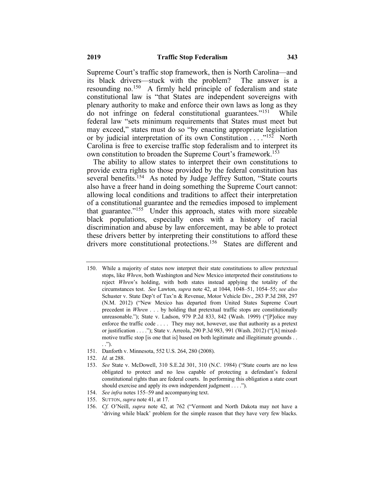Supreme Court's traffic stop framework, then is North Carolina—and its black drivers—stuck with the problem? The answer is a resounding no.150 A firmly held principle of federalism and state constitutional law is "that States are independent sovereigns with plenary authority to make and enforce their own laws as long as they do not infringe on federal constitutional guarantees."151 While federal law "sets minimum requirements that States must meet but may exceed," states must do so "by enacting appropriate legislation or by judicial interpretation of its own Constitution . . . .<sup>"152</sup> North Carolina is free to exercise traffic stop federalism and to interpret its own constitution to broaden the Supreme Court's framework.<sup>153</sup>

The ability to allow states to interpret their own constitutions to provide extra rights to those provided by the federal constitution has several benefits.<sup>154</sup> As noted by Judge Jeffrey Sutton, "State courts" also have a freer hand in doing something the Supreme Court cannot: allowing local conditions and traditions to affect their interpretation of a constitutional guarantee and the remedies imposed to implement that guarantee."155 Under this approach, states with more sizeable black populations, especially ones with a history of racial discrimination and abuse by law enforcement, may be able to protect these drivers better by interpreting their constitutions to afford these drivers more constitutional protections.<sup>156</sup> States are different and

- 151. Danforth v. Minnesota, 552 U.S. 264, 280 (2008).
- 152. *Id.* at 288.
- 153. *See* State v. McDowell, 310 S.E.2d 301, 310 (N.C. 1984) ("State courts are no less obligated to protect and no less capable of protecting a defendant's federal constitutional rights than are federal courts. In performing this obligation a state court should exercise and apply its own independent judgment . . . .").
- 154. *See infra* notes 155–59 and accompanying text.
- 155. SUTTON, *supra* note 41, at 17.

<sup>150.</sup> While a majority of states now interpret their state constitutions to allow pretextual stops, like *Whren*, both Washington and New Mexico interpreted their constitutions to reject *Whren*'s holding, with both states instead applying the totality of the circumstances test. *See* Lawton, *supra* note 42, at 1044, 1048–51, 1054–55; *see also* Schuster v. State Dep't of Tax'n & Revenue, Motor Vehicle Div., 283 P.3d 288, 297 (N.M. 2012) ("New Mexico has departed from United States Supreme Court precedent in *Whren* . . . by holding that pretextual traffic stops are constitutionally unreasonable."); State v. Ladson, 979 P.2d 833, 842 (Wash. 1999) ("[P]olice may enforce the traffic code . . . . They may not, however, use that authority as a pretext or justification . . . ."); State v. Arreola, 290 P.3d 983, 991 (Wash. 2012) ("[A] mixedmotive traffic stop [is one that is] based on both legitimate and illegitimate grounds . . . .").

<sup>156.</sup> *Cf.* O'Neill, *supra* note 42, at 762 ("Vermont and North Dakota may not have a 'driving while black' problem for the simple reason that they have very few blacks.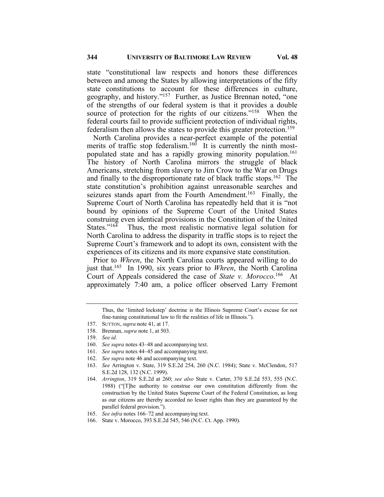state "constitutional law respects and honors these differences between and among the States by allowing interpretations of the fifty state constitutions to account for these differences in culture, geography, and history."157 Further, as Justice Brennan noted, "one of the strengths of our federal system is that it provides a double source of protection for the rights of our citizens."<sup>158</sup> When the federal courts fail to provide sufficient protection of individual rights, federalism then allows the states to provide this greater protection.<sup>159</sup>

North Carolina provides a near-perfect example of the potential merits of traffic stop federalism.<sup>160</sup> It is currently the ninth mostpopulated state and has a rapidly growing minority population.<sup>161</sup> The history of North Carolina mirrors the struggle of black Americans, stretching from slavery to Jim Crow to the War on Drugs and finally to the disproportionate rate of black traffic stops.<sup>162</sup> The state constitution's prohibition against unreasonable searches and seizures stands apart from the Fourth Amendment.<sup>163</sup> Finally, the Supreme Court of North Carolina has repeatedly held that it is "not bound by opinions of the Supreme Court of the United States construing even identical provisions in the Constitution of the United<br>States.<sup>2164</sup> Thus, the most realistic normative legal solution for Thus, the most realistic normative legal solution for North Carolina to address the disparity in traffic stops is to reject the Supreme Court's framework and to adopt its own, consistent with the experiences of its citizens and its more expansive state constitution.

Prior to *Whren*, the North Carolina courts appeared willing to do just that.165 In 1990, six years prior to *Whren*, the North Carolina Court of Appeals considered the case of *State v. Morocco*. <sup>166</sup>At approximately 7:40 am, a police officer observed Larry Fremont

- 161. *See supra* notes 44–45 and accompanying text.
- 162. *See supra* note 46 and accompanying text.

Thus, the 'limited lockstep' doctrine is the Illinois Supreme Court's excuse for not fine-tuning constitutional law to fit the realities of life in Illinois.").

<sup>157.</sup> SUTTON, *supra* note 41, at 17.

<sup>158.</sup> Brennan, *supra* note 1, at 503.

<sup>159.</sup> *See id.*

<sup>160.</sup> *See supra* notes 43–48 and accompanying text.

<sup>163.</sup> *See* Arrington v. State, 319 S.E.2d 254, 260 (N.C. 1984); State v. McClendon, 517 S.E.2d 128, 132 (N.C. 1999).

<sup>164.</sup> *Arrington*, 319 S.E.2d at 260; *see also* State v. Carter, 370 S.E.2d 553, 555 (N.C. 1988) ("[T]he authority to construe our own constitution differently from the construction by the United States Supreme Court of the Federal Constitution, as long as our citizens are thereby accorded no lesser rights than they are guaranteed by the parallel federal provision.").

<sup>165.</sup> *See infra* notes 166–72 and accompanying text.

<sup>166.</sup> State v. Morocco, 393 S.E.2d 545, 546 (N.C. Ct. App. 1990).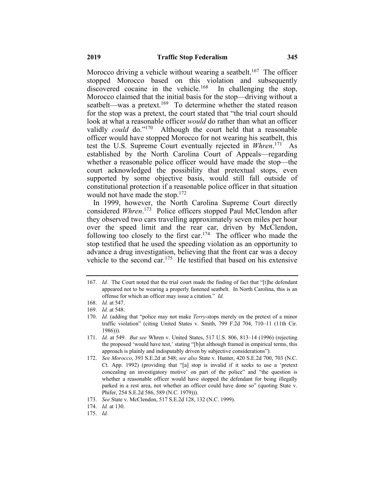Morocco driving a vehicle without wearing a seatbelt.<sup>167</sup> The officer stopped Morocco based on this violation and subsequently discovered cocaine in the vehicle.<sup>168</sup> In challenging the stop, Morocco claimed that the initial basis for the stop—driving without a seatbelt—was a pretext.<sup>169</sup> To determine whether the stated reason for the stop was a pretext, the court stated that "the trial court should look at what a reasonable officer *would* do rather than what an officer validly *could* do."170 Although the court held that a reasonable officer would have stopped Morocco for not wearing his seatbelt, this test the U.S. Supreme Court eventually rejected in *Whren*. <sup>171</sup>As established by the North Carolina Court of Appeals—regarding whether a reasonable police officer would have made the stop—the court acknowledged the possibility that pretextual stops, even supported by some objective basis, would still fall outside of constitutional protection if a reasonable police officer in that situation would not have made the stop. $172$ 

In 1999, however, the North Carolina Supreme Court directly considered *Whren*. 173 Police officers stopped Paul McClendon after they observed two cars travelling approximately seven miles per hour over the speed limit and the rear car, driven by McClendon, following too closely to the first car.<sup>174</sup> The officer who made the stop testified that he used the speeding violation as an opportunity to advance a drug investigation, believing that the front car was a decoy vehicle to the second car.<sup>175</sup> He testified that based on his extensive

<sup>167.</sup> *Id.* The Court noted that the trial court made the finding of fact that "[t]he defendant appeared not to be wearing a properly fastened seatbelt. In North Carolina, this is an offense for which an officer may issue a citation." *Id.*

<sup>168.</sup> *Id.* at 547.

<sup>169.</sup> *Id.* at 548.

<sup>170.</sup> *Id.* (adding that "police may not make *Terry*-stops merely on the pretext of a minor traffic violation" (citing United States v. Smith, 799 F.2d 704, 710–11 (11th Cir. 1986))).

<sup>171.</sup> *Id.* at 549. *But see* Whren v. United States, 517 U.S. 806, 813–14 (1996) (rejecting the proposed 'would have test,' stating "[b]ut although framed in empirical terms, this approach is plainly and indisputably driven by subjective considerations").

<sup>172.</sup> *See Morocco*, 393 S.E.2d at 548; *see also* State v. Hunter, 420 S.E.2d 700, 703 (N.C. Ct. App. 1992) (providing that "[a] stop is invalid if it seeks to use a 'pretext concealing an investigatory motive' on part of the police" and "the question is whether a reasonable officer would have stopped the defendant for being illegally parked in a rest area, not whether an officer could have done so" (quoting State v. Phifer, 254 S.E.2d 586, 589 (N.C. 1979))).

<sup>173.</sup> *See* State v. McClendon, 517 S.E.2d 128, 132 (N.C. 1999).

<sup>174.</sup> *Id.* at 130.

<sup>175.</sup> *Id.*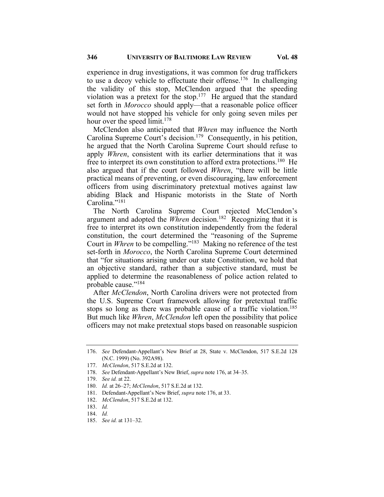experience in drug investigations, it was common for drug traffickers to use a decoy vehicle to effectuate their offense.<sup>176</sup> In challenging the validity of this stop, McClendon argued that the speeding violation was a pretext for the stop.<sup>177</sup> He argued that the standard set forth in *Morocco* should apply—that a reasonable police officer would not have stopped his vehicle for only going seven miles per hour over the speed limit.<sup>178</sup>

McClendon also anticipated that *Whren* may influence the North Carolina Supreme Court's decision.<sup>179</sup> Consequently, in his petition, he argued that the North Carolina Supreme Court should refuse to apply *Whren*, consistent with its earlier determinations that it was free to interpret its own constitution to afford extra protections.180 He also argued that if the court followed *Whren*, "there will be little practical means of preventing, or even discouraging, law enforcement officers from using discriminatory pretextual motives against law abiding Black and Hispanic motorists in the State of North Carolina." $181$ 

The North Carolina Supreme Court rejected McClendon's argument and adopted the *Whren* decision.<sup>182</sup> Recognizing that it is free to interpret its own constitution independently from the federal constitution, the court determined the "reasoning of the Supreme Court in *Whren* to be compelling."183 Making no reference of the test set-forth in *Morocco*, the North Carolina Supreme Court determined that "for situations arising under our state Constitution, we hold that an objective standard, rather than a subjective standard, must be applied to determine the reasonableness of police action related to probable cause."184

After *McClendon*, North Carolina drivers were not protected from the U.S. Supreme Court framework allowing for pretextual traffic stops so long as there was probable cause of a traffic violation.<sup>185</sup> But much like *Whren*, *McClendon* left open the possibility that police officers may not make pretextual stops based on reasonable suspicion

<sup>176.</sup> *See* Defendant-Appellant's New Brief at 28, State v. McClendon, 517 S.E.2d 128 (N.C. 1999) (No. 392A98).

<sup>177.</sup> *McClendon*, 517 S.E.2d at 132.

<sup>178.</sup> *See* Defendant-Appellant's New Brief, *supra* note 176, at 34–35.

<sup>179.</sup> *See id.* at 22.

<sup>180.</sup> *Id.* at 26–27; *McClendon*, 517 S.E.2d at 132.

<sup>181.</sup> Defendant-Appellant's New Brief, *supra* note 176, at 33.

<sup>182.</sup> *McClendon*, 517 S.E.2d at 132.

<sup>183.</sup> *Id.*

<sup>184.</sup> *Id.*

<sup>185.</sup> *See id.* at 131–32.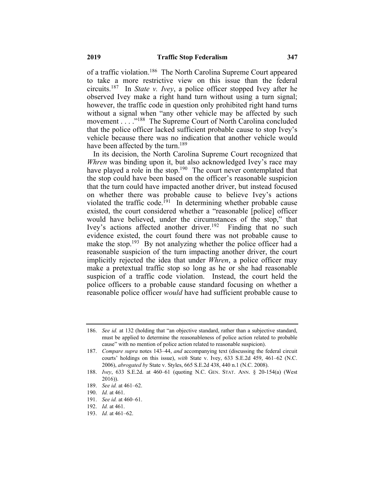of a traffic violation.186 The North Carolina Supreme Court appeared to take a more restrictive view on this issue than the federal circuits.187 In *State v. Ivey*, a police officer stopped Ivey after he observed Ivey make a right hand turn without using a turn signal; however, the traffic code in question only prohibited right hand turns without a signal when "any other vehicle may be affected by such movement . . . . "<sup>188</sup> The Supreme Court of North Carolina concluded that the police officer lacked sufficient probable cause to stop Ivey's vehicle because there was no indication that another vehicle would have been affected by the turn.<sup>189</sup>

In its decision, the North Carolina Supreme Court recognized that *Whren* was binding upon it, but also acknowledged Ivey's race may have played a role in the stop.<sup>190</sup> The court never contemplated that the stop could have been based on the officer's reasonable suspicion that the turn could have impacted another driver, but instead focused on whether there was probable cause to believe Ivey's actions violated the traffic code.<sup>191</sup> In determining whether probable cause existed, the court considered whether a "reasonable [police] officer would have believed, under the circumstances of the stop," that Ivey's actions affected another driver.<sup>192</sup> Finding that no such evidence existed, the court found there was not probable cause to make the stop.<sup>193</sup> By not analyzing whether the police officer had a reasonable suspicion of the turn impacting another driver, the court implicitly rejected the idea that under *Whren*, a police officer may make a pretextual traffic stop so long as he or she had reasonable suspicion of a traffic code violation. Instead, the court held the police officers to a probable cause standard focusing on whether a reasonable police officer *would* have had sufficient probable cause to

189. *See id.* at 461–62.

- 191. *See id.* at 460–61.
- 192. *Id.* at 461.
- 193. *Id.* at 461–62.

<sup>186.</sup> *See id.* at 132 (holding that "an objective standard, rather than a subjective standard, must be applied to determine the reasonableness of police action related to probable cause" with no mention of police action related to reasonable suspicion).

<sup>187.</sup> *Compare supra* notes 143–44, *and* accompanying text (discussing the federal circuit courts' holdings on this issue), *with* State v. Ivey, 633 S.E.2d 459, 461–62 (N.C. 2006), *abrogated by* State v. Styles, 665 S.E.2d 438, 440 n.1 (N.C. 2008).

<sup>188.</sup> *Ivey*, 633 S.E.2d. at 460–61 (quoting N.C. GEN. STAT. ANN. § 20-154(a) (West 2016)).

<sup>190.</sup> *Id.* at 461.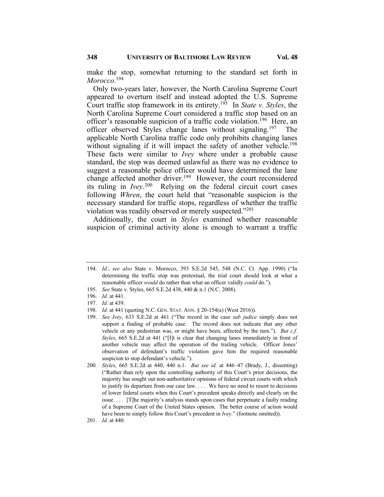make the stop, somewhat returning to the standard set forth in *Morocco*. 194

Only two-years later, however, the North Carolina Supreme Court appeared to overturn itself and instead adopted the U.S. Supreme Court traffic stop framework in its entirety.195 In *State v. Styles*, the North Carolina Supreme Court considered a traffic stop based on an officer's reasonable suspicion of a traffic code violation.<sup>196</sup> Here, an officer observed Styles change lanes without signaling.<sup>197</sup> The applicable North Carolina traffic code only prohibits changing lanes without signaling if it will impact the safety of another vehicle.<sup>198</sup> These facts were similar to *Ivey* where under a probable cause standard, the stop was deemed unlawful as there was no evidence to suggest a reasonable police officer would have determined the lane change affected another driver.<sup>199</sup> However, the court reconsidered its ruling in *Ivey*. <sup>200</sup>Relying on the federal circuit court cases following *Whren*, the court held that "reasonable suspicion is the necessary standard for traffic stops, regardless of whether the traffic violation was readily observed or merely suspected."201

Additionally, the court in *Styles* examined whether reasonable suspicion of criminal activity alone is enough to warrant a traffic

<sup>194.</sup> *Id.*; *see also* State v. Morocco, 393 S.E.2d 545, 548 (N.C. Ct. App. 1990) ("In determining the traffic stop was pretextual, the trial court should look at what a reasonable officer *would* do rather than what an officer validly *could* do.").

<sup>195.</sup> *See* State v. Styles, 665 S.E.2d 438, 440 & n.1 (N.C. 2008).

<sup>196.</sup> *Id.* at 441.

<sup>197.</sup> *Id.* at 439.

<sup>198.</sup> *Id.* at 441 (quoting N.C. GEN. STAT. ANN. § 20-154(a) (West 2016)).

<sup>199.</sup> *See Ivey*, 633 S.E.2d at 461 ("The record in the case *sub judice* simply does not support a finding of probable case. The record does not indicate that any other vehicle or any pedestrian was, or might have been, affected by the turn."). *But c.f. Styles*, 665 S.E.2d at 441 ("[I]t is clear that changing lanes immediately in front of another vehicle may affect the operation of the trailing vehicle. Officer Jones' observation of defendant's traffic violation gave him the required reasonable suspicion to stop defendant's vehicle.").

<sup>200</sup>*. Styles*, 665 S.E.2d at 440, 440 n.1. *But see id.* at 446–47 (Brady, J., dissenting) ("Rather than rely upon the controlling authority of this Court's prior decisions, the majority has sought out non-authoritative opinions of federal circuit courts with which to justify its departure from our case law. . . . We have no need to resort to decisions of lower federal courts when this Court's precedent speaks directly and clearly on the issue. . . . [T]he majority's analysis stands upon cases that perpetuate a faulty reading of a Supreme Court of the United States opinion. The better course of action would have been to simply follow this Court's precedent in *Ivey*." (footnote omitted)).

<sup>201.</sup> *Id.* at 440.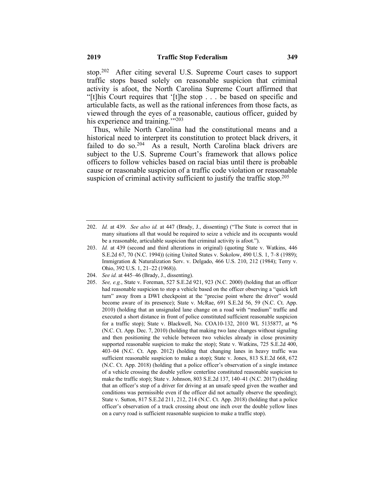stop.202 After citing several U.S. Supreme Court cases to support traffic stops based solely on reasonable suspicion that criminal activity is afoot, the North Carolina Supreme Court affirmed that "[t]his Court requires that '[t]he stop . . . be based on specific and articulable facts, as well as the rational inferences from those facts, as viewed through the eyes of a reasonable, cautious officer, guided by his experience and training."<sup>203</sup>

Thus, while North Carolina had the constitutional means and a historical need to interpret its constitution to protect black drivers, it failed to do so.<sup>204</sup> As a result, North Carolina black drivers are subject to the U.S. Supreme Court's framework that allows police officers to follow vehicles based on racial bias until there is probable cause or reasonable suspicion of a traffic code violation or reasonable suspicion of criminal activity sufficient to justify the traffic stop.<sup>205</sup>

204. *See id.* at 445–46 (Brady, J., dissenting).

<sup>202.</sup> *Id.* at 439. *See also id.* at 447 (Brady, J., dissenting) ("The State is correct that in many situations all that would be required to seize a vehicle and its occupants would be a reasonable, articulable suspicion that criminal activity is afoot.").

<sup>203.</sup> *Id.* at 439 (second and third alterations in original) (quoting State v. Watkins, 446 S.E.2d 67, 70 (N.C. 1994)) (citing United States v. Sokolow, 490 U.S. 1, 7–8 (1989); Immigration & Naturalization Serv. v. Delgado, 466 U.S. 210, 212 (1984); Terry v. Ohio, 392 U.S. 1, 21–22 (1968)).

<sup>205.</sup> *See, e.g.*, State v. Foreman, 527 S.E.2d 921, 923 (N.C. 2000) (holding that an officer had reasonable suspicion to stop a vehicle based on the officer observing a "quick left turn" away from a DWI checkpoint at the "precise point where the driver" would become aware of its presence); State v. McRae, 691 S.E.2d 56, 59 (N.C. Ct. App. 2010) (holding that an unsignaled lane change on a road with "medium" traffic and executed a short distance in front of police constituted sufficient reasonable suspicion for a traffic stop); State v. Blackwell, No. COA10-132, 2010 WL 5135877, at \*6 (N.C. Ct. App. Dec. 7, 2010) (holding that making two lane changes without signaling and then positioning the vehicle between two vehicles already in close proximity supported reasonable suspicion to make the stop); State v. Watkins, 725 S.E.2d 400, 403–04 (N.C. Ct. App. 2012) (holding that changing lanes in heavy traffic was sufficient reasonable suspicion to make a stop); State v. Jones, 813 S.E.2d 668, 672 (N.C. Ct. App. 2018) (holding that a police officer's observation of a single instance of a vehicle crossing the double yellow centerline constituted reasonable suspicion to make the traffic stop); State v. Johnson, 803 S.E.2d 137, 140–41 (N.C. 2017) (holding that an officer's stop of a driver for driving at an unsafe speed given the weather and conditions was permissible even if the officer did not actually observe the speeding); State v. Sutton, 817 S.E.2d 211, 212, 214 (N.C. Ct. App. 2018) (holding that a police officer's observation of a truck crossing about one inch over the double yellow lines on a curvy road is sufficient reasonable suspicion to make a traffic stop).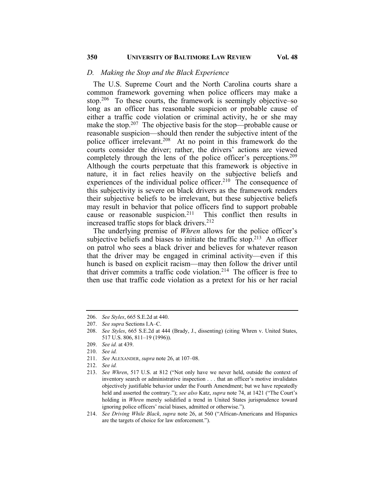#### *D. Making the Stop and the Black Experience*

The U.S. Supreme Court and the North Carolina courts share a common framework governing when police officers may make a stop.<sup>206</sup> To these courts, the framework is seemingly objective–so long as an officer has reasonable suspicion or probable cause of either a traffic code violation or criminal activity, he or she may make the stop.<sup>207</sup> The objective basis for the stop—probable cause or reasonable suspicion—should then render the subjective intent of the police officer irrelevant.208 At no point in this framework do the courts consider the driver; rather, the drivers' actions are viewed completely through the lens of the police officer's perceptions.<sup>209</sup> Although the courts perpetuate that this framework is objective in nature, it in fact relies heavily on the subjective beliefs and experiences of the individual police officer.<sup>210</sup> The consequence of this subjectivity is severe on black drivers as the framework renders their subjective beliefs to be irrelevant, but these subjective beliefs may result in behavior that police officers find to support probable cause or reasonable suspicion.211 This conflict then results in increased traffic stops for black drivers.<sup>212</sup>

The underlying premise of *Whren* allows for the police officer's subjective beliefs and biases to initiate the traffic stop.<sup>213</sup> An officer on patrol who sees a black driver and believes for whatever reason that the driver may be engaged in criminal activity—even if this hunch is based on explicit racism—may then follow the driver until that driver commits a traffic code violation.<sup>214</sup> The officer is free to then use that traffic code violation as a pretext for his or her racial

<sup>206.</sup> *See Styles*, 665 S.E.2d at 440.

<sup>207.</sup> *See supra* Sections I.A–C.

<sup>208.</sup> *See Styles*, 665 S.E.2d at 444 (Brady, J., dissenting) (citing Whren v. United States, 517 U.S. 806, 811–19 (1996)).

<sup>209.</sup> *See id.* at 439.

<sup>210.</sup> *See id.*

<sup>211.</sup> *See* ALEXANDER, *supra* note 26, at 107–08.

<sup>212.</sup> *See id.*

<sup>213.</sup> *See Whren*, 517 U.S. at 812 ("Not only have we never held, outside the context of inventory search or administrative inspection . . . that an officer's motive invalidates objectively justifiable behavior under the Fourth Amendment; but we have repeatedly held and asserted the contrary."); *see also* Katz, *supra* note 74, at 1421 ("The Court's holding in *Whren* merely solidified a trend in United States jurisprudence toward ignoring police officers' racial biases, admitted or otherwise.").

<sup>214.</sup> *See Driving While Black*, *supra* note 26, at 560 ("African-Americans and Hispanics are the targets of choice for law enforcement.").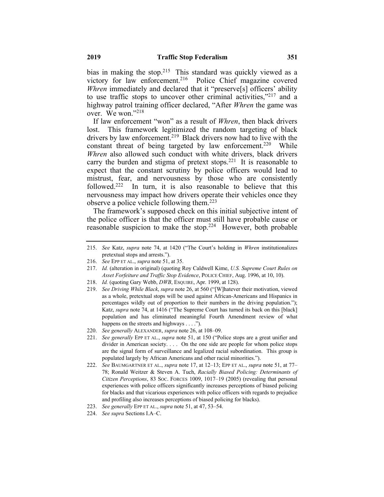bias in making the stop.<sup>215</sup> This standard was quickly viewed as a victory for law enforcement.<sup>216</sup> Police Chief magazine covered *Whren* immediately and declared that it "preserve[s] officers' ability to use traffic stops to uncover other criminal activities," $2^{17}$  and a highway patrol training officer declared, "After *Whren* the game was over. We won."218

If law enforcement "won" as a result of *Whren*, then black drivers lost. This framework legitimized the random targeting of black drivers by law enforcement.<sup>219</sup> Black drivers now had to live with the constant threat of being targeted by law enforcement.<sup>220</sup> While *Whren* also allowed such conduct with white drivers, black drivers carry the burden and stigma of pretext stops.<sup>221</sup> It is reasonable to expect that the constant scrutiny by police officers would lead to mistrust, fear, and nervousness by those who are consistently followed.<sup>222</sup> In turn, it is also reasonable to believe that this nervousness may impact how drivers operate their vehicles once they observe a police vehicle following them.<sup>223</sup>

The framework's supposed check on this initial subjective intent of the police officer is that the officer must still have probable cause or reasonable suspicion to make the stop.<sup>224</sup> However, both probable

219. *See Driving While Black*, *supra* note 26, at 560 ("[W]hatever their motivation, viewed as a whole, pretextual stops will be used against African-Americans and Hispanics in percentages wildly out of proportion to their numbers in the driving population."); Katz, *supra* note 74, at 1416 ("The Supreme Court has turned its back on this [black] population and has eliminated meaningful Fourth Amendment review of what happens on the streets and highways . . . .").

- 221. *See generally* EPP ET AL., *supra* note 51, at 150 ("Police stops are a great unifier and divider in American society. . . . On the one side are people for whom police stops are the signal form of surveillance and legalized racial subordination. This group is populated largely by African Americans and other racial minorities.").
- 222. *See* BAUMGARTNER ET AL., *supra* note 17, at 12–13; EPP ET AL., *supra* note 51, at 77– 78; Ronald Weitzer & Steven A. Tuch, *Racially Biased Policing: Determinants of Citizen Perceptions*, 83 SOC. FORCES 1009, 1017–19 (2005) (revealing that personal experiences with police officers significantly increases perceptions of biased policing for blacks and that vicarious experiences with police officers with regards to prejudice and profiling also increases perceptions of biased policing for blacks).
- 223. *See generally* EPP ET AL., *supra* note 51, at 47, 53–54.
- 224. *See supra* Sections I.A–C.

<sup>215.</sup> *See* Katz, *supra* note 74, at 1420 ("The Court's holding in *Whren* institutionalizes pretextual stops and arrests.").

<sup>216.</sup> *See* EPP ET AL., *supra* note 51, at 35.

<sup>217.</sup> *Id.* (alteration in original) (quoting Roy Caldwell Kime, *U.S. Supreme Court Rules on Asset Forfeiture and Traffic Stop Evidence*, POLICE CHIEF, Aug. 1996, at 10, 10).

<sup>218.</sup> *Id.* (quoting Gary Webb, *DWB*, ESQUIRE, Apr. 1999, at 128).

<sup>220.</sup> *See generally* ALEXANDER, *supra* note 26, at 108–09.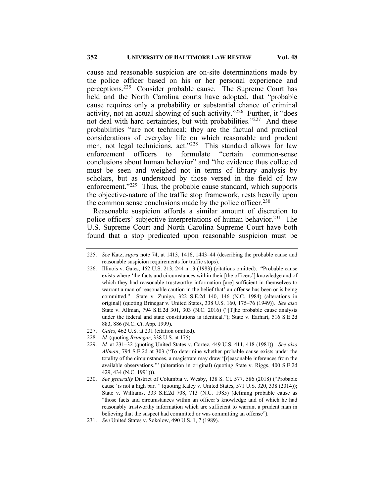cause and reasonable suspicion are on-site determinations made by the police officer based on his or her personal experience and perceptions.225 Consider probable cause. The Supreme Court has held and the North Carolina courts have adopted, that "probable cause requires only a probability or substantial chance of criminal activity, not an actual showing of such activity."226 Further, it "does not deal with hard certainties, but with probabilities."<sup>227</sup> And these probabilities "are not technical; they are the factual and practical considerations of everyday life on which reasonable and prudent men, not legal technicians, act."<sup>228</sup> This standard allows for law enforcement officers to formulate "certain common-sense conclusions about human behavior" and "the evidence thus collected must be seen and weighed not in terms of library analysis by scholars, but as understood by those versed in the field of law enforcement."<sup>229</sup> Thus, the probable cause standard, which supports the objective-nature of the traffic stop framework, rests heavily upon the common sense conclusions made by the police officer.<sup>230</sup>

Reasonable suspicion affords a similar amount of discretion to police officers' subjective interpretations of human behavior.<sup>231</sup> The U.S. Supreme Court and North Carolina Supreme Court have both found that a stop predicated upon reasonable suspicion must be

- 226. Illinois v. Gates, 462 U.S. 213, 244 n.13 (1983) (citations omitted). "Probable cause exists where 'the facts and circumstances within their [the officers'] knowledge and of which they had reasonable trustworthy information [are] sufficient in themselves to warrant a man of reasonable caution in the belief that' an offense has been or is being committed." State v. Zuniga, 322 S.E.2d 140, 146 (N.C. 1984) (alterations in original) (quoting Brinegar v. United States, 338 U.S. 160, 175–76 (1949)). *See also* State v. Allman, 794 S.E.2d 301, 303 (N.C. 2016) ("[T]he probable cause analysis under the federal and state constitutions is identical."); State v. Earhart, 516 S.E.2d 883, 886 (N.C. Ct. App. 1999).
- 227. *Gates*, 462 U.S. at 231 (citation omitted).
- 228*. Id.* (quoting *Brinegar*, 338 U.S. at 175).
- 229. *Id.* at 231–32 (quoting United States v. Cortez, 449 U.S. 411, 418 (1981)). *See also Allman*, 794 S.E.2d at 303 ("To determine whether probable cause exists under the totality of the circumstances, a magistrate may draw '[r]easonable inferences from the available observations.'" (alteration in original) (quoting State v. Riggs, 400 S.E.2d 429, 434 (N.C. 1991))).
- 230. *See generally* District of Columbia v. Wesby, 138 S. Ct. 577, 586 (2018) ("Probable cause 'is not a high bar.'" (quoting Kaley v. United States, 571 U.S. 320, 338 (2014)); State v. Williams, 333 S.E.2d 708, 713 (N.C. 1985) (defining probable cause as "those facts and circumstances within an officer's knowledge and of which he had reasonably trustworthy information which are sufficient to warrant a prudent man in believing that the suspect had committed or was committing an offense").
- 231. *See* United States v. Sokolow, 490 U.S. 1, 7 (1989).

<sup>225.</sup> *See* Katz, *supra* note 74, at 1413, 1416, 1443–44 (describing the probable cause and reasonable suspicion requirements for traffic stops).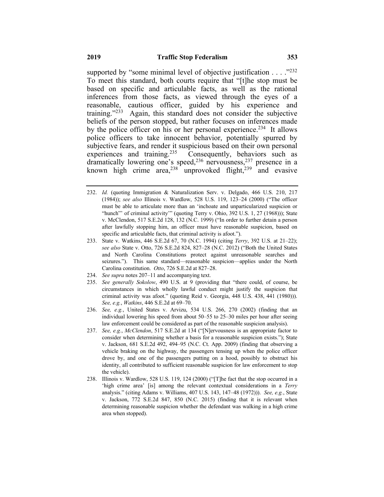supported by "some minimal level of objective justification  $\dots$ ."<sup>232</sup> To meet this standard, both courts require that "[t]he stop must be based on specific and articulable facts, as well as the rational inferences from those facts, as viewed through the eyes of a reasonable, cautious officer, guided by his experience and training."233 Again, this standard does not consider the subjective beliefs of the person stopped, but rather focuses on inferences made by the police officer on his or her personal experience.<sup>234</sup> It allows police officers to take innocent behavior, potentially spurred by subjective fears, and render it suspicious based on their own personal experiences and training.<sup>235</sup> Consequently, behaviors such as dramatically lowering one's speed,  $236$  nervousness,  $237$  presence in a known high crime area,  $238$  unprovoked flight,  $239$  and evasive

- 233. State v. Watkins, 446 S.E.2d 67, 70 (N.C. 1994) (citing *Terry*, 392 U.S. at 21–22); *see also* State v. Otto, 726 S.E.2d 824, 827–28 (N.C. 2012) ("Both the United States and North Carolina Constitutions protect against unreasonable searches and seizures."). This same standard—reasonable suspicion—applies under the North Carolina constitution. *Otto*, 726 S.E.2d at 827–28.
- 234. *See supra* notes 207–11 and accompanying text.
- 235. *See generally Sokolow*, 490 U.S. at 9 (providing that "there could, of course, be circumstances in which wholly lawful conduct might justify the suspicion that criminal activity was afoot." (quoting Reid v. Georgia, 448 U.S. 438, 441 (1980))). *See, e.g.*, *Watkins*, 446 S.E.2d at 69–70.
- 236. *See, e.g.*, United States v. Arvizu, 534 U.S. 266, 270 (2002) (finding that an individual lowering his speed from about 50–55 to 25–30 miles per hour after seeing law enforcement could be considered as part of the reasonable suspicion analysis).
- 237. *See, e.g.*, *McClendon*, 517 S.E.2d at 134 ("[N]ervousness is an appropriate factor to consider when determining whether a basis for a reasonable suspicion exists."); State v. Jackson, 681 S.E.2d 492, 494–95 (N.C. Ct. App. 2009) (finding that observing a vehicle braking on the highway, the passengers tensing up when the police officer drove by, and one of the passengers putting on a hood, possibly to obstruct his identity, all contributed to sufficient reasonable suspicion for law enforcement to stop the vehicle).
- 238. Illinois v. Wardlow, 528 U.S. 119, 124 (2000) ("[T]he fact that the stop occurred in a 'high crime area' [is] among the relevant contextual considerations in a *Terry* analysis." (citing Adams v. Williams, 407 U.S. 143, 147–48 (1972))). *See, e.g.*, State v. Jackson, 772 S.E.2d 847, 850 (N.C. 2015) (finding that it is relevant when determining reasonable suspicion whether the defendant was walking in a high crime area when stopped).

<sup>232.</sup> *Id.* (quoting Immigration & Naturalization Serv. v. Delgado, 466 U.S. 210, 217 (1984)); *see also* Illinois v. Wardlow, 528 U.S. 119, 123–24 (2000) ("The officer must be able to articulate more than an 'inchoate and unparticularized suspicion or "hunch" of criminal activity" (quoting Terry v. Ohio, 392 U.S. 1, 27 (1968))); State v. McClendon, 517 S.E.2d 128, 132 (N.C. 1999) ("In order to further detain a person after lawfully stopping him, an officer must have reasonable suspicion, based on specific and articulable facts, that criminal activity is afoot.").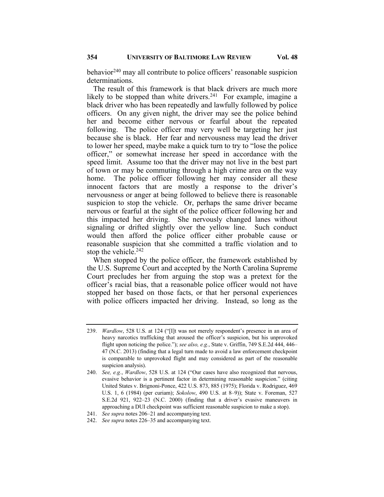behavior<sup>240</sup> may all contribute to police officers' reasonable suspicion determinations.

The result of this framework is that black drivers are much more likely to be stopped than white drivers.<sup>241</sup> For example, imagine a black driver who has been repeatedly and lawfully followed by police officers. On any given night, the driver may see the police behind her and become either nervous or fearful about the repeated following. The police officer may very well be targeting her just because she is black. Her fear and nervousness may lead the driver to lower her speed, maybe make a quick turn to try to "lose the police officer," or somewhat increase her speed in accordance with the speed limit. Assume too that the driver may not live in the best part of town or may be commuting through a high crime area on the way home. The police officer following her may consider all these innocent factors that are mostly a response to the driver's nervousness or anger at being followed to believe there is reasonable suspicion to stop the vehicle. Or, perhaps the same driver became nervous or fearful at the sight of the police officer following her and this impacted her driving. She nervously changed lanes without signaling or drifted slightly over the yellow line. Such conduct would then afford the police officer either probable cause or reasonable suspicion that she committed a traffic violation and to stop the vehicle. $242$ 

When stopped by the police officer, the framework established by the U.S. Supreme Court and accepted by the North Carolina Supreme Court precludes her from arguing the stop was a pretext for the officer's racial bias, that a reasonable police officer would not have stopped her based on those facts, or that her personal experiences with police officers impacted her driving. Instead, so long as the

<sup>239.</sup> *Wardlow*, 528 U.S. at 124 ("[I]t was not merely respondent's presence in an area of heavy narcotics trafficking that aroused the officer's suspicion, but his unprovoked flight upon noticing the police."); *see also, e.g.*, State v. Griffin, 749 S.E.2d 444, 446– 47 (N.C. 2013) (finding that a legal turn made to avoid a law enforcement checkpoint is comparable to unprovoked flight and may considered as part of the reasonable suspicion analysis).

<sup>240.</sup> *See, e.g.*, *Wardlow*, 528 U.S. at 124 ("Our cases have also recognized that nervous, evasive behavior is a pertinent factor in determining reasonable suspicion." (citing United States v. Brignoni-Ponce, 422 U.S. 873, 885 (1975); Florida v. Rodriguez, 469 U.S. 1, 6 (1984) (per curiam); *Sokolow*, 490 U.S. at 8–9)); State v. Foreman, 527 S.E.2d 921, 922–23 (N.C. 2000) (finding that a driver's evasive maneuvers in approaching a DUI checkpoint was sufficient reasonable suspicion to make a stop).

<sup>241.</sup> *See supra* notes 206–21 and accompanying text.

<sup>242.</sup> *See supra* notes 226–35 and accompanying text.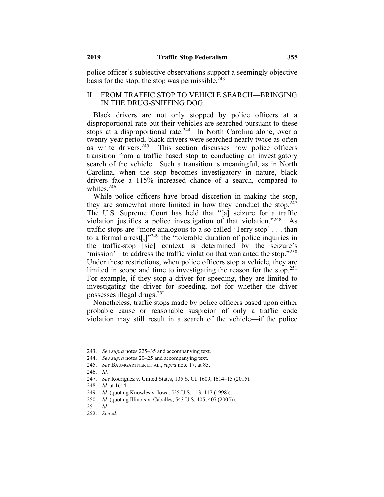police officer's subjective observations support a seemingly objective basis for the stop, the stop was permissible.  $243$ 

# II. FROM TRAFFIC STOP TO VEHICLE SEARCH—BRINGING IN THE DRUG-SNIFFING DOG

Black drivers are not only stopped by police officers at a disproportional rate but their vehicles are searched pursuant to these stops at a disproportional rate.<sup>244</sup> In North Carolina alone, over a twenty-year period, black drivers were searched nearly twice as often as white drivers.<sup>245</sup> This section discusses how police officers transition from a traffic based stop to conducting an investigatory search of the vehicle. Such a transition is meaningful, as in North Carolina, when the stop becomes investigatory in nature, black drivers face a 115% increased chance of a search, compared to whites.246

While police officers have broad discretion in making the stop, they are somewhat more limited in how they conduct the stop.<sup>247</sup> The U.S. Supreme Court has held that "[a] seizure for a traffic violation justifies a police investigation of that violation. $1248$  As traffic stops are "more analogous to a so-called 'Terry stop' . . . than to a formal arrest[,]"249 the "tolerable duration of police inquiries in the traffic-stop [sic] context is determined by the seizure's 'mission'—to address the traffic violation that warranted the stop."250 Under these restrictions, when police officers stop a vehicle, they are limited in scope and time to investigating the reason for the stop.<sup>251</sup> For example, if they stop a driver for speeding, they are limited to investigating the driver for speeding, not for whether the driver possesses illegal drugs.252

Nonetheless, traffic stops made by police officers based upon either probable cause or reasonable suspicion of only a traffic code violation may still result in a search of the vehicle—if the police

<sup>243.</sup> *See supra* notes 225–35 and accompanying text.

<sup>244.</sup> *See supra* notes 20–25 and accompanying text.

<sup>245.</sup> *See* BAUMGARTNER ET AL., *supra* note 17, at 85.

<sup>246.</sup> *Id.*

<sup>247.</sup> *See* Rodriguez v. United States, 135 S. Ct. 1609, 1614–15 (2015).

<sup>248.</sup> *Id.* at 1614.

<sup>249.</sup> *Id.* (quoting Knowles v. Iowa, 525 U.S. 113, 117 (1998)).

<sup>250.</sup> *Id.* (quoting Illinois v. Caballes, 543 U.S. 405, 407 (2005)).

<sup>251.</sup> *Id.*

<sup>252.</sup> *See id.*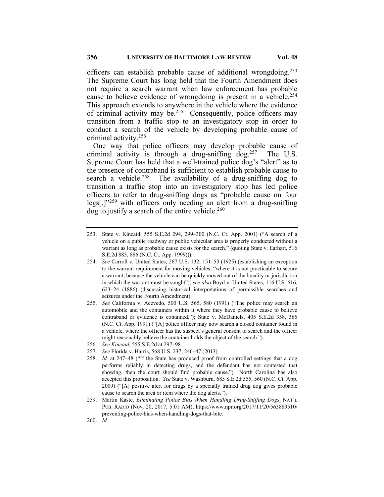officers can establish probable cause of additional wrongdoing.253 The Supreme Court has long held that the Fourth Amendment does not require a search warrant when law enforcement has probable cause to believe evidence of wrongdoing is present in a vehicle.<sup>254</sup> This approach extends to anywhere in the vehicle where the evidence of criminal activity may be.255 Consequently, police officers may transition from a traffic stop to an investigatory stop in order to conduct a search of the vehicle by developing probable cause of criminal activity.256

One way that police officers may develop probable cause of criminal activity is through a drug-sniffing dog.<sup>257</sup> The U.S. Supreme Court has held that a well-trained police dog's "alert" as to the presence of contraband is sufficient to establish probable cause to search a vehicle.<sup>258</sup> The availability of a drug-sniffing dog to transition a traffic stop into an investigatory stop has led police officers to refer to drug-sniffing dogs as "probable cause on four legs[,] $v^{259}$  with officers only needing an alert from a drug-sniffing  $\log$  to justify a search of the entire vehicle.<sup>260</sup>

- 254. *See* Carroll v. United States, 267 U.S. 132, 151–53 (1925) (establishing an exception to the warrant requirement for moving vehicles, "where it is not practicable to secure a warrant, because the vehicle can be quickly moved out of the locality or jurisdiction in which the warrant must be sought"); *see also* Boyd v. United States, 116 U.S. 616, 623–24 (1886) (discussing historical interpretations of permissible searches and seizures under the Fourth Amendment).
- 255. *See* California v. Acevedo, 500 U.S. 565, 580 (1991) ("The police may search an automobile and the containers within it where they have probable cause to believe contraband or evidence is contained."); State v. McDaniels, 405 S.E.2d 358, 366 (N.C. Ct. App. 1991) ("[A] police officer may now search a closed container found in a vehicle, where the officer has the suspect's general consent to search and the officer might reasonably believe the container holds the object of the search.").
- 256. *See Kincaid*, 555 S.E.2d at 297–98.
- 257. *See* Florida v. Harris, 568 U.S. 237, 246–47 (2013).
- 258. *Id.* at 247–48 ("If the State has produced proof from controlled settings that a dog performs reliably in detecting drugs, and the defendant has not contested that showing, then the court should find probable cause."). North Carolina has also accepted this proposition. *See* State v. Washburn, 685 S.E.2d 555, 560 (N.C. Ct. App. 2009) ("[A] positive alert for drugs by a specially trained drug dog gives probable cause to search the area or item where the dog alerts.").
- 259. Martin Kaste, *Eliminating Police Bias When Handling Drug-Sniffing Dogs*, NAT'L PUB. RADIO (Nov. 20, 2017, 5:01 AM), https://www.npr.org/2017/11/20/563889510/ preventing-police-bias-when-handling-dogs-that-bite.

<sup>253.</sup> State v. Kincaid, 555 S.E.2d 294, 299–300 (N.C. Ct. App. 2001) ("A search of a vehicle on a public roadway or public vehicular area is properly conducted without a warrant as long as probable cause exists for the search." (quoting State v. Earhart, 516 S.E.2d 883, 886 (N.C. Ct. App. 1999))).

<sup>260.</sup> *Id.*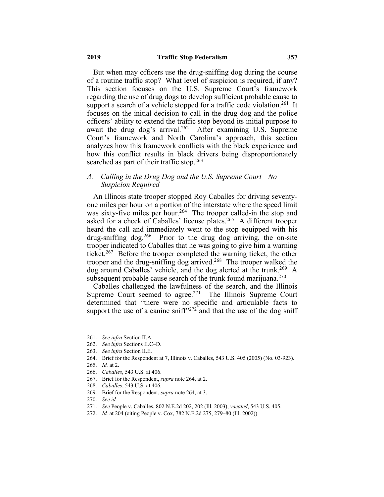But when may officers use the drug-sniffing dog during the course of a routine traffic stop? What level of suspicion is required, if any? This section focuses on the U.S. Supreme Court's framework regarding the use of drug dogs to develop sufficient probable cause to support a search of a vehicle stopped for a traffic code violation.<sup>261</sup> It focuses on the initial decision to call in the drug dog and the police officers' ability to extend the traffic stop beyond its initial purpose to await the drug dog's arrival.<sup>262</sup> After examining U.S. Supreme Court's framework and North Carolina's approach, this section analyzes how this framework conflicts with the black experience and how this conflict results in black drivers being disproportionately searched as part of their traffic stop.<sup>263</sup>

# *A. Calling in the Drug Dog and the U.S. Supreme Court—No Suspicion Required*

An Illinois state trooper stopped Roy Caballes for driving seventyone miles per hour on a portion of the interstate where the speed limit was sixty-five miles per hour.<sup>264</sup> The trooper called-in the stop and asked for a check of Caballes' license plates.<sup>265</sup> A different trooper heard the call and immediately went to the stop equipped with his drug-sniffing dog.<sup>266</sup> Prior to the drug dog arriving, the on-site trooper indicated to Caballes that he was going to give him a warning ticket.<sup>267</sup> Before the trooper completed the warning ticket, the other trooper and the drug-snifting dog arrived.<sup>268</sup> The trooper walked the dog around Caballes' vehicle, and the dog alerted at the trunk.<sup>269</sup> A subsequent probable cause search of the trunk found marijuana. $270$ 

Caballes challenged the lawfulness of the search, and the Illinois Supreme Court seemed to agree.<sup>271</sup> The Illinois Supreme Court determined that "there were no specific and articulable facts to support the use of a canine sniff<sup> $272$ </sup> and that the use of the dog sniff

269. Brief for the Respondent, *supra* note 264, at 3.

272. *Id.* at 204 (citing People v. Cox, 782 N.E.2d 275, 279–80 (Ill. 2002)).

<sup>261.</sup> *See infra* Section II.A.

<sup>262.</sup> *See infra* Sections II.C–D.

<sup>263.</sup> *See infra* Section II.E.

<sup>264.</sup> Brief for the Respondent at 7, Illinois v. Caballes, 543 U.S. 405 (2005) (No. 03-923).

<sup>265.</sup> *Id.* at 2.

<sup>266.</sup> *Caballes*, 543 U.S. at 406.

<sup>267.</sup> Brief for the Respondent, *supra* note 264, at 2.

<sup>268.</sup> *Caballes*, 543 U.S. at 406.

<sup>270.</sup> *See id.*

<sup>271.</sup> *See* People v. Caballes, 802 N.E.2d 202, 202 (Ill. 2003), *vacated*, 543 U.S. 405.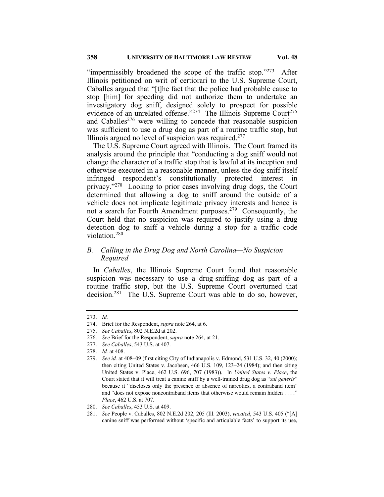"impermissibly broadened the scope of the traffic stop." $273$  After Illinois petitioned on writ of certiorari to the U.S. Supreme Court, Caballes argued that "[t]he fact that the police had probable cause to stop [him] for speeding did not authorize them to undertake an investigatory dog sniff, designed solely to prospect for possible evidence of an unrelated offense."<sup>274</sup> The Illinois Supreme Court<sup>275</sup> and Caballes<sup>276</sup> were willing to concede that reasonable suspicion was sufficient to use a drug dog as part of a routine traffic stop, but Illinois argued no level of suspicion was required.<sup>277</sup>

The U.S. Supreme Court agreed with Illinois. The Court framed its analysis around the principle that "conducting a dog sniff would not change the character of a traffic stop that is lawful at its inception and otherwise executed in a reasonable manner, unless the dog sniff itself infringed respondent's constitutionally protected interest in privacy."278 Looking to prior cases involving drug dogs, the Court determined that allowing a dog to sniff around the outside of a vehicle does not implicate legitimate privacy interests and hence is not a search for Fourth Amendment purposes.<sup>279</sup> Consequently, the Court held that no suspicion was required to justify using a drug detection dog to sniff a vehicle during a stop for a traffic code violation.280

# *B. Calling in the Drug Dog and North Carolina—No Suspicion Required*

In *Caballes*, the Illinois Supreme Court found that reasonable suspicion was necessary to use a drug-sniffing dog as part of a routine traffic stop, but the U.S. Supreme Court overturned that decision.<sup>281</sup> The U.S. Supreme Court was able to do so, however,

<sup>273.</sup> *Id.*

<sup>274.</sup> Brief for the Respondent, *supra* note 264, at 6.

<sup>275.</sup> *See Caballes*, 802 N.E.2d at 202.

<sup>276.</sup> *See* Brief for the Respondent, *supra* note 264, at 21.

<sup>277.</sup> *See Caballes*, 543 U.S. at 407.

<sup>278.</sup> *Id.* at 408.

<sup>279.</sup> *See id.* at 408–09 (first citing City of Indianapolis v. Edmond, 531 U.S. 32, 40 (2000); then citing United States v. Jacobsen, 466 U.S. 109, 123–24 (1984); and then citing United States v. Place, 462 U.S. 696, 707 (1983)). In *United States v. Place*, the Court stated that it will treat a canine sniff by a well-trained drug dog as "*sui generis*" because it "discloses only the presence or absence of narcotics, a contraband item" and "does not expose noncontraband items that otherwise would remain hidden . . . ." *Place*, 462 U.S. at 707.

<sup>280.</sup> *See Caballes*, 453 U.S. at 409.

<sup>281.</sup> *See* People v. Caballes, 802 N.E.2d 202, 205 (Ill. 2003), *vacated*, 543 U.S. 405 ("[A] canine sniff was performed without 'specific and articulable facts' to support its use,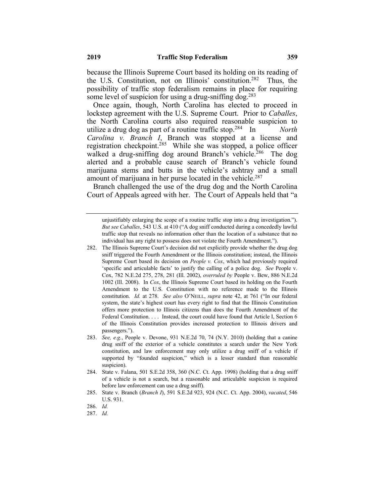because the Illinois Supreme Court based its holding on its reading of the U.S. Constitution, not on Illinois' constitution.<sup>282</sup> Thus, the possibility of traffic stop federalism remains in place for requiring some level of suspicion for using a drug-sniffing dog.<sup>283</sup>

Once again, though, North Carolina has elected to proceed in lockstep agreement with the U.S. Supreme Court. Prior to *Caballes*, the North Carolina courts also required reasonable suspicion to utilize a drug dog as part of a routine traffic stop.284 In *North Carolina v. Branch I*, Branch was stopped at a license and registration checkpoint.<sup>285</sup> While she was stopped, a police officer walked a drug-sniffing dog around Branch's vehicle.<sup>286</sup> The dog alerted and a probable cause search of Branch's vehicle found marijuana stems and butts in the vehicle's ashtray and a small amount of marijuana in her purse located in the vehicle.<sup>287</sup>

Branch challenged the use of the drug dog and the North Carolina Court of Appeals agreed with her. The Court of Appeals held that "a

unjustifiably enlarging the scope of a routine traffic stop into a drug investigation."). *But see Caballes*, 543 U.S. at 410 ("A dog sniff conducted during a concededly lawful traffic stop that reveals no information other than the location of a substance that no individual has any right to possess does not violate the Fourth Amendment.").

<sup>282.</sup> The Illinois Supreme Court's decision did not explicitly provide whether the drug dog sniff triggered the Fourth Amendment or the Illinois constitution; instead, the Illinois Supreme Court based its decision on *People v. Cox*, which had previously required 'specific and articulable facts' to justify the calling of a police dog. *See* People v. Cox, 782 N.E.2d 275, 278, 281 (Ill. 2002), *overruled by* People v. Bew, 886 N.E.2d 1002 (Ill. 2008). In *Cox*, the Illinois Supreme Court based its holding on the Fourth Amendment to the U.S. Constitution with no reference made to the Illinois constitution. *Id.* at 278. *See also* O'NEILL, *supra* note 42, at 761 ("In our federal system, the state's highest court has every right to find that the Illinois Constitution offers more protection to Illinois citizens than does the Fourth Amendment of the Federal Constitution. . . . Instead, the court could have found that Article I, Section 6 of the Illinois Constitution provides increased protection to Illinois drivers and passengers.").

<sup>283.</sup> *See, e.g.*, People v. Devone, 931 N.E.2d 70, 74 (N.Y. 2010) (holding that a canine drug sniff of the exterior of a vehicle constitutes a search under the New York constitution, and law enforcement may only utilize a drug sniff of a vehicle if supported by "founded suspicion," which is a lesser standard than reasonable suspicion).

<sup>284.</sup> State v. Falana, 501 S.E.2d 358, 360 (N.C. Ct. App. 1998) (holding that a drug sniff of a vehicle is not a search, but a reasonable and articulable suspicion is required before law enforcement can use a drug sniff).

<sup>285.</sup> State v. Branch (*Branch I*), 591 S.E.2d 923, 924 (N.C. Ct. App. 2004), *vacated*, 546 U.S. 931.

<sup>286.</sup> *Id.*

<sup>287.</sup> *Id.*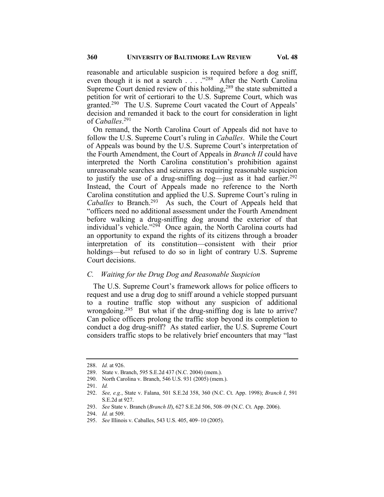reasonable and articulable suspicion is required before a dog sniff, even though it is not a search  $\ldots$   $\frac{1288}{128}$  After the North Carolina Supreme Court denied review of this holding,  $289$  the state submitted a petition for writ of certiorari to the U.S. Supreme Court, which was granted.290 The U.S. Supreme Court vacated the Court of Appeals' decision and remanded it back to the court for consideration in light of *Caballes*. 291

On remand, the North Carolina Court of Appeals did not have to follow the U.S. Supreme Court's ruling in *Caballes*. While the Court of Appeals was bound by the U.S. Supreme Court's interpretation of the Fourth Amendment, the Court of Appeals in *Branch II* could have interpreted the North Carolina constitution's prohibition against unreasonable searches and seizures as requiring reasonable suspicion to justify the use of a drug-sniffing dog—just as it had earlier.<sup>292</sup> Instead, the Court of Appeals made no reference to the North Carolina constitution and applied the U.S. Supreme Court's ruling in Caballes to Branch.<sup>293</sup> As such, the Court of Appeals held that "officers need no additional assessment under the Fourth Amendment before walking a drug-sniffing dog around the exterior of that individual's vehicle."<sup>294</sup> Once again, the North Carolina courts had an opportunity to expand the rights of its citizens through a broader interpretation of its constitution—consistent with their prior holdings—but refused to do so in light of contrary U.S. Supreme Court decisions.

## *C. Waiting for the Drug Dog and Reasonable Suspicion*

The U.S. Supreme Court's framework allows for police officers to request and use a drug dog to sniff around a vehicle stopped pursuant to a routine traffic stop without any suspicion of additional wrongdoing.<sup>295</sup> But what if the drug-sniffing dog is late to arrive? Can police officers prolong the traffic stop beyond its completion to conduct a dog drug-sniff? As stated earlier, the U.S. Supreme Court considers traffic stops to be relatively brief encounters that may "last

<sup>288.</sup> *Id.* at 926.

<sup>289.</sup> State v. Branch, 595 S.E.2d 437 (N.C. 2004) (mem.).

<sup>290.</sup> North Carolina v. Branch, 546 U.S. 931 (2005) (mem.).

<sup>291.</sup> *Id.*

<sup>292.</sup> *See, e.g.*, State v. Falana, 501 S.E.2d 358, 360 (N.C. Ct. App. 1998); *Branch I*, 591 S.E.2d at 927.

<sup>293.</sup> *See* State v. Branch (*Branch II*), 627 S.E.2d 506, 508–09 (N.C. Ct. App. 2006).

<sup>294.</sup> *Id.* at 509.

<sup>295.</sup> *See* Illinois v. Caballes, 543 U.S. 405, 409–10 (2005).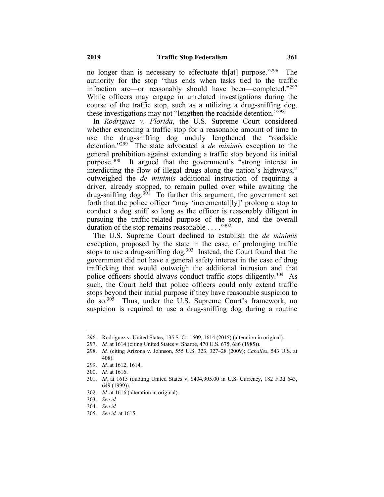no longer than is necessary to effectuate th[at] purpose."<sup>296</sup> The authority for the stop "thus ends when tasks tied to the traffic infraction are—or reasonably should have been—completed."<sup>297</sup> While officers may engage in unrelated investigations during the course of the traffic stop, such as a utilizing a drug-sniffing dog, these investigations may not "lengthen the roadside detention."<sup>298</sup>

In *Rodriguez v. Florida*, the U.S. Supreme Court considered whether extending a traffic stop for a reasonable amount of time to use the drug-sniffing dog unduly lengthened the "roadside detention."299 The state advocated a *de minimis* exception to the general prohibition against extending a traffic stop beyond its initial purpose.<sup>300</sup> It argued that the government's "strong interest in interdicting the flow of illegal drugs along the nation's highways," outweighed the *de minimis* additional instruction of requiring a driver, already stopped, to remain pulled over while awaiting the drug-sniffing  $\log$ <sup>301</sup> To further this argument, the government set forth that the police officer "may 'incremental[ly]' prolong a stop to conduct a dog sniff so long as the officer is reasonably diligent in pursuing the traffic-related purpose of the stop, and the overall duration of the stop remains reasonable . . . . "302

The U.S. Supreme Court declined to establish the *de minimis*  exception, proposed by the state in the case, of prolonging traffic stops to use a drug-sniffing dog.<sup>303</sup> Instead, the Court found that the government did not have a general safety interest in the case of drug trafficking that would outweigh the additional intrusion and that police officers should always conduct traffic stops diligently.<sup>304</sup> As such, the Court held that police officers could only extend traffic stops beyond their initial purpose if they have reasonable suspicion to do so.305 Thus, under the U.S. Supreme Court's framework, no suspicion is required to use a drug-sniffing dog during a routine

- 302. *Id.* at 1616 (alteration in original).
- 303. *See id.*
- 304. *See id.*
- 305. *See id.* at 1615.

<sup>296.</sup> Rodriguez v. United States, 135 S. Ct. 1609, 1614 (2015) (alteration in original).

<sup>297.</sup> *Id.* at 1614 (citing United States v. Sharpe, 470 U.S. 675, 686 (1985)).

<sup>298.</sup> *Id.* (citing Arizona v. Johnson, 555 U.S. 323, 327–28 (2009); *Caballes*, 543 U.S. at 408).

<sup>299.</sup> *Id.* at 1612, 1614.

<sup>300.</sup> *Id.* at 1616.

<sup>301.</sup> *Id.* at 1615 (quoting United States v. \$404,905.00 in U.S. Currency, 182 F.3d 643, 649 (1999)).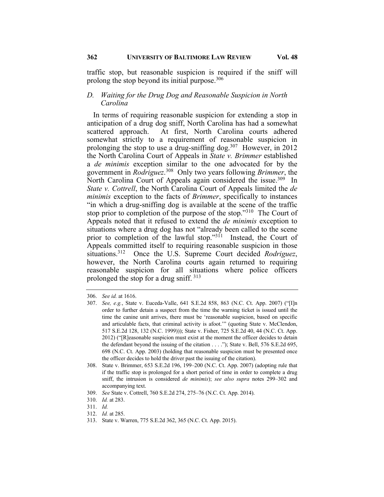traffic stop, but reasonable suspicion is required if the sniff will prolong the stop beyond its initial purpose.  $306$ 

# *D. Waiting for the Drug Dog and Reasonable Suspicion in North Carolina*

In terms of requiring reasonable suspicion for extending a stop in anticipation of a drug dog sniff, North Carolina has had a somewhat scattered approach. At first, North Carolina courts adhered somewhat strictly to a requirement of reasonable suspicion in prolonging the stop to use a drug-sniffing dog.<sup>307</sup> However, in 2012 the North Carolina Court of Appeals in *State v. Brimmer* established a *de minimis* exception similar to the one advocated for by the government in *Rodriguez*. <sup>308</sup>Only two years following *Brimmer*, the North Carolina Court of Appeals again considered the issue.<sup>309</sup> In *State v. Cottrell*, the North Carolina Court of Appeals limited the *de minimis* exception to the facts of *Brimmer*, specifically to instances "in which a drug-sniffing dog is available at the scene of the traffic stop prior to completion of the purpose of the stop."<sup>310</sup> The Court of Appeals noted that it refused to extend the *de minimis* exception to situations where a drug dog has not "already been called to the scene prior to completion of the lawful stop."311 Instead, the Court of Appeals committed itself to requiring reasonable suspicion in those situations.312 Once the U.S. Supreme Court decided *Rodriguez*, however, the North Carolina courts again returned to requiring reasonable suspicion for all situations where police officers prolonged the stop for a drug sniff. <sup>313</sup>

<sup>306.</sup> *See id.* at 1616.

<sup>307.</sup> *See, e.g.*, State v. Euceda-Valle, 641 S.E.2d 858, 863 (N.C. Ct. App. 2007) ("[I]n order to further detain a suspect from the time the warning ticket is issued until the time the canine unit arrives, there must be 'reasonable suspicion, based on specific and articulable facts, that criminal activity is afoot.'" (quoting State v. McClendon, 517 S.E.2d 128, 132 (N.C. 1999))); State v. Fisher, 725 S.E.2d 40, 44 (N.C. Ct. App. 2012) ("[R]easonable suspicion must exist at the moment the officer decides to detain the defendant beyond the issuing of the citation . . . ."); State v. Bell, 576 S.E.2d 695, 698 (N.C. Ct. App. 2003) (holding that reasonable suspicion must be presented once the officer decides to hold the driver past the issuing of the citation).

<sup>308.</sup> State v. Brimmer, 653 S.E.2d 196, 199–200 (N.C. Ct. App. 2007) (adopting rule that if the traffic stop is prolonged for a short period of time in order to complete a drug sniff, the intrusion is considered *de minimis*); *see also supra* notes 299–302 and accompanying text.

<sup>309.</sup> *See* State v. Cottrell, 760 S.E.2d 274, 275–76 (N.C. Ct. App. 2014).

<sup>310.</sup> *Id.* at 283.

<sup>311.</sup> *Id.*

<sup>312.</sup> *Id.* at 285.

<sup>313.</sup> State v. Warren, 775 S.E.2d 362, 365 (N.C. Ct. App. 2015).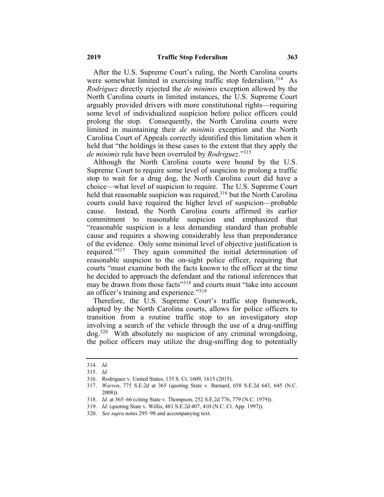After the U.S. Supreme Court's ruling, the North Carolina courts were somewhat limited in exercising traffic stop federalism.<sup>314</sup> As *Rodriguez* directly rejected the *de minimis* exception allowed by the North Carolina courts in limited instances, the U.S. Supreme Court arguably provided drivers with more constitutional rights—requiring some level of individualized suspicion before police officers could prolong the stop. Consequently, the North Carolina courts were limited in maintaining their *de minimis* exception and the North Carolina Court of Appeals correctly identified this limitation when it held that "the holdings in these cases to the extent that they apply the *de minimis* rule have been overruled by *Rodriguez*."315

Although the North Carolina courts were bound by the U.S. Supreme Court to require some level of suspicion to prolong a traffic stop to wait for a drug dog, the North Carolina court did have a choice—what level of suspicion to require. The U.S. Supreme Court held that reasonable suspicion was required,<sup>316</sup> but the North Carolina courts could have required the higher level of suspicion—probable cause. Instead, the North Carolina courts affirmed its earlier commitment to reasonable suspicion and emphasized that "reasonable suspicion is a less demanding standard than probable cause and requires a showing considerably less than preponderance of the evidence. Only some minimal level of objective justification is required."<sup>317</sup> They again committed the initial determination of reasonable suspicion to the on-sight police officer, requiring that courts "must examine both the facts known to the officer at the time he decided to approach the defendant and the rational inferences that may be drawn from those facts"<sup>318</sup> and courts must "take into account an officer's training and experience."<sup>319</sup>

Therefore, the U.S. Supreme Court's traffic stop framework, adopted by the North Carolina courts, allows for police officers to transition from a routine traffic stop to an investigatory stop involving a search of the vehicle through the use of a drug-sniffing dog.320 With absolutely no suspicion of any criminal wrongdoing, the police officers may utilize the drug-sniffing dog to potentially

<sup>314.</sup> *Id.*

<sup>315.</sup> *Id.*

<sup>316.</sup> Rodriguez v. United States, 135 S. Ct. 1609, 1615 (2015).

<sup>317.</sup> *Warren*, 775 S.E.2d at 365 (quoting State v. Barnard, 658 S.E.2d 643, 645 (N.C. 2008)).

<sup>318.</sup> *Id.* at 365–66 (citing State v. Thompson, 252 S.E.2d 776, 779 (N.C. 1979)).

<sup>319.</sup> *Id.* (quoting State v. Willis, 481 S.E.2d 407, 410 (N.C. Ct. App. 1997)).

<sup>320.</sup> *See supra* notes 295–98 and accompanying text.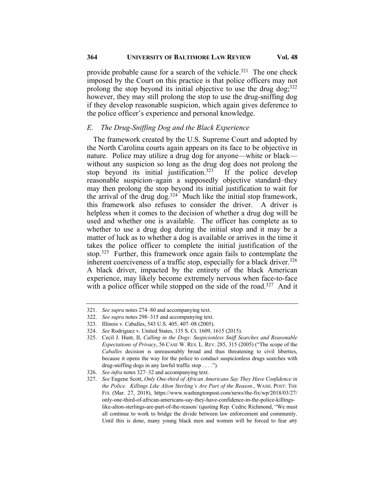# **364 UNIVERSITY OF BALTIMORE LAW REVIEW Vol. 48**

provide probable cause for a search of the vehicle.<sup>321</sup> The one check imposed by the Court on this practice is that police officers may not prolong the stop beyond its initial objective to use the drug dog;  $322$ however, they may still prolong the stop to use the drug-sniffing dog if they develop reasonable suspicion, which again gives deference to the police officer's experience and personal knowledge.

# *E. The Drug-Sniffing Dog and the Black Experience*

The framework created by the U.S. Supreme Court and adopted by the North Carolina courts again appears on its face to be objective in nature. Police may utilize a drug dog for anyone—white or black without any suspicion so long as the drug dog does not prolong the stop beyond its initial justification.<sup>323</sup> If the police develop reasonable suspicion–again a supposedly objective standard–they may then prolong the stop beyond its initial justification to wait for the arrival of the drug dog.<sup>324</sup> Much like the initial stop framework, this framework also refuses to consider the driver. A driver is helpless when it comes to the decision of whether a drug dog will be used and whether one is available. The officer has complete as to whether to use a drug dog during the initial stop and it may be a matter of luck as to whether a dog is available or arrives in the time it takes the police officer to complete the initial justification of the stop.<sup>325</sup> Further, this framework once again fails to contemplate the inherent coerciveness of a traffic stop, especially for a black driver.<sup>326</sup> A black driver, impacted by the entirety of the black American experience, may likely become extremely nervous when face-to-face with a police officer while stopped on the side of the road.<sup>327</sup> And it

<sup>321.</sup> *See supra* notes 274–80 and accompanying text.

<sup>322.</sup> *See supra* notes 298–315 and accompanying text.

<sup>323.</sup> Illinois v. Caballes, 543 U.S. 405, 407–08 (2005).

<sup>324.</sup> *See* Rodriguez v. United States, 135 S. Ct. 1609, 1615 (2015).

<sup>325.</sup> Cecil J. Hunt, II, *Calling in the Dogs: Suspicionless Sniff Searches and Reasonable Expectations of Privacy*, 56 CASE W. RES. L. REV. 285, 315 (2005) ("The scope of the *Caballes* decision is unreasonably broad and thus threatening to civil liberties, because it opens the way for the police to conduct suspicionless drugs searches with drug-sniffing dogs in any lawful traffic stop . . . .").

<sup>326.</sup> *See infra* notes 327–32 and accompanying text.

<sup>327.</sup> *See* Eugene Scott, *Only One-third of African Americans Say They Have Confidence in the Police. Killings Like Alton Sterling's Are Part of the Reason.*, WASH. POST: THE FIX (Mar. 27, 2018), https://www.washingtonpost.com/news/the-fix/wp/2018/03/27/ only-one-third-of-african-americans-say-they-have-confidence-in-the-police-killingslike-alton-sterlings-are-part-of-the-reason/ (quoting Rep. Cedric Richmond, "We must all continue to work to bridge the divide between law enforcement and community. Until this is done, many young black men and women will be forced to fear any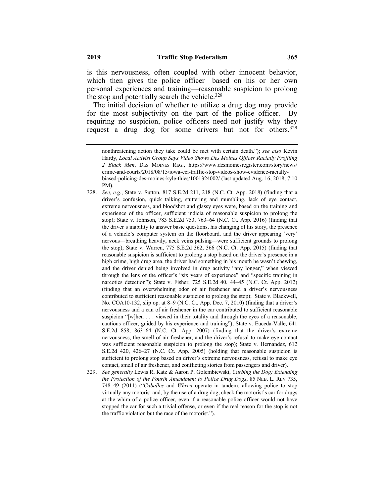is this nervousness, often coupled with other innocent behavior, which then gives the police officer—based on his or her own personal experiences and training—reasonable suspicion to prolong the stop and potentially search the vehicle.<sup>328</sup>

The initial decision of whether to utilize a drug dog may provide for the most subjectivity on the part of the police officer. By requiring no suspicion, police officers need not justify why they request a drug dog for some drivers but not for others.<sup>329</sup>

329. *See generally* Lewis R. Katz & Aaron P. Golembiewski, *Curbing the Dog: Extending the Protection of the Fourth Amendment to Police Drug Dogs*, 85 NEB. L. REV 735, 748–49 (2011) ("*Caballes* and *Whren* operate in tandem, allowing police to stop virtually any motorist and, by the use of a drug dog, check the motorist's car for drugs at the whim of a police officer, even if a reasonable police officer would not have stopped the car for such a trivial offense, or even if the real reason for the stop is not the traffic violation but the race of the motorist.").

nonthreatening action they take could be met with certain death."); *see also* Kevin Hardy, *Local Activist Group Says Video Shows Des Moines Officer Racially Profiling 2 Black Men*, DES MOINES REG., https://www.desmoinesregister.com/story/news/ crime-and-courts/2018/08/15/iowa-cci-traffic-stop-videos-show-evidence-raciallybiased-policing-des-moines-kyle-thies/1001324002/ (last updated Aug. 16, 2018, 7:10 PM).

<sup>328.</sup> *See, e.g.*, State v. Sutton, 817 S.E.2d 211, 218 (N.C. Ct. App. 2018) (finding that a driver's confusion, quick talking, stuttering and mumbling, lack of eye contact, extreme nervousness, and bloodshot and glassy eyes were, based on the training and experience of the officer, sufficient indicia of reasonable suspicion to prolong the stop); State v. Johnson, 783 S.E.2d 753, 763–64 (N.C. Ct. App. 2016) (finding that the driver's inability to answer basic questions, his changing of his story, the presence of a vehicle's computer system on the floorboard, and the driver appearing 'very' nervous—breathing heavily, neck veins pulsing—were sufficient grounds to prolong the stop); State v. Warren, 775 S.E.2d 362, 366 (N.C. Ct. App. 2015) (finding that reasonable suspicion is sufficient to prolong a stop based on the driver's presence in a high crime, high drug area, the driver had something in his mouth he wasn't chewing, and the driver denied being involved in drug activity "any longer," when viewed through the lens of the officer's "six years of experience" and "specific training in narcotics detection"); State v. Fisher, 725 S.E.2d 40, 44–45 (N.C. Ct. App. 2012) (finding that an overwhelming odor of air freshener and a driver's nervousness contributed to sufficient reasonable suspicion to prolong the stop); State v. Blackwell, No. COA10-132, slip op. at 8–9 (N.C. Ct. App. Dec. 7, 2010) (finding that a driver's nervousness and a can of air freshener in the car contributed to sufficient reasonable suspicion "[w]hen . . . viewed in their totality and through the eyes of a reasonable, cautious officer, guided by his experience and training"); State v. Euceda-Valle, 641 S.E.2d 858, 863–64 (N.C. Ct. App. 2007) (finding that the driver's extreme nervousness, the smell of air freshener, and the driver's refusal to make eye contact was sufficient reasonable suspicion to prolong the stop); State v. Hernandez, 612 S.E.2d 420, 426–27 (N.C. Ct. App. 2005) (holding that reasonable suspicion is sufficient to prolong stop based on driver's extreme nervousness, refusal to make eye contact, smell of air freshener, and conflicting stories from passengers and driver).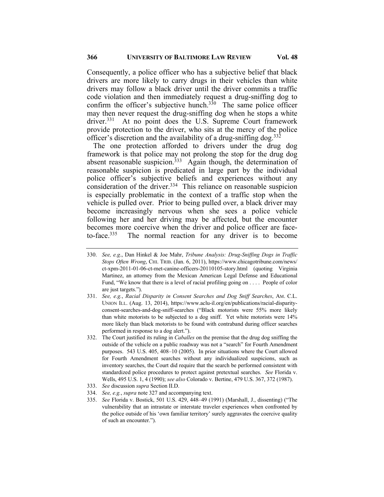Consequently, a police officer who has a subjective belief that black drivers are more likely to carry drugs in their vehicles than white drivers may follow a black driver until the driver commits a traffic code violation and then immediately request a drug-sniffing dog to confirm the officer's subjective hunch.<sup>330</sup> The same police officer may then never request the drug-sniffing dog when he stops a white driver.<sup>331</sup> At no point does the U.S. Supreme Court framework provide protection to the driver, who sits at the mercy of the police officer's discretion and the availability of a drug-sniffing dog.<sup>332</sup>

The one protection afforded to drivers under the drug dog framework is that police may not prolong the stop for the drug dog absent reasonable suspicion.<sup>333</sup> Again though, the determination of reasonable suspicion is predicated in large part by the individual police officer's subjective beliefs and experiences without any consideration of the driver. 334 This reliance on reasonable suspicion is especially problematic in the context of a traffic stop when the vehicle is pulled over. Prior to being pulled over, a black driver may become increasingly nervous when she sees a police vehicle following her and her driving may be affected, but the encounter becomes more coercive when the driver and police officer are faceto-face.335 The normal reaction for any driver is to become

- 331. *See, e.g.*, *Racial Disparity in Consent Searches and Dog Sniff Searches*, AM. C.L. UNION ILL. (Aug. 13, 2014), https://www.aclu-il.org/en/publications/racial-disparityconsent-searches-and-dog-sniff-searches ("Black motorists were 55% more likely than white motorists to be subjected to a dog sniff. Yet white motorists were 14% more likely than black motorists to be found with contraband during officer searches performed in response to a dog alert.").
- 332. The Court justified its ruling in *Caballes* on the premise that the drug dog sniffing the outside of the vehicle on a public roadway was not a "search" for Fourth Amendment purposes. 543 U.S. 405, 408–10 (2005). In prior situations where the Court allowed for Fourth Amendment searches without any individualized suspicions, such as inventory searches, the Court did require that the search be performed consistent with standardized police procedures to protect against pretextual searches. *See* Florida v. Wells, 495 U.S. 1, 4 (1990); *see also* Colorado v. Bertine, 479 U.S. 367, 372 (1987).
- 333. *See* discussion *supra* Section II.D.
- 334. *See, e.g.*, *supra* note 327 and accompanying text.
- 335. *See* Florida v. Bostick, 501 U.S. 429, 448–49 (1991) (Marshall, J., dissenting) ("The vulnerability that an intrastate or interstate traveler experiences when confronted by the police outside of his 'own familiar territory' surely aggravates the coercive quality of such an encounter.").

<sup>330.</sup> *See, e.g*., Dan Hinkel & Joe Mahr, *Tribune Analysis: Drug-Sniffing Dogs in Traffic Stops Often Wrong*, CHI. TRIB. (Jan. 6, 2011), https://www.chicagotribune.com/news/ ct-xpm-2011-01-06-ct-met-canine-officers-20110105-story.html (quoting Virginia Martinez, an attorney from the Mexican American Legal Defense and Educational Fund, "We know that there is a level of racial profiling going on . . . . People of color are just targets.").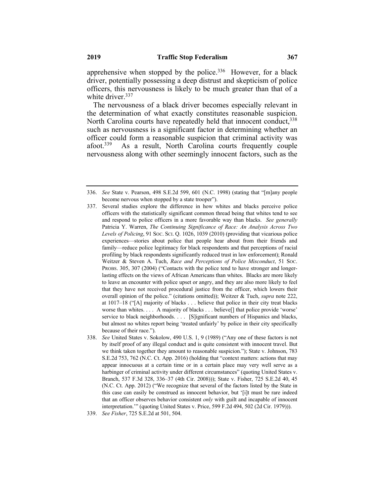The nervousness of a black driver becomes especially relevant in the determination of what exactly constitutes reasonable suspicion. North Carolina courts have repeatedly held that innocent conduct,  $338$ such as nervousness is a significant factor in determining whether an officer could form a reasonable suspicion that criminal activity was afoot.<sup>339</sup> As a result, North Carolina courts frequently couple nervousness along with other seemingly innocent factors, such as the

<sup>336.</sup> *See* State v. Pearson, 498 S.E.2d 599, 601 (N.C. 1998) (stating that "[m]any people become nervous when stopped by a state trooper").

<sup>337.</sup> Several studies explore the difference in how whites and blacks perceive police officers with the statistically significant common thread being that whites tend to see and respond to police officers in a more favorable way than blacks. *See generally* Patricia Y. Warren, *The Continuing Significance of Race: An Analysis Across Two* Levels of Policing, 91 Soc. Sci. Q. 1026, 1039 (2010) (providing that vicarious police experiences—stories about police that people hear about from their friends and family—reduce police legitimacy for black respondents and that perceptions of racial profiling by black respondents significantly reduced trust in law enforcement); Ronald Weitzer & Steven A. Tuch, *Race and Perceptions of Police Misconduct*, 51 SOC. PROBS. 305, 307 (2004) ("Contacts with the police tend to have stronger and longerlasting effects on the views of African Americans than whites. Blacks are more likely to leave an encounter with police upset or angry, and they are also more likely to feel that they have not received procedural justice from the officer, which lowers their overall opinion of the police." (citations omitted)); Weitzer & Tuch, *supra* note 222, at 1017–18 ("[A] majority of blacks . . . believe that police in their city treat blacks worse than whites. . . . A majority of blacks . . . believe[] that police provide 'worse' service to black neighborhoods. . . . [S]ignificant numbers of Hispanics and blacks, but almost no whites report being 'treated unfairly' by police in their city specifically because of their race.").

<sup>338.</sup> *See* United States v. Sokolow, 490 U.S. 1, 9 (1989) ("Any one of these factors is not by itself proof of any illegal conduct and is quite consistent with innocent travel. But we think taken together they amount to reasonable suspicion."); State v. Johnson, 783 S.E.2d 753, 762 (N.C. Ct. App. 2016) (holding that "context matters: actions that may appear innocuous at a certain time or in a certain place may very well serve as a harbinger of criminal activity under different circumstances" (quoting United States v. Branch, 537 F.3d 328, 336–37 (4th Cir. 2008))); State v. Fisher, 725 S.E.2d 40, 45 (N.C. Ct. App. 2012) ("We recognize that several of the factors listed by the State in this case can easily be construed as innocent behavior, but '[i]t must be rare indeed that an officer observes behavior consistent *only* with guilt and incapable of innocent interpretation.'" (quoting United States v. Price, 599 F.2d 494, 502 (2d Cir. 1979))).

<sup>339.</sup> *See Fisher*, 725 S.E.2d at 501, 504.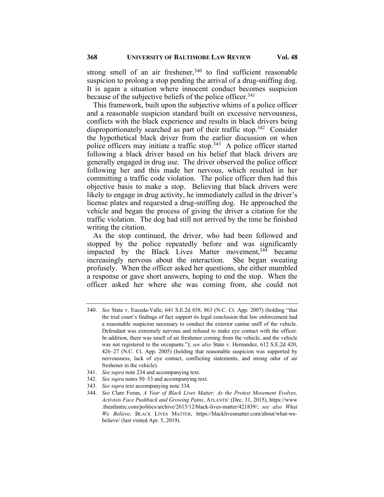strong smell of an air freshener,<sup>340</sup> to find sufficient reasonable suspicion to prolong a stop pending the arrival of a drug-sniffing dog. It is again a situation where innocent conduct becomes suspicion because of the subjective beliefs of the police officer.<sup>341</sup>

This framework, built upon the subjective whims of a police officer and a reasonable suspicion standard built on excessive nervousness, conflicts with the black experience and results in black drivers being disproportionately searched as part of their traffic stop.<sup>342</sup> Consider the hypothetical black driver from the earlier discussion on when police officers may initiate a traffic stop.<sup>343</sup> A police officer started following a black driver based on his belief that black drivers are generally engaged in drug use. The driver observed the police officer following her and this made her nervous, which resulted in her committing a traffic code violation. The police officer then had this objective basis to make a stop. Believing that black drivers were likely to engage in drug activity, he immediately called in the driver's license plates and requested a drug-sniffing dog. He approached the vehicle and began the process of giving the driver a citation for the traffic violation. The dog had still not arrived by the time he finished writing the citation.

As the stop continued, the driver, who had been followed and stopped by the police repeatedly before and was significantly impacted by the Black Lives Matter movement,  $34\overline{4}$  became increasingly nervous about the interaction. She began sweating profusely. When the officer asked her questions, she either mumbled a response or gave short answers, hoping to end the stop. When the officer asked her where she was coming from, she could not

- 341. *See supra* note 234 and accompanying text.
- 342. *See supra* notes 50–53 and accompanying text.
- 343. *See supra* text accompanying note 334.

<sup>340.</sup> *See* State v. Euceda-Valle, 641 S.E.2d 858, 863 (N.C. Ct. App. 2007) (holding "that the trial court's findings of fact support its legal conclusion that law enforcement had a reasonable suspicion necessary to conduct the exterior canine sniff of the vehicle. Defendant was extremely nervous and refused to make eye contact with the officer. In addition, there was smell of air freshener coming from the vehicle, and the vehicle was not registered to the occupants."); *see also* State v. Hernandez, 612 S.E.2d 420, 426–27 (N.C. Ct. App. 2005) (holding that reasonable suspicion was supported by nervousness, lack of eye contact, conflicting statements, and strong odor of air freshener in the vehicle).

<sup>344.</sup> *See* Clare Foran, *A Year of Black Lives Matter: As the Protest Movement Evolves, Activists Face Pushback and Growing Pains*, ATLANTIC (Dec. 31, 2015), https://www .theatlantic.com/politics/archive/2015/12/black-lives-matter/421839/; *see also What We Believe*, BLACK LIVES MATTER, https://blacklivesmatter.com/about/what-webelieve/ (last visited Apr. 5, 2019).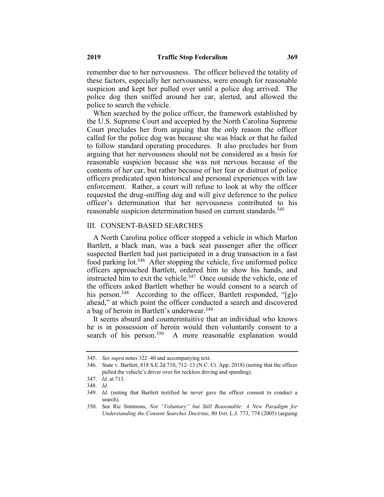remember due to her nervousness. The officer believed the totality of these factors, especially her nervousness, were enough for reasonable suspicion and kept her pulled over until a police dog arrived. The police dog then sniffed around her car, alerted, and allowed the police to search the vehicle.

When searched by the police officer, the framework established by the U.S. Supreme Court and accepted by the North Carolina Supreme Court precludes her from arguing that the only reason the officer called for the police dog was because she was black or that he failed to follow standard operating procedures. It also precludes her from arguing that her nervousness should not be considered as a basis for reasonable suspicion because she was not nervous because of the contents of her car, but rather because of her fear or distrust of police officers predicated upon historical and personal experiences with law enforcement. Rather, a court will refuse to look at why the officer requested the drug-sniffing dog and will give deference to the police officer's determination that her nervousness contributed to his reasonable suspicion determination based on current standards.<sup>345</sup>

### III. CONSENT-BASED SEARCHES

A North Carolina police officer stopped a vehicle in which Marlon Bartlett, a black man, was a back seat passenger after the officer suspected Bartlett had just participated in a drug transaction in a fast food parking lot.<sup>346</sup> After stopping the vehicle, five uniformed police officers approached Bartlett, ordered him to show his hands, and instructed him to exit the vehicle.<sup>347</sup> Once outside the vehicle, one of the officers asked Bartlett whether he would consent to a search of his person.<sup>348</sup> According to the officer, Bartlett responded, "[g]o ahead," at which point the officer conducted a search and discovered a bag of heroin in Bartlett's underwear.<sup>349</sup>

It seems absurd and counterintuitive that an individual who knows he is in possession of heroin would then voluntarily consent to a search of his person.<sup>350</sup> A more reasonable explanation would

<sup>345.</sup> *See supra* notes 322–40 and accompanying text.

<sup>346.</sup> State v. Bartlett, 818 S.E.2d 710, 712–13 (N.C. Ct. App. 2018) (noting that the officer pulled the vehicle's driver over for reckless driving and speeding).

<sup>347.</sup> *Id.* at 713.

<sup>348.</sup> *Id.*

<sup>349.</sup> *Id.* (noting that Bartlett testified he never gave the officer consent to conduct a search).

<sup>350.</sup> See Ric Simmons, *Not "Voluntary" but Still Reasonable: A New Paradigm for Understanding the Consent Searches Doctrine*, 80 IND. L.J. 773, 774 (2005) (arguing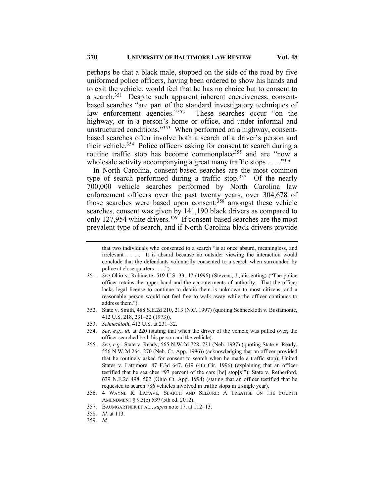perhaps be that a black male, stopped on the side of the road by five uniformed police officers, having been ordered to show his hands and to exit the vehicle, would feel that he has no choice but to consent to a search.<sup>351</sup> Despite such apparent inherent coerciveness, consentbased searches "are part of the standard investigatory techniques of law enforcement agencies."352 These searches occur "on the highway, or in a person's home or office, and under informal and unstructured conditions."<sup>353</sup> When performed on a highway, consentbased searches often involve both a search of a driver's person and their vehicle.<sup>354</sup> Police officers asking for consent to search during a routine traffic stop has become commonplace<sup>355</sup> and are "now a wholesale activity accompanying a great many traffic stops  $\dots$ ."<sup>356</sup>

In North Carolina, consent-based searches are the most common type of search performed during a traffic stop.<sup>357</sup> Of the nearly 700,000 vehicle searches performed by North Carolina law enforcement officers over the past twenty years, over 304,678 of those searches were based upon consent;<sup>358</sup> amongst these vehicle searches, consent was given by 141,190 black drivers as compared to only 127,954 white drivers.<sup>359</sup> If consent-based searches are the most prevalent type of search, and if North Carolina black drivers provide

that two individuals who consented to a search "is at once absurd, meaningless, and irrelevant . . . . It is absurd because no outsider viewing the interaction would conclude that the defendants voluntarily consented to a search when surrounded by police at close quarters . . . .").

<sup>351.</sup> *See* Ohio v. Robinette, 519 U.S. 33, 47 (1996) (Stevens, J., dissenting) ("The police officer retains the upper hand and the accouterments of authority. That the officer lacks legal license to continue to detain them is unknown to most citizens, and a reasonable person would not feel free to walk away while the officer continues to address them.").

<sup>352.</sup> State v. Smith, 488 S.E.2d 210, 213 (N.C. 1997) (quoting Schneckloth v. Bustamonte, 412 U.S. 218, 231–32 (1973)).

<sup>353.</sup> *Schneckloth*, 412 U.S. at 231–32.

<sup>354.</sup> *See, e.g.*, *id.* at 220 (stating that when the driver of the vehicle was pulled over, the officer searched both his person and the vehicle).

<sup>355.</sup> *See, e.g.*, State v. Ready, 565 N.W.2d 728, 731 (Neb. 1997) (quoting State v. Ready, 556 N.W.2d 264, 270 (Neb. Ct. App. 1996)) (acknowledging that an officer provided that he routinely asked for consent to search when he made a traffic stop); United States v. Lattimore, 87 F.3d 647, 649 (4th Cir. 1996) (explaining that an officer testified that he searches "97 percent of the cars [he] stop[s]"); State v. Retherford, 639 N.E.2d 498, 502 (Ohio Ct. App. 1994) (stating that an officer testified that he requested to search 786 vehicles involved in traffic stops in a single year).

<sup>356.</sup> 4 WAYNE R. LAFAVE*,* SEARCH AND SEIZURE: A TREATISE ON THE FOURTH AMENDMENT § 9.3(e) 539 (5th ed. 2012).

<sup>357.</sup> BAUMGARTNER ET AL., *supra* note 17, at 112–13.

<sup>358.</sup> *Id.* at 113.

<sup>359.</sup> *Id.*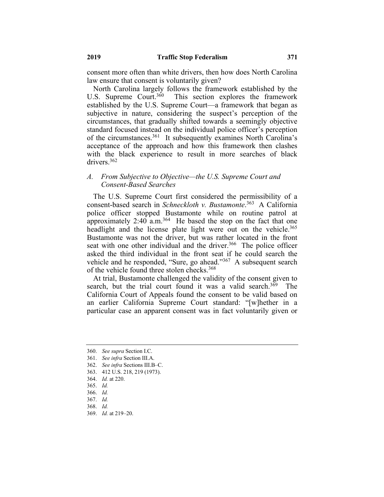consent more often than white drivers, then how does North Carolina law ensure that consent is voluntarily given?

North Carolina largely follows the framework established by the U.S. Supreme Court.<sup>360</sup> This section explores the framework This section explores the framework. established by the U.S. Supreme Court—a framework that began as subjective in nature, considering the suspect's perception of the circumstances, that gradually shifted towards a seemingly objective standard focused instead on the individual police officer's perception of the circumstances.361 It subsequently examines North Carolina's acceptance of the approach and how this framework then clashes with the black experience to result in more searches of black drivers.362

# *A. From Subjective to Objective—the U.S. Supreme Court and Consent-Based Searches*

The U.S. Supreme Court first considered the permissibility of a consent-based search in *Schneckloth v. Bustamonte*. <sup>363</sup> A California police officer stopped Bustamonte while on routine patrol at approximately  $2:40$  a.m.<sup>364</sup> He based the stop on the fact that one headlight and the license plate light were out on the vehicle.<sup>365</sup> Bustamonte was not the driver, but was rather located in the front seat with one other individual and the driver.<sup>366</sup> The police officer asked the third individual in the front seat if he could search the vehicle and he responded, "Sure, go ahead."<sup>367</sup> A subsequent search of the vehicle found three stolen checks.<sup>368</sup>

At trial, Bustamonte challenged the validity of the consent given to search, but the trial court found it was a valid search.<sup>369</sup> The California Court of Appeals found the consent to be valid based on an earlier California Supreme Court standard: "[w]hether in a particular case an apparent consent was in fact voluntarily given or

362. *See infra* Sections III.B–C.

<sup>360.</sup> *See supra* Section I.C.

<sup>361.</sup> *See infra* Section III.A.

<sup>363.</sup> 412 U.S. 218, 219 (1973).

<sup>364.</sup> *Id.* at 220.

<sup>365.</sup> *Id.*

<sup>366.</sup> *Id.*

<sup>367.</sup> *Id.*

<sup>368.</sup> *Id.*

<sup>369.</sup> *Id.* at 219–20.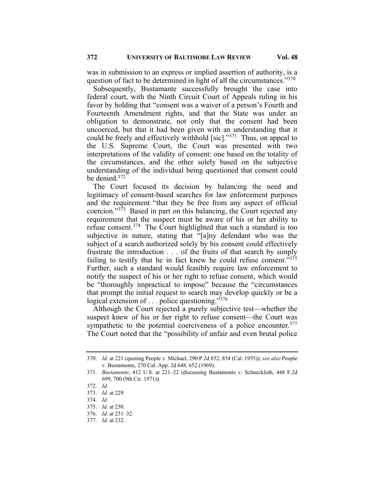was in submission to an express or implied assertion of authority, is a question of fact to be determined in light of all the circumstances."<sup>370</sup>

Subsequently, Bustamante successfully brought the case into federal court, with the Ninth Circuit Court of Appeals ruling in his favor by holding that "consent was a waiver of a person's Fourth and Fourteenth Amendment rights, and that the State was under an obligation to demonstrate, not only that the consent had been uncoerced, but that it had been given with an understanding that it could be freely and effectively withhold  $[sic]$ ."<sup>371</sup> Thus, on appeal to the U.S. Supreme Court, the Court was presented with two interpretations of the validity of consent: one based on the totality of the circumstances, and the other solely based on the subjective understanding of the individual being questioned that consent could be denied.372

The Court focused its decision by balancing the need and legitimacy of consent-based searches for law enforcement purposes and the requirement "that they be free from any aspect of official coercion."<sup>373</sup> Based in part on this balancing, the Court rejected any requirement that the suspect must be aware of his or her ability to refuse consent.<sup>374</sup> The Court highlighted that such a standard is too subjective in nature, stating that "[a]ny defendant who was the subject of a search authorized solely by his consent could effectively frustrate the introduction . . . of the fruits of that search by simply failing to testify that he in fact knew he could refuse consent."375 Further, such a standard would feasibly require law enforcement to notify the suspect of his or her right to refuse consent, which would be "thoroughly impractical to impose" because the "circumstances that prompt the initial request to search may develop quickly or be a logical extension of  $\ldots$  police questioning."<sup>376</sup>

Although the Court rejected a purely subjective test—whether the suspect knew of his or her right to refuse consent—the Court was sympathetic to the potential coerciveness of a police encounter.  $377$ The Court noted that the "possibility of unfair and even brutal police

<sup>370.</sup> *Id.* at 221 (quoting People v. Michael, 290 P.2d 852, 854 (Cal. 1955)); *see also* People v. Bustamonte, 270 Cal. App. 2d 648, 652 (1969).

<sup>371.</sup> *Bustamonte*, 412 U.S. at 221–22 (discussing Bustamonte v. Schneckloth, 448 F.2d 699, 700 (9th Cir. 1971)).

<sup>372.</sup> *Id.*

<sup>373.</sup> *Id.* at 229.

<sup>374.</sup> *Id.*

<sup>375.</sup> *Id.* at 230.

<sup>376.</sup> *Id.* at 231–32.

<sup>377.</sup> *Id.* at 232.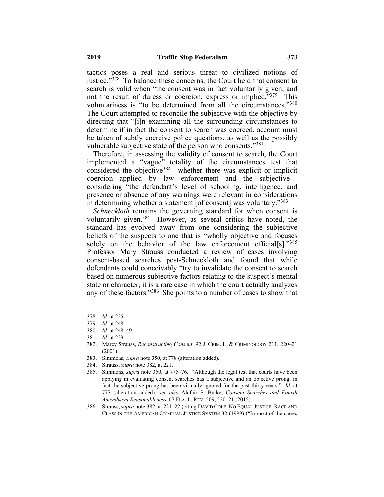tactics poses a real and serious threat to civilized notions of justice. $\frac{378}{10}$  To balance these concerns, the Court held that consent to search is valid when "the consent was in fact voluntarily given, and not the result of duress or coercion, express or implied."379 This voluntariness is "to be determined from all the circumstances."380 The Court attempted to reconcile the subjective with the objective by directing that "[i]n examining all the surrounding circumstances to determine if in fact the consent to search was coerced, account must be taken of subtly coercive police questions, as well as the possibly vulnerable subjective state of the person who consents."<sup>381</sup>

Therefore, in assessing the validity of consent to search, the Court implemented a "vague" totality of the circumstances test that considered the objective382—whether there was explicit or implicit coercion applied by law enforcement and the subjective considering "the defendant's level of schooling, intelligence, and presence or absence of any warnings were relevant in considerations in determining whether a statement [of consent] was voluntary."383

*Schneckloth* remains the governing standard for when consent is voluntarily given.<sup>384</sup> However, as several critics have noted, the standard has evolved away from one considering the subjective beliefs of the suspects to one that is "wholly objective and focuses solely on the behavior of the law enforcement official[s]." $385$ Professor Mary Strauss conducted a review of cases involving consent-based searches post-Schneckloth and found that while defendants could conceivably "try to invalidate the consent to search based on numerous subjective factors relating to the suspect's mental state or character, it is a rare case in which the court actually analyzes any of these factors."<sup>386</sup> She points to a number of cases to show that

<sup>378.</sup> *Id.* at 225.

<sup>379.</sup> *Id.* at 248.

<sup>380.</sup> *Id.* at 248–49.

<sup>381.</sup> *Id.* at 229.

<sup>382.</sup> Marcy Strauss, *Reconstructing Consent*, 92 J. CRIM. L. & CRIMINOLOGY 211, 220–21 (2001).

<sup>383.</sup> Simmons, *supra* note 350, at 778 (alteration added).

<sup>384.</sup> Strauss, *supra* note 382, at 221.

<sup>385.</sup> Simmons, *supra* note 350, at 775–76. "Although the legal test that courts have been applying in evaluating consent searches has a subjective and an objective prong, in fact the subjective prong has been virtually ignored for the past thirty years." *Id.* at 777 (alteration added); *see also* Alafair S. Burke, *Consent Searches and Fourth Amendment Reasonableness*, 67 FLA. L. REV. 509, 520–21 (2015).

<sup>386.</sup> Strauss, *supra* note 382, at 221–22 (citing DAVID COLE, NO EQUAL JUSTICE: RACE AND CLASS IN THE AMERICAN CRIMINAL JUSTICE SYSTEM 32 (1999) ("In most of the cases,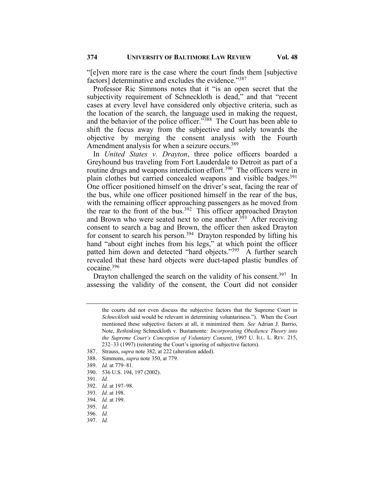"[e]ven more rare is the case where the court finds them [subjective factors] determinative and excludes the evidence."387

Professor Ric Simmons notes that it "is an open secret that the subjectivity requirement of Schneckloth is dead," and that "recent cases at every level have considered only objective criteria, such as the location of the search, the language used in making the request, and the behavior of the police officer."388 The Court has been able to shift the focus away from the subjective and solely towards the objective by merging the consent analysis with the Fourth Amendment analysis for when a seizure occurs.<sup>389</sup>

In *United States v. Drayton*, three police officers boarded a Greyhound bus traveling from Fort Lauderdale to Detroit as part of a routine drugs and weapons interdiction effort.<sup>390</sup> The officers were in plain clothes but carried concealed weapons and visible badges.<sup>391</sup> One officer positioned himself on the driver's seat, facing the rear of the bus, while one officer positioned himself in the rear of the bus, with the remaining officer approaching passengers as he moved from the rear to the front of the bus.<sup>392</sup> This officer approached Drayton and Brown who were seated next to one another.<sup>393</sup> After receiving consent to search a bag and Brown, the officer then asked Drayton for consent to search his person.394 Drayton responded by lifting his hand "about eight inches from his legs," at which point the officer patted him down and detected "hard objects."<sup>395</sup> A further search revealed that these hard objects were duct-taped plastic bundles of cocaine.396

Drayton challenged the search on the validity of his consent.<sup>397</sup> In assessing the validity of the consent, the Court did not consider

- 389. *Id.* at 779–81.
- 390. 536 U.S. 194, 197 (2002).
- 391. *Id.*
- 392. *Id.* at 197–98.
- 393. *Id.* at 198.
- 394. *Id.* at 199.
- 395. *Id.*
- 396. *Id.*
- 397. *Id.*

the courts did not even discuss the subjective factors that the Supreme Court in *Schneckloth* said would be relevant in determining voluntariness."). When the Court mentioned these subjective factors at all, it minimized them. *See* Adrian J. Barrio, Note, *Rethinking* Schneckloth v. Bustamonte*: Incorporating Obedience Theory into the Supreme Court's Conception of Voluntary Consent*, 1997 U. ILL. L. REV. 215, 232–33 (1997) (reiterating the Court's ignoring of subjective factors).

<sup>387.</sup> Strauss, *supra* note 382, at 222 (alteration added).

<sup>388.</sup> Simmons, *supra* note 350, at 779.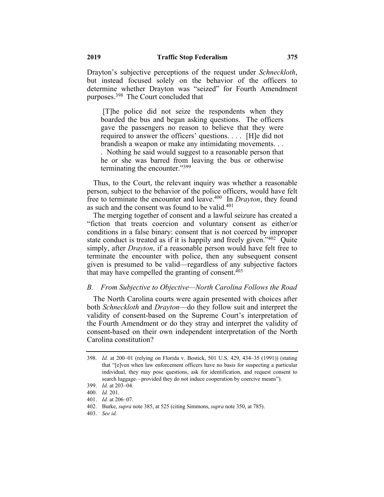Drayton's subjective perceptions of the request under *Schneckloth*, but instead focused solely on the behavior of the officers to determine whether Drayton was "seized" for Fourth Amendment purposes.398 The Court concluded that

[T]he police did not seize the respondents when they boarded the bus and began asking questions. The officers gave the passengers no reason to believe that they were required to answer the officers' questions. . . . [H]e did not brandish a weapon or make any intimidating movements. . . . Nothing he said would suggest to a reasonable person that he or she was barred from leaving the bus or otherwise terminating the encounter."399

Thus, to the Court, the relevant inquiry was whether a reasonable person, subject to the behavior of the police officers, would have felt free to terminate the encounter and leave.400 In *Drayton*, they found as such and the consent was found to be valid.<sup>401</sup>

The merging together of consent and a lawful seizure has created a "fiction that treats coercion and voluntary consent as either/or conditions in a false binary: consent that is not coerced by improper state conduct is treated as if it is happily and freely given."<sup>402</sup> Quite simply, after *Drayton*, if a reasonable person would have felt free to terminate the encounter with police, then any subsequent consent given is presumed to be valid—regardless of any subjective factors that may have compelled the granting of consent.  $403$ 

#### *B. From Subjective to Objective—North Carolina Follows the Road*

The North Carolina courts were again presented with choices after both *Schneckloth* and *Drayton*—do they follow suit and interpret the validity of consent-based on the Supreme Court's interpretation of the Fourth Amendment or do they stray and interpret the validity of consent-based on their own independent interpretation of the North Carolina constitution?

403. *See id.*

<sup>398.</sup> *Id.* at 200–01 (relying on Florida v. Bostick, 501 U.S. 429, 434–35 (1991)) (stating that "[e]ven when law enforcement officers have no basis for suspecting a particular individual, they may pose questions, ask for identification, and request consent to search luggage—provided they do not induce cooperation by coercive means").

<sup>399.</sup> *Id.* at 203–04.

<sup>400.</sup> *Id.* 201.

<sup>401.</sup> *Id.* at 206–07.

<sup>402.</sup> Burke, *supra* note 385, at 525 (citing Simmons, *supra* note 350, at 785).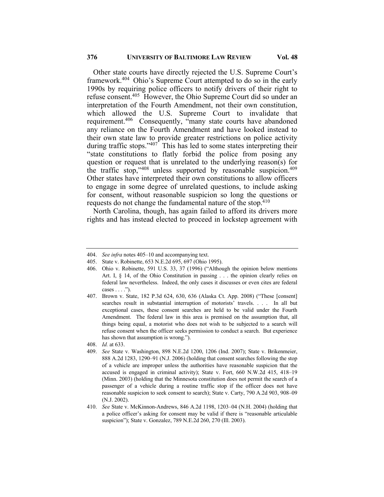Other state courts have directly rejected the U.S. Supreme Court's framework.404 Ohio's Supreme Court attempted to do so in the early 1990s by requiring police officers to notify drivers of their right to refuse consent.405 However, the Ohio Supreme Court did so under an interpretation of the Fourth Amendment, not their own constitution, which allowed the U.S. Supreme Court to invalidate that requirement.<sup>406</sup> Consequently, "many state courts have abandoned any reliance on the Fourth Amendment and have looked instead to their own state law to provide greater restrictions on police activity during traffic stops."<sup>407</sup> This has led to some states interpreting their "state constitutions to flatly forbid the police from posing any question or request that is unrelated to the underlying reason(s) for the traffic stop,"<sup>408</sup> unless supported by reasonable suspicion.<sup>409</sup> Other states have interpreted their own constitutions to allow officers to engage in some degree of unrelated questions, to include asking for consent, without reasonable suspicion so long the questions or requests do not change the fundamental nature of the stop.<sup>410</sup>

North Carolina, though, has again failed to afford its drivers more rights and has instead elected to proceed in lockstep agreement with

405. State v. Robinette, 653 N.E.2d 695, 697 (Ohio 1995).

<sup>404.</sup> *See infra* notes 405–10 and accompanying text.

<sup>406.</sup> Ohio v. Robinette, 591 U.S. 33, 37 (1996) ("Although the opinion below mentions Art. I, § 14, of the Ohio Constitution in passing . . . the opinion clearly relies on federal law nevertheless. Indeed, the only cases it discusses or even cites are federal cases . . . .").

<sup>407.</sup> Brown v. State, 182 P.3d 624, 630, 636 (Alaska Ct. App. 2008) ("These [consent] searches result in substantial interruption of motorists' travels. . . . In all but exceptional cases, these consent searches are held to be valid under the Fourth Amendment. The federal law in this area is premised on the assumption that, all things being equal, a motorist who does not wish to be subjected to a search will refuse consent when the officer seeks permission to conduct a search. But experience has shown that assumption is wrong.").

<sup>408.</sup> *Id.* at 633.

<sup>409.</sup> *See* State v. Washington, 898 N.E.2d 1200, 1206 (Ind. 2007); State v. Brikenmeier, 888 A.2d 1283, 1290–91 (N.J. 2006) (holding that consent searches following the stop of a vehicle are improper unless the authorities have reasonable suspicion that the accused is engaged in criminal activity); State v. Fort, 660 N.W.2d 415, 418–19 (Minn. 2003) (holding that the Minnesota constitution does not permit the search of a passenger of a vehicle during a routine traffic stop if the officer does not have reasonable suspicion to seek consent to search); State v. Carty, 790 A.2d 903, 908–09 (N.J. 2002).

<sup>410.</sup> *See* State v. McKinnon-Andrews, 846 A.2d 1198, 1203–04 (N.H. 2004) (holding that a police officer's asking for consent may be valid if there is "reasonable articulable suspicion"); State v. Gonzalez, 789 N.E.2d 260, 270 (Ill. 2003).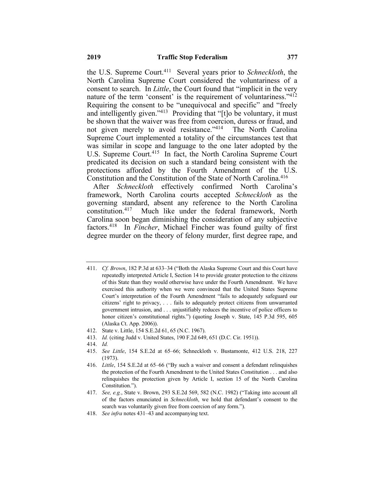the U.S. Supreme Court.411 Several years prior to *Schneckloth*, the North Carolina Supreme Court considered the voluntariness of a consent to search. In *Little*, the Court found that "implicit in the very nature of the term 'consent' is the requirement of voluntariness."<sup>412</sup> Requiring the consent to be "unequivocal and specific" and "freely and intelligently given."<sup>413</sup> Providing that "[t]o be voluntary, it must be shown that the waiver was free from coercion, duress or fraud, and not given merely to avoid resistance."<sup>414</sup> The North Carolina Supreme Court implemented a totality of the circumstances test that was similar in scope and language to the one later adopted by the U.S. Supreme Court.<sup>415</sup> In fact, the North Carolina Supreme Court predicated its decision on such a standard being consistent with the protections afforded by the Fourth Amendment of the U.S. Constitution and the Constitution of the State of North Carolina.<sup>416</sup>

After *Schneckloth* effectively confirmed North Carolina's framework, North Carolina courts accepted *Schneckloth* as the governing standard, absent any reference to the North Carolina constitution.417 Much like under the federal framework, North Carolina soon began diminishing the consideration of any subjective factors.418 In *Fincher*, Michael Fincher was found guilty of first degree murder on the theory of felony murder, first degree rape, and

- 412. State v. Little, 154 S.E.2d 61, 65 (N.C. 1967).
- 413. *Id.* (citing Judd v. United States, 190 F.2d 649, 651 (D.C. Cir. 1951)).
- 414. *Id.*
- 415. *See Little*, 154 S.E.2d at 65–66; Schneckloth v. Bustamonte, 412 U.S. 218, 227 (1973).

<sup>411.</sup> *Cf. Brown*, 182 P.3d at 633–34 ("Both the Alaska Supreme Court and this Court have repeatedly interpreted Article I, Section 14 to provide greater protection to the citizens of this State than they would otherwise have under the Fourth Amendment. We have exercised this authority when we were convinced that the United States Supreme Court's interpretation of the Fourth Amendment "fails to adequately safeguard our citizens' right to privacy, . . . fails to adequately protect citizens from unwarranted government intrusion, and . . . unjustifiably reduces the incentive of police officers to honor citizen's constitutional rights.") (quoting Joseph v. State, 145 P.3d 595, 605 (Alaska Ct. App. 2006)).

<sup>416.</sup> *Little*, 154 S.E.2d at 65–66 ("By such a waiver and consent a defendant relinquishes the protection of the Fourth Amendment to the United States Constitution . . . and also relinquishes the protection given by Article I, section 15 of the North Carolina Constitution.").

<sup>417.</sup> *See, e.g.*, State v. Brown, 293 S.E.2d 569, 582 (N.C. 1982) ("Taking into account all of the factors enunciated in *Schneckloth*, we hold that defendant's consent to the search was voluntarily given free from coercion of any form.").

<sup>418.</sup> *See infra* notes 431–43 and accompanying text.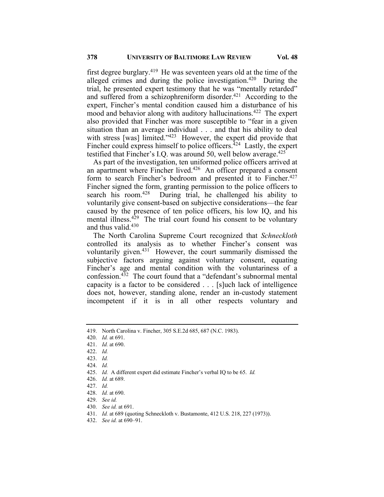first degree burglary.<sup>419</sup> He was seventeen years old at the time of the alleged crimes and during the police investigation.<sup>420</sup> During the trial, he presented expert testimony that he was "mentally retarded" and suffered from a schizophreniform disorder.<sup>421</sup> According to the expert, Fincher's mental condition caused him a disturbance of his mood and behavior along with auditory hallucinations.<sup>422</sup> The expert also provided that Fincher was more susceptible to "fear in a given situation than an average individual . . . and that his ability to deal with stress [was] limited."<sup>423</sup> However, the expert did provide that Fincher could express himself to police officers.<sup> $424$ </sup> Lastly, the expert testified that Fincher's I.O. was around 50, well below average.<sup>425</sup>

As part of the investigation, ten uniformed police officers arrived at an apartment where Fincher lived.<sup>426</sup> An officer prepared a consent form to search Fincher's bedroom and presented it to Fincher.<sup>427</sup> Fincher signed the form, granting permission to the police officers to search his room.<sup>428</sup> During trial, he challenged his ability to voluntarily give consent-based on subjective considerations—the fear caused by the presence of ten police officers, his low IQ, and his mental illness.<sup>429</sup> The trial court found his consent to be voluntary and thus valid. $430$ 

The North Carolina Supreme Court recognized that *Schneckloth* controlled its analysis as to whether Fincher's consent was voluntarily given.<sup>431</sup> However, the court summarily dismissed the subjective factors arguing against voluntary consent, equating Fincher's age and mental condition with the voluntariness of a confession. $4\overline{3}$ <sup>2</sup> The court found that a "defendant's subnormal mental capacity is a factor to be considered . . . [s]uch lack of intelligence does not, however, standing alone, render an in-custody statement incompetent if it is in all other respects voluntary and

- 429. *See id.*
- 430. *See id.* at 691.
- 431. *Id.* at 689 (quoting Schneckloth v. Bustamonte, 412 U.S. 218, 227 (1973)).
- 432. *See id.* at 690–91.

<sup>419.</sup> North Carolina v. Fincher, 305 S.E.2d 685, 687 (N.C. 1983).

<sup>420.</sup> *Id.* at 691.

<sup>421.</sup> *Id.* at 690.

<sup>422.</sup> *Id.*

<sup>423.</sup> *Id.*

<sup>424.</sup> *Id.*

<sup>425.</sup> *Id.* A different expert did estimate Fincher's verbal IQ to be 65. *Id.*

<sup>426.</sup> *Id.* at 689.

<sup>427.</sup> *Id.*

<sup>428.</sup> *Id.* at 690.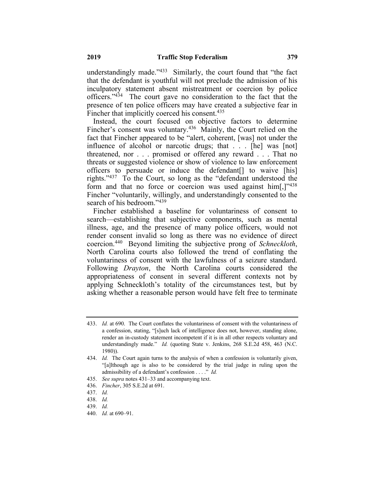understandingly made. $1433$  Similarly, the court found that "the fact that the defendant is youthful will not preclude the admission of his inculpatory statement absent mistreatment or coercion by police officers."434 The court gave no consideration to the fact that the presence of ten police officers may have created a subjective fear in Fincher that implicitly coerced his consent.<sup>435</sup>

Instead, the court focused on objective factors to determine Fincher's consent was voluntary.<sup>436</sup> Mainly, the Court relied on the fact that Fincher appeared to be "alert, coherent, [was] not under the influence of alcohol or narcotic drugs; that . . . [he] was [not] threatened, nor . . . promised or offered any reward . . . That no threats or suggested violence or show of violence to law enforcement officers to persuade or induce the defendant[] to waive [his] rights."437 To the Court, so long as the "defendant understood the form and that no force or coercion was used against  $\lim_{n \to \infty}$  [ $\frac{1}{12}$ ]<sup>1438</sup> Fincher "voluntarily, willingly, and understandingly consented to the search of his bedroom."<sup>439</sup>

Fincher established a baseline for voluntariness of consent to search—establishing that subjective components, such as mental illness, age, and the presence of many police officers, would not render consent invalid so long as there was no evidence of direct coercion.440 Beyond limiting the subjective prong of *Schneckloth*, North Carolina courts also followed the trend of conflating the voluntariness of consent with the lawfulness of a seizure standard. Following *Drayton*, the North Carolina courts considered the appropriateness of consent in several different contexts not by applying Schneckloth's totality of the circumstances test, but by asking whether a reasonable person would have felt free to terminate

<sup>433.</sup> *Id.* at 690. The Court conflates the voluntariness of consent with the voluntariness of a confession, stating, "[s]uch lack of intelligence does not, however, standing alone, render an in-custody statement incompetent if it is in all other respects voluntary and understandingly made." *Id.* (quoting State v. Jenkins, 268 S.E.2d 458, 463 (N.C. 1980)).

<sup>434.</sup> *Id.* The Court again turns to the analysis of when a confession is voluntarily given, "[a]lthough age is also to be considered by the trial judge in ruling upon the admissibility of a defendant's confession . . . ." *Id.*

<sup>435.</sup> *See supra* notes 431–33 and accompanying text.

<sup>436.</sup> *Fincher*, 305 S.E.2d at 691.

<sup>437.</sup> *Id.*

<sup>438.</sup> *Id.*

<sup>439.</sup> *Id.*

<sup>440.</sup> *Id.* at 690–91.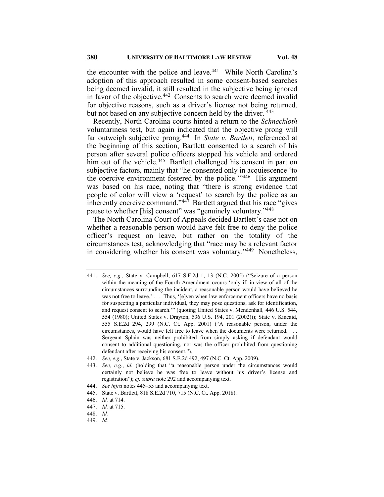the encounter with the police and leave.<sup>441</sup> While North Carolina's adoption of this approach resulted in some consent-based searches being deemed invalid, it still resulted in the subjective being ignored in favor of the objective.<sup>442</sup> Consents to search were deemed invalid for objective reasons, such as a driver's license not being returned, but not based on any subjective concern held by the driver. <sup>443</sup>

Recently, North Carolina courts hinted a return to the *Schneckloth* voluntariness test, but again indicated that the objective prong will far outweigh subjective prong.444 In *State v. Bartlett*, referenced at the beginning of this section, Bartlett consented to a search of his person after several police officers stopped his vehicle and ordered him out of the vehicle.<sup>445</sup> Bartlett challenged his consent in part on subjective factors, mainly that "he consented only in acquiescence 'to the coercive environment fostered by the police. $\frac{1.446}{1.446}$  His argument was based on his race, noting that "there is strong evidence that people of color will view a 'request' to search by the police as an inherently coercive command."<sup>447</sup> Bartlett argued that his race "gives" pause to whether [his] consent" was "genuinely voluntary."<sup>448</sup>

The North Carolina Court of Appeals decided Bartlett's case not on whether a reasonable person would have felt free to deny the police officer's request on leave, but rather on the totality of the circumstances test, acknowledging that "race may be a relevant factor in considering whether his consent was voluntary."449 Nonetheless,

442. *See, e.g.*, State v. Jackson, 681 S.E.2d 492, 497 (N.C. Ct. App. 2009).

- 444. *See infra* notes 445–55 and accompanying text.
- 445. State v. Bartlett, 818 S.E.2d 710, 715 (N.C. Ct. App. 2018).
- 446. *Id.* at 714.
- 447. *Id.* at 715.
- 448. *Id.*
- 449. *Id.*

<sup>441.</sup> *See, e.g.*, State v. Campbell, 617 S.E.2d 1, 13 (N.C. 2005) ("Seizure of a person within the meaning of the Fourth Amendment occurs 'only if, in view of all of the circumstances surrounding the incident, a reasonable person would have believed he was not free to leave.' . . . Thus, '[e]ven when law enforcement officers have no basis for suspecting a particular individual, they may pose questions, ask for identification, and request consent to search.'" (quoting United States v. Mendenhall*,* 446 U.S. 544, 554 (1980); United States v. Drayton, 536 U.S. 194, 201 (2002))); State v. Kincaid, 555 S.E.2d 294, 299 (N.C. Ct. App. 2001) ("A reasonable person, under the circumstances, would have felt free to leave when the documents were returned. . . . Sergeant Splain was neither prohibited from simply asking if defendant would consent to additional questioning, nor was the officer prohibited from questioning defendant after receiving his consent.").

<sup>443.</sup> *See, e.g.*, *id.* (holding that "a reasonable person under the circumstances would certainly not believe he was free to leave without his driver's license and registration"); *cf. supra* note 292 and accompanying text.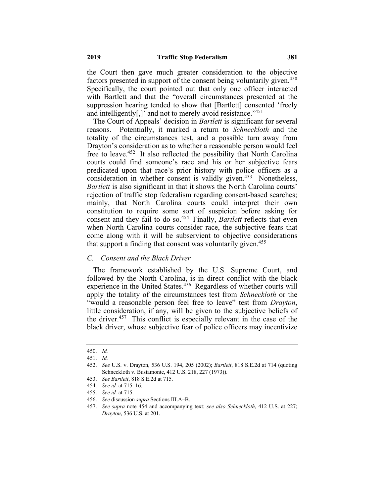the Court then gave much greater consideration to the objective factors presented in support of the consent being voluntarily given.<sup>450</sup> Specifically, the court pointed out that only one officer interacted with Bartlett and that the "overall circumstances presented at the suppression hearing tended to show that [Bartlett] consented 'freely and intelligently[,]' and not to merely avoid resistance."451

The Court of Appeals' decision in *Bartlett* is significant for several reasons. Potentially, it marked a return to *Schneckloth* and the totality of the circumstances test, and a possible turn away from Drayton's consideration as to whether a reasonable person would feel free to leave.452 It also reflected the possibility that North Carolina courts could find someone's race and his or her subjective fears predicated upon that race's prior history with police officers as a consideration in whether consent is validly given.<sup>453</sup> Nonetheless, *Bartlett* is also significant in that it shows the North Carolina courts' rejection of traffic stop federalism regarding consent-based searches; mainly, that North Carolina courts could interpret their own constitution to require some sort of suspicion before asking for consent and they fail to do so.<sup>454</sup> Finally, *Bartlett* reflects that even when North Carolina courts consider race, the subjective fears that come along with it will be subservient to objective considerations that support a finding that consent was voluntarily given.<sup>455</sup>

#### *C. Consent and the Black Driver*

The framework established by the U.S. Supreme Court, and followed by the North Carolina, is in direct conflict with the black experience in the United States.<sup>456</sup> Regardless of whether courts will apply the totality of the circumstances test from *Schneckloth* or the "would a reasonable person feel free to leave" test from *Drayton*, little consideration, if any, will be given to the subjective beliefs of the driver.457 This conflict is especially relevant in the case of the black driver, whose subjective fear of police officers may incentivize

<sup>450.</sup> *Id.*

<sup>451.</sup> *Id.*

<sup>452.</sup> *See* U.S. v. Drayton, 536 U.S. 194, 205 (2002); *Bartlett*, 818 S.E.2d at 714 (quoting Schneckloth v. Bustamonte, 412 U.S. 218, 227 (1973)).

<sup>453.</sup> *See Bartlett*, 818 S.E.2d at 715.

<sup>454.</sup> *See id.* at 715–16.

<sup>455.</sup> *See id.* at 715.

<sup>456.</sup> *See* discussion *supra* Sections III.A–B.

<sup>457.</sup> *See supra* note 454 and accompanying text; *see also Schneckloth*, 412 U.S. at 227; *Drayton*, 536 U.S. at 201.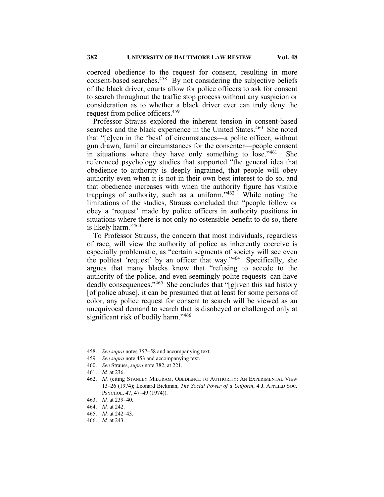coerced obedience to the request for consent, resulting in more consent-based searches.458 By not considering the subjective beliefs of the black driver, courts allow for police officers to ask for consent to search throughout the traffic stop process without any suspicion or consideration as to whether a black driver ever can truly deny the request from police officers.<sup>459</sup>

Professor Strauss explored the inherent tension in consent-based searches and the black experience in the United States.<sup>460</sup> She noted that "[e]ven in the 'best' of circumstances—a polite officer, without gun drawn, familiar circumstances for the consenter—people consent in situations where they have only something to lose. $1461$  She referenced psychology studies that supported "the general idea that obedience to authority is deeply ingrained, that people will obey authority even when it is not in their own best interest to do so, and that obedience increases with when the authority figure has visible trappings of authority, such as a uniform." $462$  While noting the limitations of the studies, Strauss concluded that "people follow or obey a 'request' made by police officers in authority positions in situations where there is not only no ostensible benefit to do so, there is likely harm."463

To Professor Strauss, the concern that most individuals, regardless of race, will view the authority of police as inherently coercive is especially problematic, as "certain segments of society will see even the politest 'request' by an officer that way."464 Specifically, she argues that many blacks know that "refusing to accede to the authority of the police, and even seemingly polite requests–can have deadly consequences."<sup>465</sup> She concludes that "[g]iven this sad history [of police abuse], it can be presumed that at least for some persons of color, any police request for consent to search will be viewed as an unequivocal demand to search that is disobeyed or challenged only at significant risk of bodily harm."<sup>466</sup>

<sup>458.</sup> *See supra* notes 357–58 and accompanying text.

<sup>459</sup>*. See supra* note 453 and accompanying text.

<sup>460.</sup> *See* Strauss, *supra* note 382, at 221.

<sup>461.</sup> *Id.* at 236.

<sup>462.</sup> *Id.* (citing STANLEY MILGRAM, OBEDIENCE TO AUTHORITY: AN EXPERIMENTAL VIEW 13–26 (1974); Leonard Bickman, *The Social Power of a Uniform*, 4 J. APPLIED SOC. PSYCHOL. 47, 47–49 (1974)).

<sup>463.</sup> *Id.* at 239–40.

<sup>464.</sup> *Id.* at 242.

<sup>465.</sup> *Id.* at 242–43.

<sup>466.</sup> *Id.* at 243.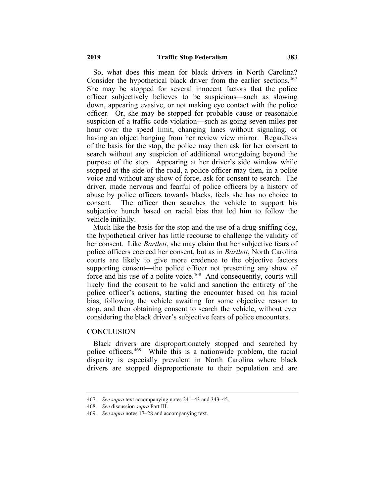So, what does this mean for black drivers in North Carolina? Consider the hypothetical black driver from the earlier sections.<sup>467</sup> She may be stopped for several innocent factors that the police officer subjectively believes to be suspicious—such as slowing down, appearing evasive, or not making eye contact with the police officer. Or, she may be stopped for probable cause or reasonable suspicion of a traffic code violation—such as going seven miles per hour over the speed limit, changing lanes without signaling, or having an object hanging from her review view mirror. Regardless of the basis for the stop, the police may then ask for her consent to search without any suspicion of additional wrongdoing beyond the purpose of the stop. Appearing at her driver's side window while stopped at the side of the road, a police officer may then, in a polite voice and without any show of force, ask for consent to search. The driver, made nervous and fearful of police officers by a history of abuse by police officers towards blacks, feels she has no choice to consent. The officer then searches the vehicle to support his subjective hunch based on racial bias that led him to follow the vehicle initially.

Much like the basis for the stop and the use of a drug-sniffing dog, the hypothetical driver has little recourse to challenge the validity of her consent. Like *Bartlett*, she may claim that her subjective fears of police officers coerced her consent, but as in *Bartlett*, North Carolina courts are likely to give more credence to the objective factors supporting consent—the police officer not presenting any show of force and his use of a polite voice.<sup>468</sup> And consequently, courts will likely find the consent to be valid and sanction the entirety of the police officer's actions, starting the encounter based on his racial bias, following the vehicle awaiting for some objective reason to stop, and then obtaining consent to search the vehicle, without ever considering the black driver's subjective fears of police encounters.

#### **CONCLUSION**

Black drivers are disproportionately stopped and searched by police officers.469 While this is a nationwide problem, the racial disparity is especially prevalent in North Carolina where black drivers are stopped disproportionate to their population and are

<sup>467.</sup> *See supra* text accompanying notes 241–43 and 343–45.

<sup>468.</sup> *See* discussion *supra* Part III.

<sup>469.</sup> *See supra* notes 17–28 and accompanying text.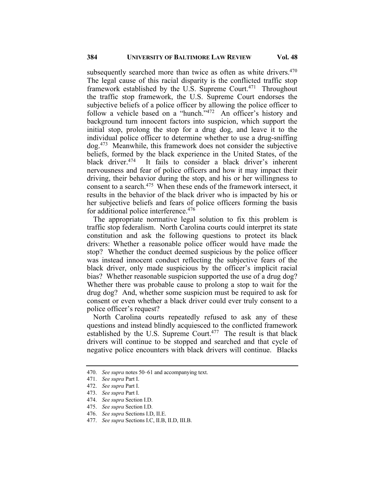subsequently searched more than twice as often as white drivers.<sup>470</sup> The legal cause of this racial disparity is the conflicted traffic stop framework established by the U.S. Supreme Court.<sup>471</sup> Throughout the traffic stop framework, the U.S. Supreme Court endorses the subjective beliefs of a police officer by allowing the police officer to follow a vehicle based on a "hunch."<sup>472</sup> An officer's history and background turn innocent factors into suspicion, which support the initial stop, prolong the stop for a drug dog, and leave it to the individual police officer to determine whether to use a drug-sniffing dog.473 Meanwhile, this framework does not consider the subjective beliefs, formed by the black experience in the United States, of the black driver.<sup>474</sup> It fails to consider a black driver's inherent It fails to consider a black driver's inherent nervousness and fear of police officers and how it may impact their driving, their behavior during the stop, and his or her willingness to consent to a search.<sup>475</sup> When these ends of the framework intersect, it results in the behavior of the black driver who is impacted by his or her subjective beliefs and fears of police officers forming the basis for additional police interference.<sup>476</sup>

The appropriate normative legal solution to fix this problem is traffic stop federalism. North Carolina courts could interpret its state constitution and ask the following questions to protect its black drivers: Whether a reasonable police officer would have made the stop? Whether the conduct deemed suspicious by the police officer was instead innocent conduct reflecting the subjective fears of the black driver, only made suspicious by the officer's implicit racial bias? Whether reasonable suspicion supported the use of a drug dog? Whether there was probable cause to prolong a stop to wait for the drug dog? And, whether some suspicion must be required to ask for consent or even whether a black driver could ever truly consent to a police officer's request?

North Carolina courts repeatedly refused to ask any of these questions and instead blindly acquiesced to the conflicted framework established by the U.S. Supreme Court.<sup>477</sup> The result is that black drivers will continue to be stopped and searched and that cycle of negative police encounters with black drivers will continue. Blacks

476. *See supra* Sections I.D, II.E.

<sup>470.</sup> *See supra* notes 50–61 and accompanying text.

<sup>471.</sup> *See supra* Part I.

<sup>472.</sup> *See supra* Part I.

<sup>473.</sup> *See supra* Part I.

<sup>474.</sup> *See supra* Section I.D.

<sup>475.</sup> *See supra* Section I.D.

<sup>477.</sup> *See supra* Sections I.C, II.B, II.D, III.B.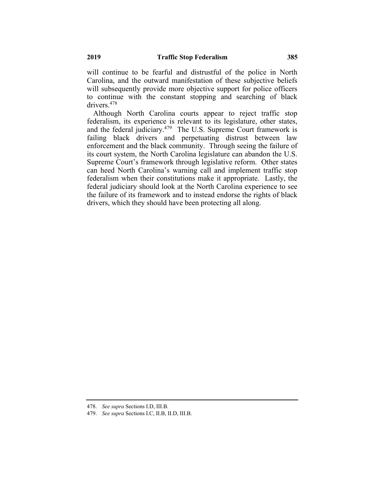will continue to be fearful and distrustful of the police in North Carolina, and the outward manifestation of these subjective beliefs will subsequently provide more objective support for police officers to continue with the constant stopping and searching of black drivers.478

Although North Carolina courts appear to reject traffic stop federalism, its experience is relevant to its legislature, other states, and the federal judiciary.<sup>479</sup> The U.S. Supreme Court framework is failing black drivers and perpetuating distrust between law enforcement and the black community. Through seeing the failure of its court system, the North Carolina legislature can abandon the U.S. Supreme Court's framework through legislative reform. Other states can heed North Carolina's warning call and implement traffic stop federalism when their constitutions make it appropriate. Lastly, the federal judiciary should look at the North Carolina experience to see the failure of its framework and to instead endorse the rights of black drivers, which they should have been protecting all along.

479. *See supra* Sections I.C, II.B, II.D, III.B.

<sup>478.</sup> *See supra* Sections I.D, III.B.